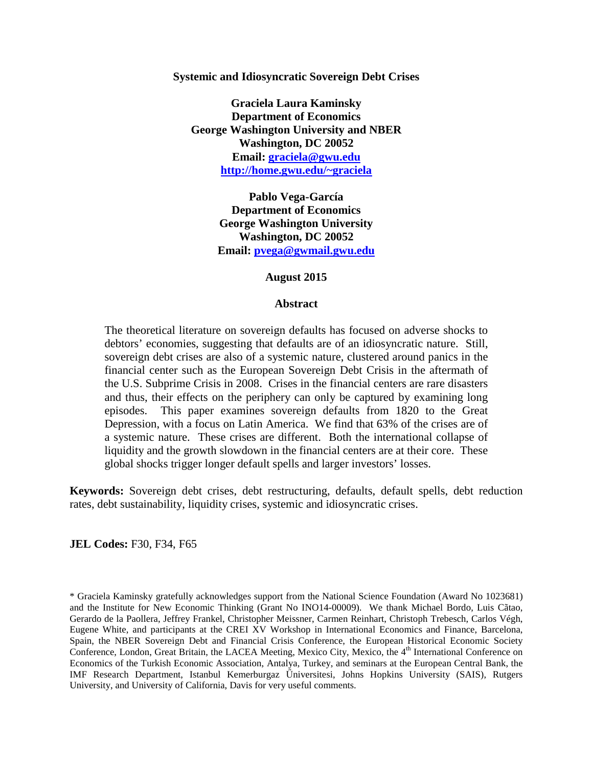**Systemic and Idiosyncratic Sovereign Debt Crises**

**Graciela Laura Kaminsky Department of Economics George Washington University and NBER Washington, DC 20052 Email: [graciela@gwu.edu](mailto:graciela@gwu.edu) http://home.gwu.edu/~graciela**

> **Pablo Vega-García Department of Economics George Washington University Washington, DC 20052 Email: [pvega@gwmail.gwu.edu](mailto:pvega@gwmail.gwu.edu)**

#### **August 2015**

#### **Abstract**

The theoretical literature on sovereign defaults has focused on adverse shocks to debtors' economies, suggesting that defaults are of an idiosyncratic nature. Still, sovereign debt crises are also of a systemic nature, clustered around panics in the financial center such as the European Sovereign Debt Crisis in the aftermath of the U.S. Subprime Crisis in 2008. Crises in the financial centers are rare disasters and thus, their effects on the periphery can only be captured by examining long episodes. This paper examines sovereign defaults from 1820 to the Great Depression, with a focus on Latin America. We find that 63% of the crises are of a systemic nature. These crises are different. Both the international collapse of liquidity and the growth slowdown in the financial centers are at their core. These global shocks trigger longer default spells and larger investors' losses.

**Keywords:** Sovereign debt crises, debt restructuring, defaults, default spells, debt reduction rates, debt sustainability, liquidity crises, systemic and idiosyncratic crises.

#### **JEL Codes:** F30, F34, F65

<sup>\*</sup> Graciela Kaminsky gratefully acknowledges support from the National Science Foundation (Award No 1023681) and the Institute for New Economic Thinking (Grant No INO14-00009). We thank Michael Bordo, Luis Cãtao, Gerardo de la Paollera, Jeffrey Frankel, Christopher Meissner, Carmen Reinhart, Christoph Trebesch, Carlos Végh, Eugene White, and participants at the CREI XV Workshop in International Economics and Finance, Barcelona, Spain, the NBER Sovereign Debt and Financial Crisis Conference, the European Historical Economic Society Conference, London, Great Britain, the LACEA Meeting, Mexico City, Mexico, the 4<sup>th</sup> International Conference on Economics of the Turkish Economic Association, Antalya, Turkey, and seminars at the European Central Bank, the IMF Research Department, Istanbul Kemerburgaz Űniversitesi, Johns Hopkins University (SAIS), Rutgers University, and University of California, Davis for very useful comments.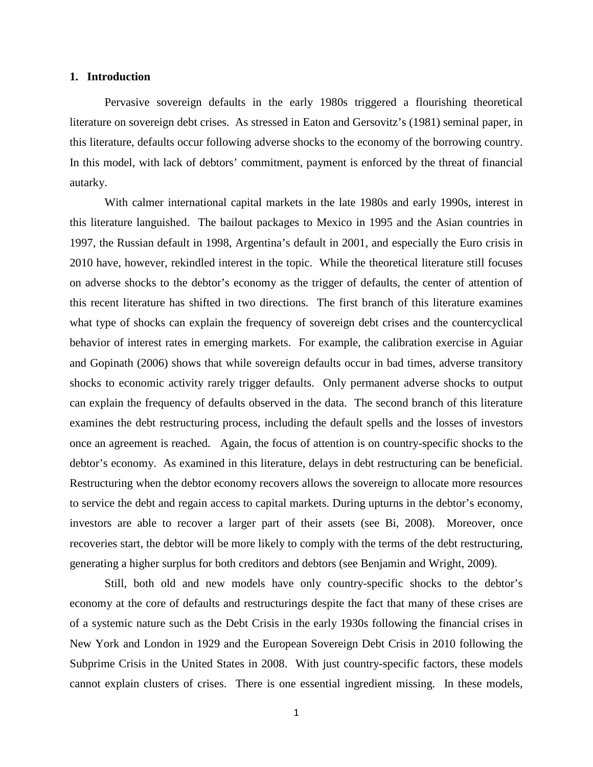#### **1. Introduction**

Pervasive sovereign defaults in the early 1980s triggered a flourishing theoretical literature on sovereign debt crises. As stressed in Eaton and Gersovitz's (1981) seminal paper, in this literature, defaults occur following adverse shocks to the economy of the borrowing country. In this model, with lack of debtors' commitment, payment is enforced by the threat of financial autarky.

With calmer international capital markets in the late 1980s and early 1990s, interest in this literature languished. The bailout packages to Mexico in 1995 and the Asian countries in 1997, the Russian default in 1998, Argentina's default in 2001, and especially the Euro crisis in 2010 have, however, rekindled interest in the topic. While the theoretical literature still focuses on adverse shocks to the debtor's economy as the trigger of defaults, the center of attention of this recent literature has shifted in two directions. The first branch of this literature examines what type of shocks can explain the frequency of sovereign debt crises and the countercyclical behavior of interest rates in emerging markets. For example, the calibration exercise in Aguiar and Gopinath (2006) shows that while sovereign defaults occur in bad times, adverse transitory shocks to economic activity rarely trigger defaults. Only permanent adverse shocks to output can explain the frequency of defaults observed in the data. The second branch of this literature examines the debt restructuring process, including the default spells and the losses of investors once an agreement is reached. Again, the focus of attention is on country-specific shocks to the debtor's economy. As examined in this literature, delays in debt restructuring can be beneficial. Restructuring when the debtor economy recovers allows the sovereign to allocate more resources to service the debt and regain access to capital markets. During upturns in the debtor's economy, investors are able to recover a larger part of their assets (see Bi, 2008). Moreover, once recoveries start, the debtor will be more likely to comply with the terms of the debt restructuring, generating a higher surplus for both creditors and debtors (see Benjamin and Wright, 2009).

Still, both old and new models have only country-specific shocks to the debtor's economy at the core of defaults and restructurings despite the fact that many of these crises are of a systemic nature such as the Debt Crisis in the early 1930s following the financial crises in New York and London in 1929 and the European Sovereign Debt Crisis in 2010 following the Subprime Crisis in the United States in 2008. With just country-specific factors, these models cannot explain clusters of crises. There is one essential ingredient missing. In these models,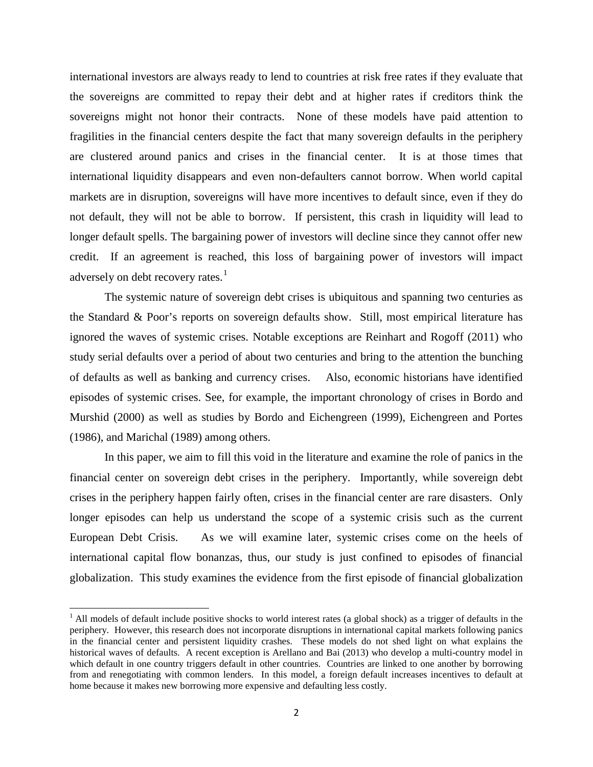international investors are always ready to lend to countries at risk free rates if they evaluate that the sovereigns are committed to repay their debt and at higher rates if creditors think the sovereigns might not honor their contracts. None of these models have paid attention to fragilities in the financial centers despite the fact that many sovereign defaults in the periphery are clustered around panics and crises in the financial center. It is at those times that international liquidity disappears and even non-defaulters cannot borrow. When world capital markets are in disruption, sovereigns will have more incentives to default since, even if they do not default, they will not be able to borrow. If persistent, this crash in liquidity will lead to longer default spells. The bargaining power of investors will decline since they cannot offer new credit. If an agreement is reached, this loss of bargaining power of investors will impact adversely on debt recovery rates. $<sup>1</sup>$  $<sup>1</sup>$  $<sup>1</sup>$ </sup>

The systemic nature of sovereign debt crises is ubiquitous and spanning two centuries as the Standard & Poor's reports on sovereign defaults show. Still, most empirical literature has ignored the waves of systemic crises. Notable exceptions are Reinhart and Rogoff (2011) who study serial defaults over a period of about two centuries and bring to the attention the bunching of defaults as well as banking and currency crises. Also, economic historians have identified episodes of systemic crises. See, for example, the important chronology of crises in Bordo and Murshid (2000) as well as studies by Bordo and Eichengreen (1999), Eichengreen and Portes (1986), and Marichal (1989) among others.

In this paper, we aim to fill this void in the literature and examine the role of panics in the financial center on sovereign debt crises in the periphery. Importantly, while sovereign debt crises in the periphery happen fairly often, crises in the financial center are rare disasters. Only longer episodes can help us understand the scope of a systemic crisis such as the current European Debt Crisis. As we will examine later, systemic crises come on the heels of international capital flow bonanzas, thus, our study is just confined to episodes of financial globalization. This study examines the evidence from the first episode of financial globalization

<span id="page-2-0"></span> $<sup>1</sup>$  All models of default include positive shocks to world interest rates (a global shock) as a trigger of defaults in the</sup> periphery. However, this research does not incorporate disruptions in international capital markets following panics in the financial center and persistent liquidity crashes. These models do not shed light on what explains the historical waves of defaults. A recent exception is Arellano and Bai (2013) who develop a multi-country model in which default in one country triggers default in other countries. Countries are linked to one another by borrowing from and renegotiating with common lenders. In this model, a foreign default increases incentives to default at home because it makes new borrowing more expensive and defaulting less costly.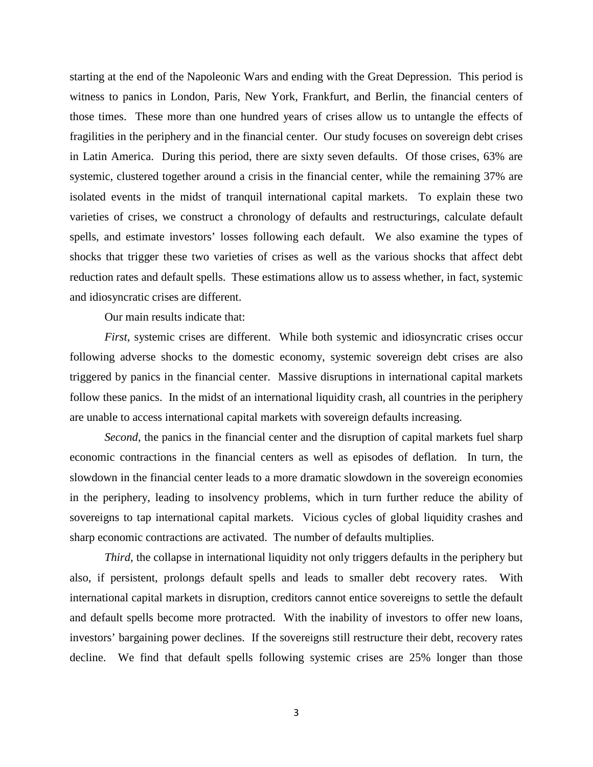starting at the end of the Napoleonic Wars and ending with the Great Depression. This period is witness to panics in London, Paris, New York, Frankfurt, and Berlin, the financial centers of those times. These more than one hundred years of crises allow us to untangle the effects of fragilities in the periphery and in the financial center. Our study focuses on sovereign debt crises in Latin America. During this period, there are sixty seven defaults. Of those crises, 63% are systemic, clustered together around a crisis in the financial center, while the remaining 37% are isolated events in the midst of tranquil international capital markets. To explain these two varieties of crises, we construct a chronology of defaults and restructurings, calculate default spells, and estimate investors' losses following each default. We also examine the types of shocks that trigger these two varieties of crises as well as the various shocks that affect debt reduction rates and default spells. These estimations allow us to assess whether, in fact, systemic and idiosyncratic crises are different.

Our main results indicate that:

*First*, systemic crises are different. While both systemic and idiosyncratic crises occur following adverse shocks to the domestic economy, systemic sovereign debt crises are also triggered by panics in the financial center. Massive disruptions in international capital markets follow these panics. In the midst of an international liquidity crash, all countries in the periphery are unable to access international capital markets with sovereign defaults increasing.

*Second*, the panics in the financial center and the disruption of capital markets fuel sharp economic contractions in the financial centers as well as episodes of deflation. In turn, the slowdown in the financial center leads to a more dramatic slowdown in the sovereign economies in the periphery, leading to insolvency problems, which in turn further reduce the ability of sovereigns to tap international capital markets. Vicious cycles of global liquidity crashes and sharp economic contractions are activated. The number of defaults multiplies.

*Third*, the collapse in international liquidity not only triggers defaults in the periphery but also, if persistent, prolongs default spells and leads to smaller debt recovery rates. With international capital markets in disruption, creditors cannot entice sovereigns to settle the default and default spells become more protracted. With the inability of investors to offer new loans, investors' bargaining power declines. If the sovereigns still restructure their debt, recovery rates decline. We find that default spells following systemic crises are 25% longer than those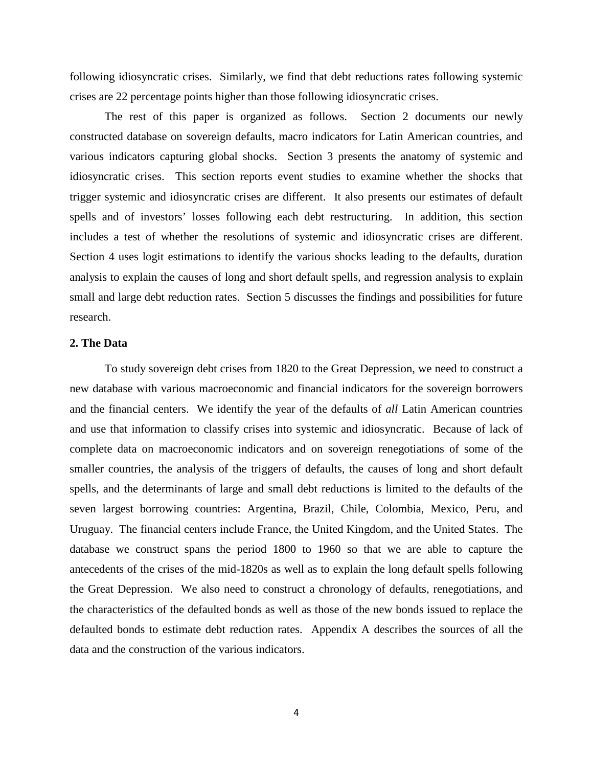following idiosyncratic crises. Similarly, we find that debt reductions rates following systemic crises are 22 percentage points higher than those following idiosyncratic crises.

The rest of this paper is organized as follows. Section 2 documents our newly constructed database on sovereign defaults, macro indicators for Latin American countries, and various indicators capturing global shocks. Section 3 presents the anatomy of systemic and idiosyncratic crises. This section reports event studies to examine whether the shocks that trigger systemic and idiosyncratic crises are different. It also presents our estimates of default spells and of investors' losses following each debt restructuring. In addition, this section includes a test of whether the resolutions of systemic and idiosyncratic crises are different. Section 4 uses logit estimations to identify the various shocks leading to the defaults, duration analysis to explain the causes of long and short default spells, and regression analysis to explain small and large debt reduction rates. Section 5 discusses the findings and possibilities for future research.

#### **2. The Data**

To study sovereign debt crises from 1820 to the Great Depression, we need to construct a new database with various macroeconomic and financial indicators for the sovereign borrowers and the financial centers. We identify the year of the defaults of *all* Latin American countries and use that information to classify crises into systemic and idiosyncratic. Because of lack of complete data on macroeconomic indicators and on sovereign renegotiations of some of the smaller countries, the analysis of the triggers of defaults, the causes of long and short default spells, and the determinants of large and small debt reductions is limited to the defaults of the seven largest borrowing countries: Argentina, Brazil, Chile, Colombia, Mexico, Peru, and Uruguay. The financial centers include France, the United Kingdom, and the United States. The database we construct spans the period 1800 to 1960 so that we are able to capture the antecedents of the crises of the mid-1820s as well as to explain the long default spells following the Great Depression. We also need to construct a chronology of defaults, renegotiations, and the characteristics of the defaulted bonds as well as those of the new bonds issued to replace the defaulted bonds to estimate debt reduction rates. Appendix A describes the sources of all the data and the construction of the various indicators.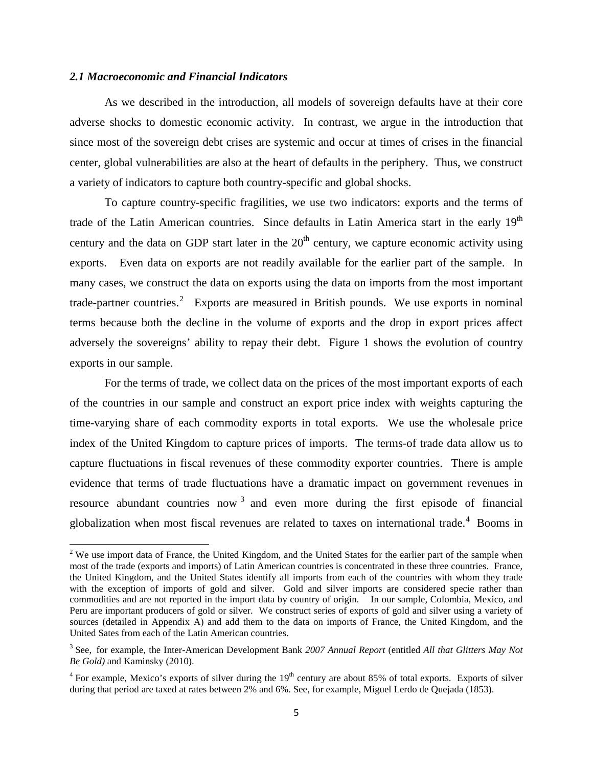## *2.1 Macroeconomic and Financial Indicators*

As we described in the introduction, all models of sovereign defaults have at their core adverse shocks to domestic economic activity. In contrast, we argue in the introduction that since most of the sovereign debt crises are systemic and occur at times of crises in the financial center, global vulnerabilities are also at the heart of defaults in the periphery. Thus, we construct a variety of indicators to capture both country-specific and global shocks.

To capture country-specific fragilities, we use two indicators: exports and the terms of trade of the Latin American countries. Since defaults in Latin America start in the early 19<sup>th</sup> century and the data on GDP start later in the  $20<sup>th</sup>$  century, we capture economic activity using exports. Even data on exports are not readily available for the earlier part of the sample. In many cases, we construct the data on exports using the data on imports from the most important trade-partner countries.<sup>[2](#page-5-0)</sup> Exports are measured in British pounds. We use exports in nominal terms because both the decline in the volume of exports and the drop in export prices affect adversely the sovereigns' ability to repay their debt. Figure 1 shows the evolution of country exports in our sample.

For the terms of trade, we collect data on the prices of the most important exports of each of the countries in our sample and construct an export price index with weights capturing the time-varying share of each commodity exports in total exports. We use the wholesale price index of the United Kingdom to capture prices of imports. The terms-of trade data allow us to capture fluctuations in fiscal revenues of these commodity exporter countries. There is ample evidence that terms of trade fluctuations have a dramatic impact on government revenues in resource abundant countries now <sup>[3](#page-5-1)</sup> and even more during the first episode of financial globalization when most fiscal revenues are related to taxes on international trade.<sup>[4](#page-5-2)</sup> Booms in

<span id="page-5-0"></span> $2$  We use import data of France, the United Kingdom, and the United States for the earlier part of the sample when most of the trade (exports and imports) of Latin American countries is concentrated in these three countries. France, the United Kingdom, and the United States identify all imports from each of the countries with whom they trade with the exception of imports of gold and silver. Gold and silver imports are considered specie rather than commodities and are not reported in the import data by country of origin. In our sample, Colombia, Mexico, and Peru are important producers of gold or silver. We construct series of exports of gold and silver using a variety of sources (detailed in Appendix A) and add them to the data on imports of France, the United Kingdom, and the United Sates from each of the Latin American countries.

<span id="page-5-1"></span><sup>3</sup> See, for example, the Inter-American Development Bank *2007 Annual Report* (entitled *All that Glitters May Not Be Gold)* and Kaminsky (2010).

<span id="page-5-2"></span> $4$  For example, Mexico's exports of silver during the  $19<sup>th</sup>$  century are about 85% of total exports. Exports of silver during that period are taxed at rates between 2% and 6%. See, for example, Miguel Lerdo de Quejada (1853).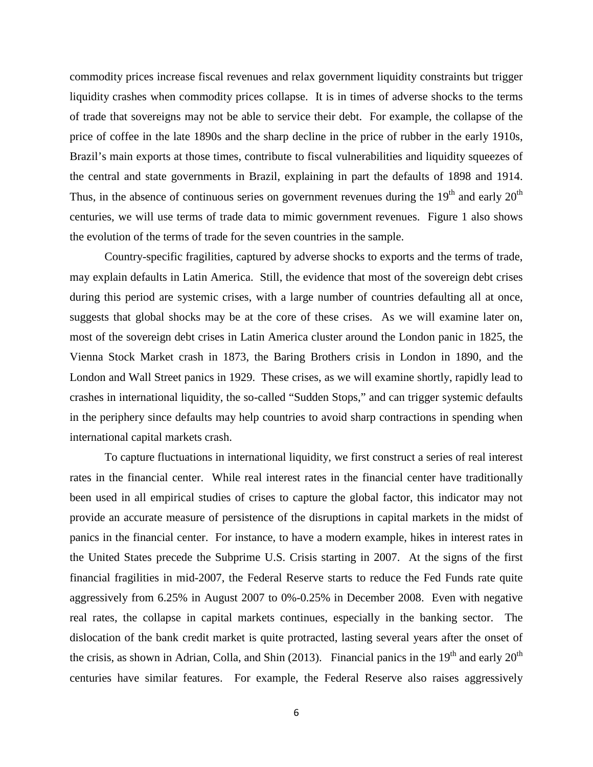commodity prices increase fiscal revenues and relax government liquidity constraints but trigger liquidity crashes when commodity prices collapse. It is in times of adverse shocks to the terms of trade that sovereigns may not be able to service their debt. For example, the collapse of the price of coffee in the late 1890s and the sharp decline in the price of rubber in the early 1910s, Brazil's main exports at those times, contribute to fiscal vulnerabilities and liquidity squeezes of the central and state governments in Brazil, explaining in part the defaults of 1898 and 1914. Thus, in the absence of continuous series on government revenues during the  $19<sup>th</sup>$  and early  $20<sup>th</sup>$ centuries, we will use terms of trade data to mimic government revenues. Figure 1 also shows the evolution of the terms of trade for the seven countries in the sample.

Country-specific fragilities, captured by adverse shocks to exports and the terms of trade, may explain defaults in Latin America. Still, the evidence that most of the sovereign debt crises during this period are systemic crises, with a large number of countries defaulting all at once, suggests that global shocks may be at the core of these crises. As we will examine later on, most of the sovereign debt crises in Latin America cluster around the London panic in 1825, the Vienna Stock Market crash in 1873, the Baring Brothers crisis in London in 1890, and the London and Wall Street panics in 1929. These crises, as we will examine shortly, rapidly lead to crashes in international liquidity, the so-called "Sudden Stops," and can trigger systemic defaults in the periphery since defaults may help countries to avoid sharp contractions in spending when international capital markets crash.

To capture fluctuations in international liquidity, we first construct a series of real interest rates in the financial center. While real interest rates in the financial center have traditionally been used in all empirical studies of crises to capture the global factor, this indicator may not provide an accurate measure of persistence of the disruptions in capital markets in the midst of panics in the financial center. For instance, to have a modern example, hikes in interest rates in the United States precede the Subprime U.S. Crisis starting in 2007. At the signs of the first financial fragilities in mid-2007, the Federal Reserve starts to reduce the Fed Funds rate quite aggressively from 6.25% in August 2007 to 0%-0.25% in December 2008. Even with negative real rates, the collapse in capital markets continues, especially in the banking sector. The dislocation of the bank credit market is quite protracted, lasting several years after the onset of the crisis, as shown in Adrian, Colla, and Shin (2013). Financial panics in the  $19<sup>th</sup>$  and early  $20<sup>th</sup>$ centuries have similar features. For example, the Federal Reserve also raises aggressively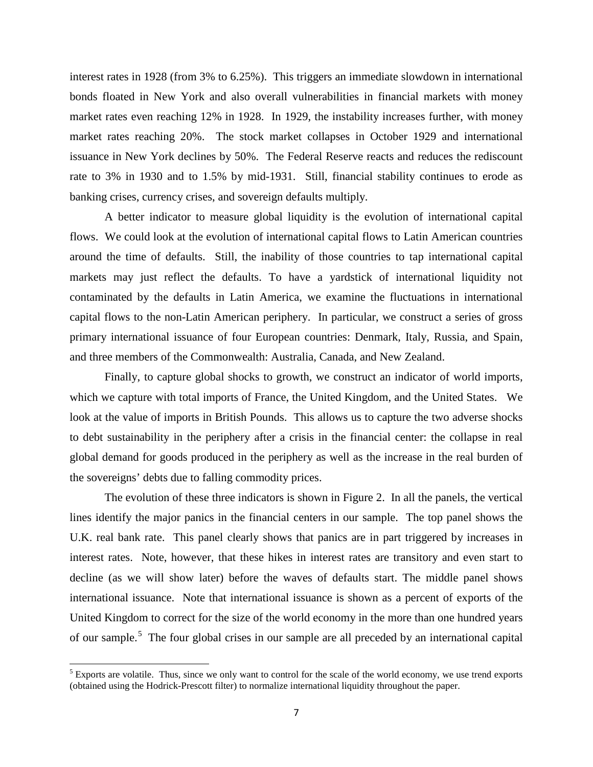interest rates in 1928 (from 3% to 6.25%). This triggers an immediate slowdown in international bonds floated in New York and also overall vulnerabilities in financial markets with money market rates even reaching 12% in 1928. In 1929, the instability increases further, with money market rates reaching 20%. The stock market collapses in October 1929 and international issuance in New York declines by 50%. The Federal Reserve reacts and reduces the rediscount rate to 3% in 1930 and to 1.5% by mid-1931. Still, financial stability continues to erode as banking crises, currency crises, and sovereign defaults multiply.

A better indicator to measure global liquidity is the evolution of international capital flows. We could look at the evolution of international capital flows to Latin American countries around the time of defaults. Still, the inability of those countries to tap international capital markets may just reflect the defaults. To have a yardstick of international liquidity not contaminated by the defaults in Latin America, we examine the fluctuations in international capital flows to the non-Latin American periphery. In particular, we construct a series of gross primary international issuance of four European countries: Denmark, Italy, Russia, and Spain, and three members of the Commonwealth: Australia, Canada, and New Zealand.

Finally, to capture global shocks to growth, we construct an indicator of world imports, which we capture with total imports of France, the United Kingdom, and the United States. We look at the value of imports in British Pounds. This allows us to capture the two adverse shocks to debt sustainability in the periphery after a crisis in the financial center: the collapse in real global demand for goods produced in the periphery as well as the increase in the real burden of the sovereigns' debts due to falling commodity prices.

The evolution of these three indicators is shown in Figure 2. In all the panels, the vertical lines identify the major panics in the financial centers in our sample. The top panel shows the U.K. real bank rate. This panel clearly shows that panics are in part triggered by increases in interest rates. Note, however, that these hikes in interest rates are transitory and even start to decline (as we will show later) before the waves of defaults start. The middle panel shows international issuance. Note that international issuance is shown as a percent of exports of the United Kingdom to correct for the size of the world economy in the more than one hundred years of our sample.<sup>[5](#page-7-0)</sup> The four global crises in our sample are all preceded by an international capital

<span id="page-7-0"></span> $<sup>5</sup>$  Exports are volatile. Thus, since we only want to control for the scale of the world economy, we use trend exports</sup> (obtained using the Hodrick-Prescott filter) to normalize international liquidity throughout the paper.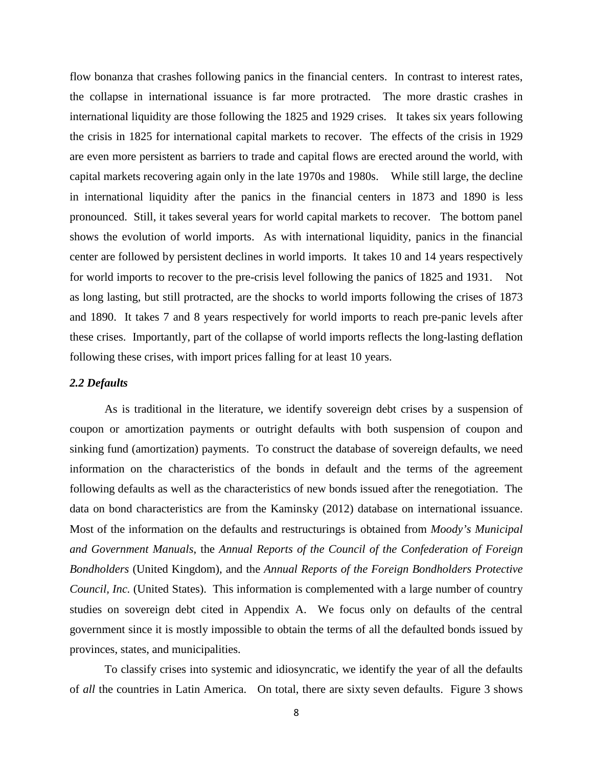flow bonanza that crashes following panics in the financial centers. In contrast to interest rates, the collapse in international issuance is far more protracted. The more drastic crashes in international liquidity are those following the 1825 and 1929 crises. It takes six years following the crisis in 1825 for international capital markets to recover. The effects of the crisis in 1929 are even more persistent as barriers to trade and capital flows are erected around the world, with capital markets recovering again only in the late 1970s and 1980s. While still large, the decline in international liquidity after the panics in the financial centers in 1873 and 1890 is less pronounced. Still, it takes several years for world capital markets to recover. The bottom panel shows the evolution of world imports. As with international liquidity, panics in the financial center are followed by persistent declines in world imports. It takes 10 and 14 years respectively for world imports to recover to the pre-crisis level following the panics of 1825 and 1931. Not as long lasting, but still protracted, are the shocks to world imports following the crises of 1873 and 1890. It takes 7 and 8 years respectively for world imports to reach pre-panic levels after these crises. Importantly, part of the collapse of world imports reflects the long-lasting deflation following these crises, with import prices falling for at least 10 years.

### *2.2 Defaults*

As is traditional in the literature, we identify sovereign debt crises by a suspension of coupon or amortization payments or outright defaults with both suspension of coupon and sinking fund (amortization) payments. To construct the database of sovereign defaults, we need information on the characteristics of the bonds in default and the terms of the agreement following defaults as well as the characteristics of new bonds issued after the renegotiation. The data on bond characteristics are from the Kaminsky (2012) database on international issuance. Most of the information on the defaults and restructurings is obtained from *Moody's Municipal and Government Manuals*, the *Annual Reports of the Council of the Confederation of Foreign Bondholders* (United Kingdom), and the *Annual Reports of the Foreign Bondholders Protective Council, Inc.* (United States). This information is complemented with a large number of country studies on sovereign debt cited in Appendix A. We focus only on defaults of the central government since it is mostly impossible to obtain the terms of all the defaulted bonds issued by provinces, states, and municipalities.

To classify crises into systemic and idiosyncratic, we identify the year of all the defaults of *all* the countries in Latin America. On total, there are sixty seven defaults. Figure 3 shows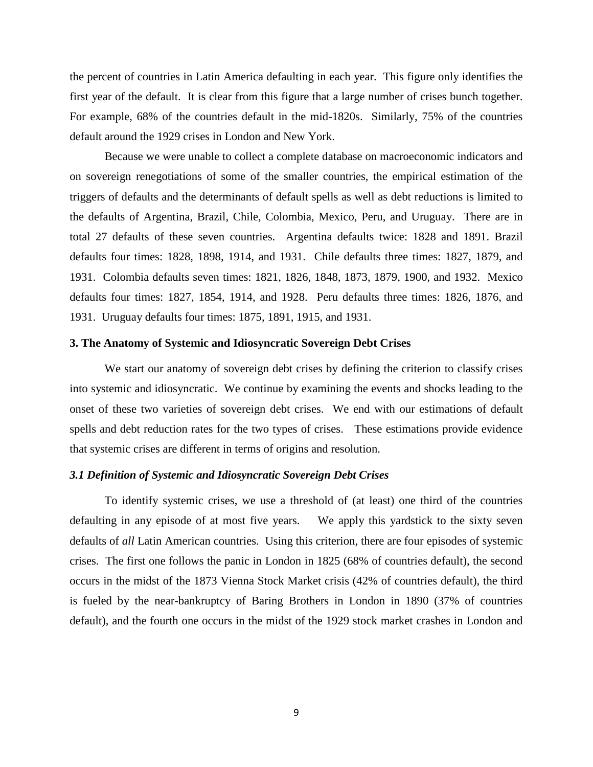the percent of countries in Latin America defaulting in each year. This figure only identifies the first year of the default. It is clear from this figure that a large number of crises bunch together. For example, 68% of the countries default in the mid-1820s. Similarly, 75% of the countries default around the 1929 crises in London and New York.

Because we were unable to collect a complete database on macroeconomic indicators and on sovereign renegotiations of some of the smaller countries, the empirical estimation of the triggers of defaults and the determinants of default spells as well as debt reductions is limited to the defaults of Argentina, Brazil, Chile, Colombia, Mexico, Peru, and Uruguay. There are in total 27 defaults of these seven countries. Argentina defaults twice: 1828 and 1891. Brazil defaults four times: 1828, 1898, 1914, and 1931. Chile defaults three times: 1827, 1879, and 1931. Colombia defaults seven times: 1821, 1826, 1848, 1873, 1879, 1900, and 1932. Mexico defaults four times: 1827, 1854, 1914, and 1928. Peru defaults three times: 1826, 1876, and 1931. Uruguay defaults four times: 1875, 1891, 1915, and 1931.

#### **3. The Anatomy of Systemic and Idiosyncratic Sovereign Debt Crises**

We start our anatomy of sovereign debt crises by defining the criterion to classify crises into systemic and idiosyncratic. We continue by examining the events and shocks leading to the onset of these two varieties of sovereign debt crises. We end with our estimations of default spells and debt reduction rates for the two types of crises. These estimations provide evidence that systemic crises are different in terms of origins and resolution.

#### *3.1 Definition of Systemic and Idiosyncratic Sovereign Debt Crises*

To identify systemic crises, we use a threshold of (at least) one third of the countries defaulting in any episode of at most five years. We apply this yardstick to the sixty seven defaults of *all* Latin American countries. Using this criterion, there are four episodes of systemic crises. The first one follows the panic in London in 1825 (68% of countries default), the second occurs in the midst of the 1873 Vienna Stock Market crisis (42% of countries default), the third is fueled by the near-bankruptcy of Baring Brothers in London in 1890 (37% of countries default), and the fourth one occurs in the midst of the 1929 stock market crashes in London and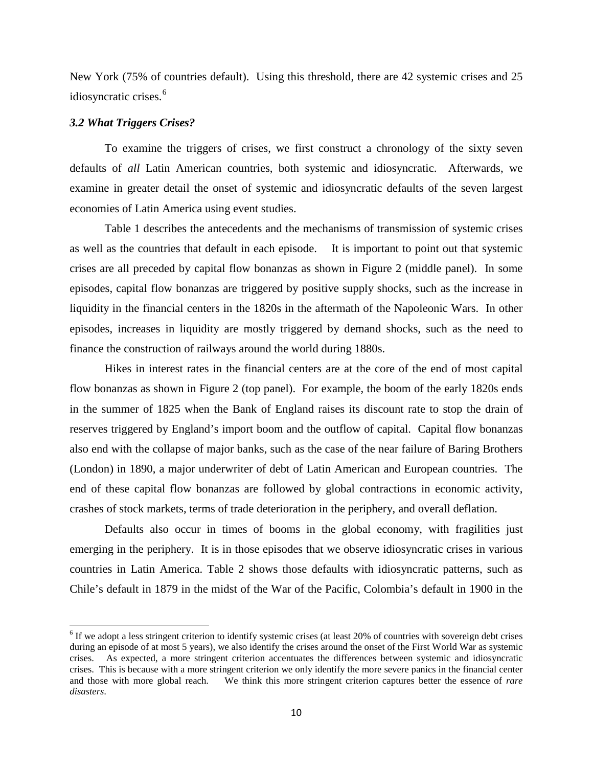New York (75% of countries default). Using this threshold, there are 42 systemic crises and 25 idiosyncratic crises.<sup>[6](#page-10-0)</sup>

#### *3.2 What Triggers Crises?*

To examine the triggers of crises, we first construct a chronology of the sixty seven defaults of *all* Latin American countries, both systemic and idiosyncratic. Afterwards, we examine in greater detail the onset of systemic and idiosyncratic defaults of the seven largest economies of Latin America using event studies.

Table 1 describes the antecedents and the mechanisms of transmission of systemic crises as well as the countries that default in each episode. It is important to point out that systemic crises are all preceded by capital flow bonanzas as shown in Figure 2 (middle panel). In some episodes, capital flow bonanzas are triggered by positive supply shocks, such as the increase in liquidity in the financial centers in the 1820s in the aftermath of the Napoleonic Wars. In other episodes, increases in liquidity are mostly triggered by demand shocks, such as the need to finance the construction of railways around the world during 1880s.

Hikes in interest rates in the financial centers are at the core of the end of most capital flow bonanzas as shown in Figure 2 (top panel). For example, the boom of the early 1820s ends in the summer of 1825 when the Bank of England raises its discount rate to stop the drain of reserves triggered by England's import boom and the outflow of capital. Capital flow bonanzas also end with the collapse of major banks, such as the case of the near failure of Baring Brothers (London) in 1890, a major underwriter of debt of Latin American and European countries. The end of these capital flow bonanzas are followed by global contractions in economic activity, crashes of stock markets, terms of trade deterioration in the periphery, and overall deflation.

Defaults also occur in times of booms in the global economy, with fragilities just emerging in the periphery. It is in those episodes that we observe idiosyncratic crises in various countries in Latin America. Table 2 shows those defaults with idiosyncratic patterns, such as Chile's default in 1879 in the midst of the War of the Pacific, Colombia's default in 1900 in the

<span id="page-10-0"></span> $<sup>6</sup>$  If we adopt a less stringent criterion to identify systemic crises (at least 20% of countries with sovereign debt crises</sup> during an episode of at most 5 years), we also identify the crises around the onset of the First World War as systemic crises. As expected, a more stringent criterion accentuates the differences between systemic and idiosyncratic crises. This is because with a more stringent criterion we only identify the more severe panics in the financial center and those with more global reach. We think this more stringent criterion captures better the essence of *rare disasters*.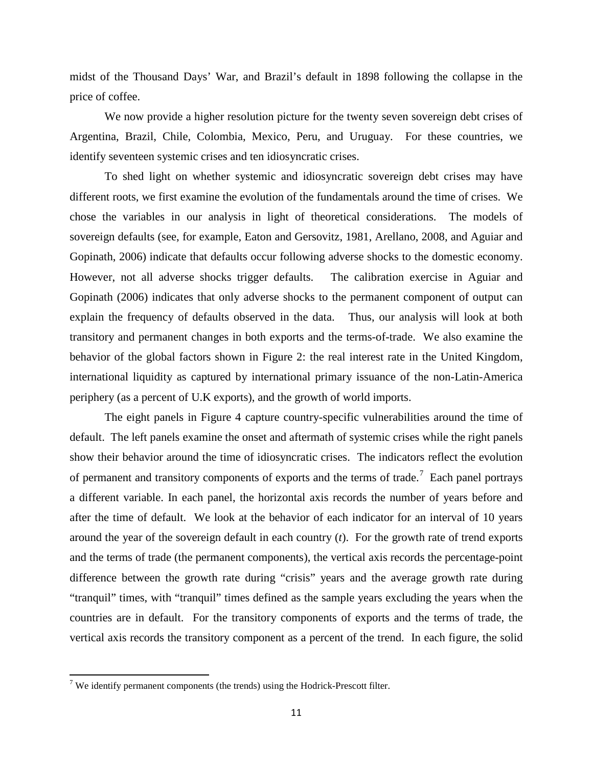midst of the Thousand Days' War, and Brazil's default in 1898 following the collapse in the price of coffee.

We now provide a higher resolution picture for the twenty seven sovereign debt crises of Argentina, Brazil, Chile, Colombia, Mexico, Peru, and Uruguay. For these countries, we identify seventeen systemic crises and ten idiosyncratic crises.

To shed light on whether systemic and idiosyncratic sovereign debt crises may have different roots, we first examine the evolution of the fundamentals around the time of crises. We chose the variables in our analysis in light of theoretical considerations. The models of sovereign defaults (see, for example, Eaton and Gersovitz, 1981, Arellano, 2008, and Aguiar and Gopinath, 2006) indicate that defaults occur following adverse shocks to the domestic economy. However, not all adverse shocks trigger defaults. The calibration exercise in Aguiar and Gopinath (2006) indicates that only adverse shocks to the permanent component of output can explain the frequency of defaults observed in the data. Thus, our analysis will look at both transitory and permanent changes in both exports and the terms-of-trade. We also examine the behavior of the global factors shown in Figure 2: the real interest rate in the United Kingdom, international liquidity as captured by international primary issuance of the non-Latin-America periphery (as a percent of U.K exports), and the growth of world imports.

The eight panels in Figure 4 capture country-specific vulnerabilities around the time of default. The left panels examine the onset and aftermath of systemic crises while the right panels show their behavior around the time of idiosyncratic crises. The indicators reflect the evolution of permanent and transitory components of exports and the terms of trade.<sup>[7](#page-11-0)</sup> Each panel portrays a different variable. In each panel, the horizontal axis records the number of years before and after the time of default. We look at the behavior of each indicator for an interval of 10 years around the year of the sovereign default in each country (*t*). For the growth rate of trend exports and the terms of trade (the permanent components), the vertical axis records the percentage-point difference between the growth rate during "crisis" years and the average growth rate during "tranquil" times, with "tranquil" times defined as the sample years excluding the years when the countries are in default. For the transitory components of exports and the terms of trade, the vertical axis records the transitory component as a percent of the trend. In each figure, the solid

<span id="page-11-0"></span> $7$  We identify permanent components (the trends) using the Hodrick-Prescott filter.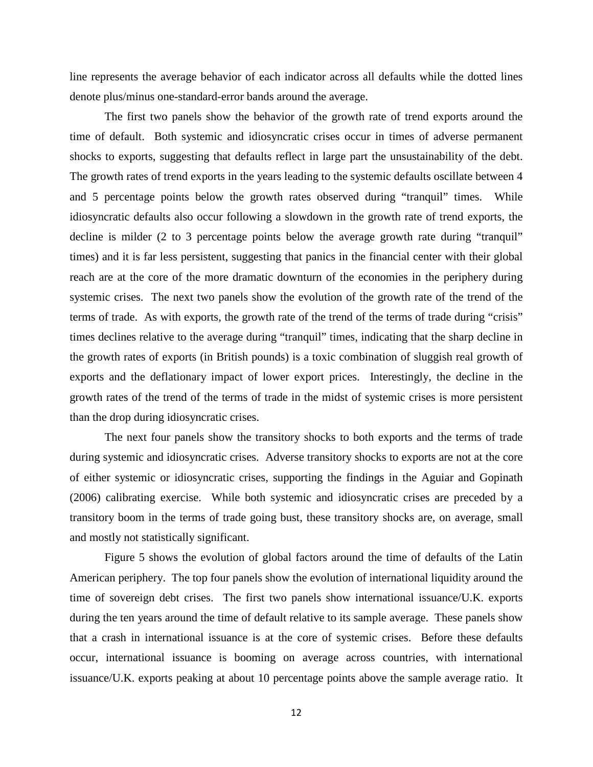line represents the average behavior of each indicator across all defaults while the dotted lines denote plus/minus one-standard-error bands around the average.

The first two panels show the behavior of the growth rate of trend exports around the time of default. Both systemic and idiosyncratic crises occur in times of adverse permanent shocks to exports, suggesting that defaults reflect in large part the unsustainability of the debt. The growth rates of trend exports in the years leading to the systemic defaults oscillate between 4 and 5 percentage points below the growth rates observed during "tranquil" times. While idiosyncratic defaults also occur following a slowdown in the growth rate of trend exports, the decline is milder (2 to 3 percentage points below the average growth rate during "tranquil" times) and it is far less persistent, suggesting that panics in the financial center with their global reach are at the core of the more dramatic downturn of the economies in the periphery during systemic crises. The next two panels show the evolution of the growth rate of the trend of the terms of trade. As with exports, the growth rate of the trend of the terms of trade during "crisis" times declines relative to the average during "tranquil" times, indicating that the sharp decline in the growth rates of exports (in British pounds) is a toxic combination of sluggish real growth of exports and the deflationary impact of lower export prices. Interestingly, the decline in the growth rates of the trend of the terms of trade in the midst of systemic crises is more persistent than the drop during idiosyncratic crises.

The next four panels show the transitory shocks to both exports and the terms of trade during systemic and idiosyncratic crises. Adverse transitory shocks to exports are not at the core of either systemic or idiosyncratic crises, supporting the findings in the Aguiar and Gopinath (2006) calibrating exercise. While both systemic and idiosyncratic crises are preceded by a transitory boom in the terms of trade going bust, these transitory shocks are, on average, small and mostly not statistically significant.

Figure 5 shows the evolution of global factors around the time of defaults of the Latin American periphery. The top four panels show the evolution of international liquidity around the time of sovereign debt crises. The first two panels show international issuance/U.K. exports during the ten years around the time of default relative to its sample average. These panels show that a crash in international issuance is at the core of systemic crises. Before these defaults occur, international issuance is booming on average across countries, with international issuance/U.K. exports peaking at about 10 percentage points above the sample average ratio. It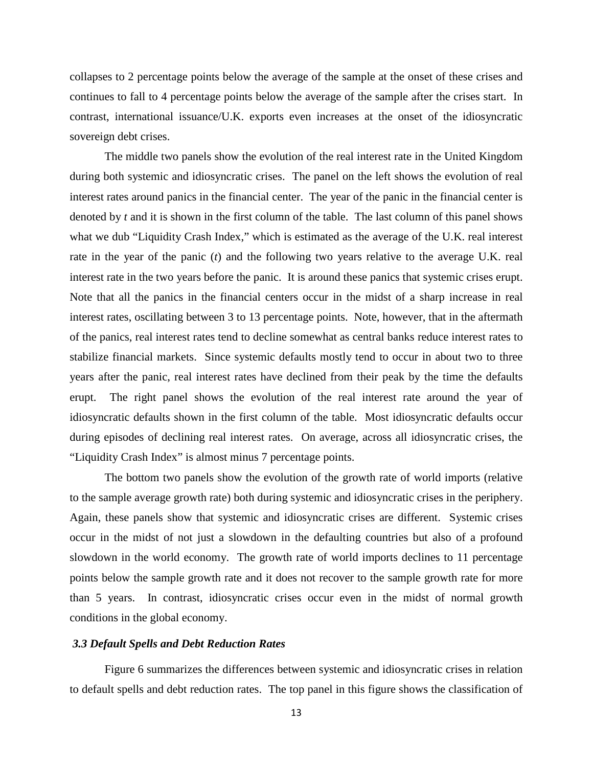collapses to 2 percentage points below the average of the sample at the onset of these crises and continues to fall to 4 percentage points below the average of the sample after the crises start. In contrast, international issuance/U.K. exports even increases at the onset of the idiosyncratic sovereign debt crises.

The middle two panels show the evolution of the real interest rate in the United Kingdom during both systemic and idiosyncratic crises. The panel on the left shows the evolution of real interest rates around panics in the financial center. The year of the panic in the financial center is denoted by *t* and it is shown in the first column of the table. The last column of this panel shows what we dub "Liquidity Crash Index," which is estimated as the average of the U.K. real interest rate in the year of the panic (*t*) and the following two years relative to the average U.K. real interest rate in the two years before the panic. It is around these panics that systemic crises erupt. Note that all the panics in the financial centers occur in the midst of a sharp increase in real interest rates, oscillating between 3 to 13 percentage points. Note, however, that in the aftermath of the panics, real interest rates tend to decline somewhat as central banks reduce interest rates to stabilize financial markets. Since systemic defaults mostly tend to occur in about two to three years after the panic, real interest rates have declined from their peak by the time the defaults erupt. The right panel shows the evolution of the real interest rate around the year of idiosyncratic defaults shown in the first column of the table. Most idiosyncratic defaults occur during episodes of declining real interest rates. On average, across all idiosyncratic crises, the "Liquidity Crash Index" is almost minus 7 percentage points.

The bottom two panels show the evolution of the growth rate of world imports (relative to the sample average growth rate) both during systemic and idiosyncratic crises in the periphery. Again, these panels show that systemic and idiosyncratic crises are different. Systemic crises occur in the midst of not just a slowdown in the defaulting countries but also of a profound slowdown in the world economy. The growth rate of world imports declines to 11 percentage points below the sample growth rate and it does not recover to the sample growth rate for more than 5 years. In contrast, idiosyncratic crises occur even in the midst of normal growth conditions in the global economy.

#### *3.3 Default Spells and Debt Reduction Rates*

Figure 6 summarizes the differences between systemic and idiosyncratic crises in relation to default spells and debt reduction rates. The top panel in this figure shows the classification of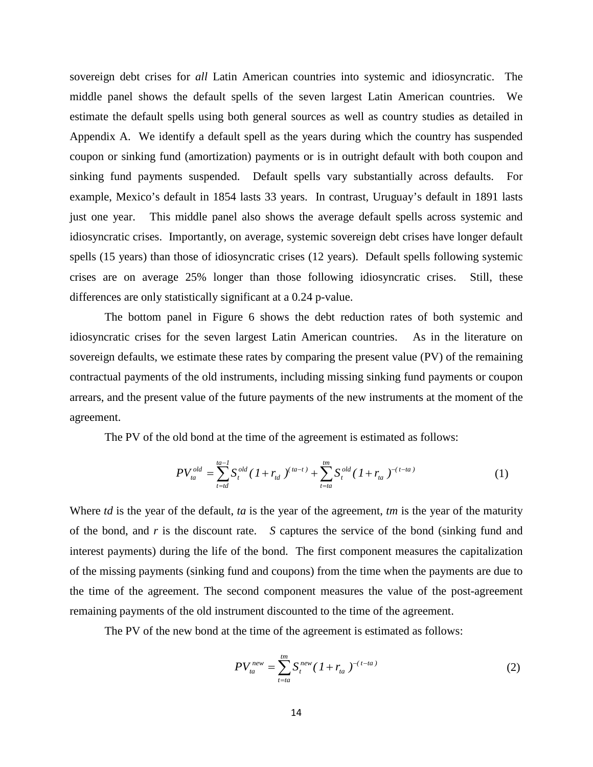sovereign debt crises for *all* Latin American countries into systemic and idiosyncratic. The middle panel shows the default spells of the seven largest Latin American countries. We estimate the default spells using both general sources as well as country studies as detailed in Appendix A. We identify a default spell as the years during which the country has suspended coupon or sinking fund (amortization) payments or is in outright default with both coupon and sinking fund payments suspended. Default spells vary substantially across defaults. For example, Mexico's default in 1854 lasts 33 years. In contrast, Uruguay's default in 1891 lasts just one year. This middle panel also shows the average default spells across systemic and idiosyncratic crises. Importantly, on average, systemic sovereign debt crises have longer default spells (15 years) than those of idiosyncratic crises (12 years). Default spells following systemic crises are on average 25% longer than those following idiosyncratic crises. Still, these differences are only statistically significant at a 0.24 p-value.

The bottom panel in Figure 6 shows the debt reduction rates of both systemic and idiosyncratic crises for the seven largest Latin American countries. As in the literature on sovereign defaults, we estimate these rates by comparing the present value (PV) of the remaining contractual payments of the old instruments, including missing sinking fund payments or coupon arrears, and the present value of the future payments of the new instruments at the moment of the agreement.

The PV of the old bond at the time of the agreement is estimated as follows:

$$
PV_{ta}^{old} = \sum_{t=td}^{ta-1} S_t^{old} (1 + r_{td})^{(ta-t)} + \sum_{t=ta}^{tm} S_t^{old} (1 + r_{ta})^{-(t-ta)}
$$
(1)

Where *td* is the year of the default, *ta* is the year of the agreement, *tm* is the year of the maturity of the bond, and *r* is the discount rate. *S* captures the service of the bond (sinking fund and interest payments) during the life of the bond. The first component measures the capitalization of the missing payments (sinking fund and coupons) from the time when the payments are due to the time of the agreement. The second component measures the value of the post-agreement remaining payments of the old instrument discounted to the time of the agreement.

The PV of the new bond at the time of the agreement is estimated as follows:

$$
PV_{ta}^{new} = \sum_{t=ta}^{tm} S_t^{new} (1 + r_{ta})^{-(t-ta)}
$$
 (2)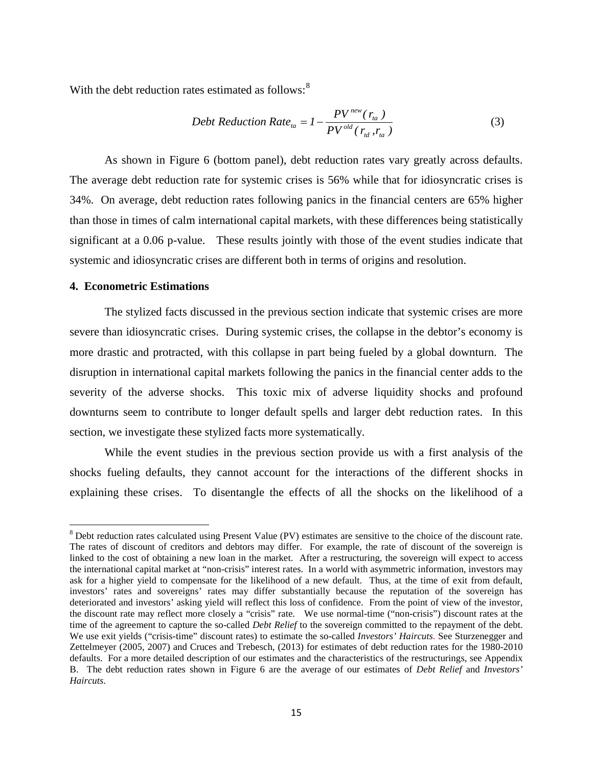With the debt reduction rates estimated as follows:<sup>[8](#page-15-0)</sup>

$$
Debt Reduction Rate_{ta} = 1 - \frac{PV^{new}(r_{ta})}{PV^{old}(r_{td},r_{ta})}
$$
\n(3)

As shown in Figure 6 (bottom panel), debt reduction rates vary greatly across defaults. The average debt reduction rate for systemic crises is 56% while that for idiosyncratic crises is 34%. On average, debt reduction rates following panics in the financial centers are 65% higher than those in times of calm international capital markets, with these differences being statistically significant at a 0.06 p-value. These results jointly with those of the event studies indicate that systemic and idiosyncratic crises are different both in terms of origins and resolution.

## **4. Econometric Estimations**

The stylized facts discussed in the previous section indicate that systemic crises are more severe than idiosyncratic crises. During systemic crises, the collapse in the debtor's economy is more drastic and protracted, with this collapse in part being fueled by a global downturn. The disruption in international capital markets following the panics in the financial center adds to the severity of the adverse shocks. This toxic mix of adverse liquidity shocks and profound downturns seem to contribute to longer default spells and larger debt reduction rates. In this section, we investigate these stylized facts more systematically.

While the event studies in the previous section provide us with a first analysis of the shocks fueling defaults, they cannot account for the interactions of the different shocks in explaining these crises. To disentangle the effects of all the shocks on the likelihood of a

<span id="page-15-0"></span><sup>&</sup>lt;sup>8</sup> Debt reduction rates calculated using Present Value (PV) estimates are sensitive to the choice of the discount rate. The rates of discount of creditors and debtors may differ. For example, the rate of discount of the sovereign is linked to the cost of obtaining a new loan in the market. After a restructuring, the sovereign will expect to access the international capital market at "non-crisis" interest rates. In a world with asymmetric information, investors may ask for a higher yield to compensate for the likelihood of a new default. Thus, at the time of exit from default, investors' rates and sovereigns' rates may differ substantially because the reputation of the sovereign has deteriorated and investors' asking yield will reflect this loss of confidence. From the point of view of the investor, the discount rate may reflect more closely a "crisis" rate. We use normal-time ("non-crisis") discount rates at the time of the agreement to capture the so-called *Debt Relief* to the sovereign committed to the repayment of the debt. We use exit yields ("crisis-time" discount rates) to estimate the so-called *Investors' Haircuts*. See Sturzenegger and Zettelmeyer (2005, 2007) and Cruces and Trebesch, (2013) for estimates of debt reduction rates for the 1980-2010 defaults. For a more detailed description of our estimates and the characteristics of the restructurings, see Appendix B. The debt reduction rates shown in Figure 6 are the average of our estimates of *Debt Relief* and *Investors' Haircuts*.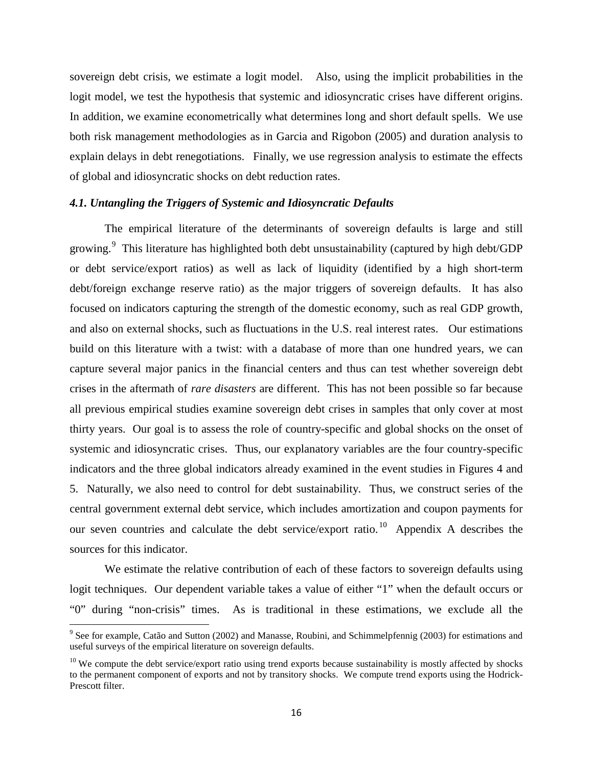sovereign debt crisis, we estimate a logit model. Also, using the implicit probabilities in the logit model, we test the hypothesis that systemic and idiosyncratic crises have different origins. In addition, we examine econometrically what determines long and short default spells. We use both risk management methodologies as in Garcia and Rigobon (2005) and duration analysis to explain delays in debt renegotiations. Finally, we use regression analysis to estimate the effects of global and idiosyncratic shocks on debt reduction rates.

### *4.1. Untangling the Triggers of Systemic and Idiosyncratic Defaults*

The empirical literature of the determinants of sovereign defaults is large and still growing.<sup>[9](#page-16-0)</sup> This literature has highlighted both debt unsustainability (captured by high debt/GDP or debt service/export ratios) as well as lack of liquidity (identified by a high short-term debt/foreign exchange reserve ratio) as the major triggers of sovereign defaults. It has also focused on indicators capturing the strength of the domestic economy, such as real GDP growth, and also on external shocks, such as fluctuations in the U.S. real interest rates. Our estimations build on this literature with a twist: with a database of more than one hundred years, we can capture several major panics in the financial centers and thus can test whether sovereign debt crises in the aftermath of *rare disasters* are different. This has not been possible so far because all previous empirical studies examine sovereign debt crises in samples that only cover at most thirty years. Our goal is to assess the role of country-specific and global shocks on the onset of systemic and idiosyncratic crises. Thus, our explanatory variables are the four country-specific indicators and the three global indicators already examined in the event studies in Figures 4 and 5. Naturally, we also need to control for debt sustainability. Thus, we construct series of the central government external debt service, which includes amortization and coupon payments for our seven countries and calculate the debt service/export ratio.<sup>[10](#page-16-1)</sup> Appendix A describes the sources for this indicator.

We estimate the relative contribution of each of these factors to sovereign defaults using logit techniques. Our dependent variable takes a value of either "1" when the default occurs or "0" during "non-crisis" times. As is traditional in these estimations, we exclude all the

<span id="page-16-0"></span> $9$  See for example, Catão and Sutton (2002) and Manasse, Roubini, and Schimmelpfennig (2003) for estimations and useful surveys of the empirical literature on sovereign defaults.

<span id="page-16-1"></span> $10$  We compute the debt service/export ratio using trend exports because sustainability is mostly affected by shocks to the permanent component of exports and not by transitory shocks. We compute trend exports using the Hodrick-Prescott filter.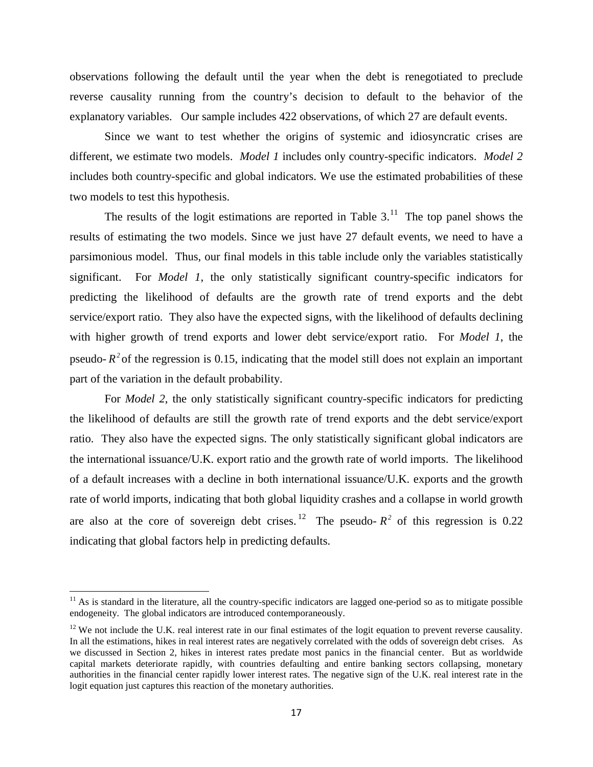observations following the default until the year when the debt is renegotiated to preclude reverse causality running from the country's decision to default to the behavior of the explanatory variables. Our sample includes 422 observations, of which 27 are default events.

Since we want to test whether the origins of systemic and idiosyncratic crises are different, we estimate two models. *Model 1* includes only country-specific indicators. *Model 2* includes both country-specific and global indicators. We use the estimated probabilities of these two models to test this hypothesis.

The results of the logit estimations are reported in Table  $3<sup>11</sup>$  $3<sup>11</sup>$  $3<sup>11</sup>$ . The top panel shows the results of estimating the two models. Since we just have 27 default events, we need to have a parsimonious model. Thus, our final models in this table include only the variables statistically significant. For *Model 1*, the only statistically significant country-specific indicators for predicting the likelihood of defaults are the growth rate of trend exports and the debt service/export ratio. They also have the expected signs, with the likelihood of defaults declining with higher growth of trend exports and lower debt service/export ratio. For *Model 1*, the pseudo-  $R<sup>2</sup>$  of the regression is 0.15, indicating that the model still does not explain an important part of the variation in the default probability.

For *Model 2*, the only statistically significant country-specific indicators for predicting the likelihood of defaults are still the growth rate of trend exports and the debt service/export ratio. They also have the expected signs. The only statistically significant global indicators are the international issuance/U.K. export ratio and the growth rate of world imports. The likelihood of a default increases with a decline in both international issuance/U.K. exports and the growth rate of world imports, indicating that both global liquidity crashes and a collapse in world growth are also at the core of sovereign debt crises. <sup>[12](#page-17-1)</sup> The pseudo-  $R^2$  of this regression is 0.22 indicating that global factors help in predicting defaults.

<span id="page-17-0"></span> $11$  As is standard in the literature, all the country-specific indicators are lagged one-period so as to mitigate possible endogeneity. The global indicators are introduced contemporaneously.

<span id="page-17-1"></span> $12$  We not include the U.K. real interest rate in our final estimates of the logit equation to prevent reverse causality. In all the estimations, hikes in real interest rates are negatively correlated with the odds of sovereign debt crises. As we discussed in Section 2, hikes in interest rates predate most panics in the financial center. But as worldwide capital markets deteriorate rapidly, with countries defaulting and entire banking sectors collapsing, monetary authorities in the financial center rapidly lower interest rates. The negative sign of the U.K. real interest rate in the logit equation just captures this reaction of the monetary authorities.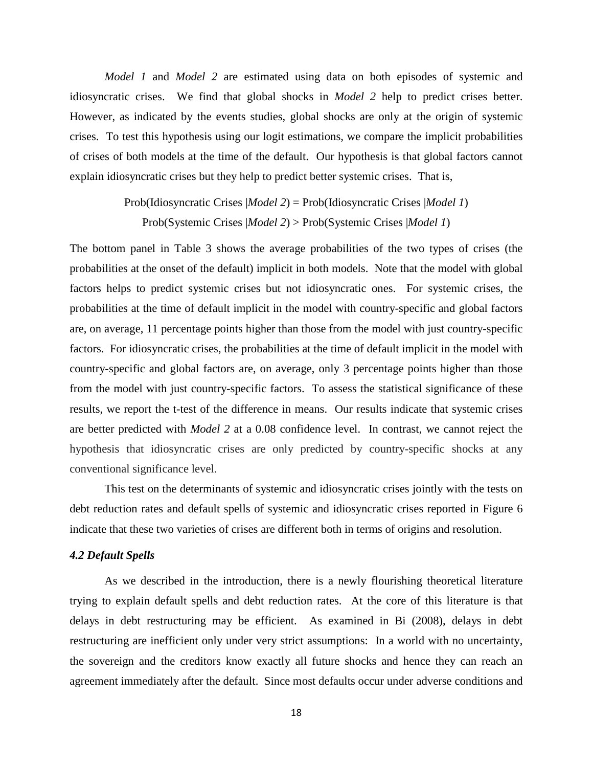*Model 1* and *Model 2* are estimated using data on both episodes of systemic and idiosyncratic crises. We find that global shocks in *Model 2* help to predict crises better. However, as indicated by the events studies, global shocks are only at the origin of systemic crises. To test this hypothesis using our logit estimations, we compare the implicit probabilities of crises of both models at the time of the default. Our hypothesis is that global factors cannot explain idiosyncratic crises but they help to predict better systemic crises. That is,

> Prob(Idiosyncratic Crises |*Model 2*) = Prob(Idiosyncratic Crises |*Model 1*) Prob(Systemic Crises |*Model 2*) > Prob(Systemic Crises |*Model 1*)

The bottom panel in Table 3 shows the average probabilities of the two types of crises (the probabilities at the onset of the default) implicit in both models. Note that the model with global factors helps to predict systemic crises but not idiosyncratic ones. For systemic crises, the probabilities at the time of default implicit in the model with country-specific and global factors are, on average, 11 percentage points higher than those from the model with just country-specific factors. For idiosyncratic crises, the probabilities at the time of default implicit in the model with country-specific and global factors are, on average, only 3 percentage points higher than those from the model with just country-specific factors. To assess the statistical significance of these results, we report the t-test of the difference in means. Our results indicate that systemic crises are better predicted with *Model 2* at a 0.08 confidence level. In contrast, we cannot reject the hypothesis that idiosyncratic crises are only predicted by country-specific shocks at any conventional significance level.

This test on the determinants of systemic and idiosyncratic crises jointly with the tests on debt reduction rates and default spells of systemic and idiosyncratic crises reported in Figure 6 indicate that these two varieties of crises are different both in terms of origins and resolution.

#### *4.2 Default Spells*

As we described in the introduction, there is a newly flourishing theoretical literature trying to explain default spells and debt reduction rates. At the core of this literature is that delays in debt restructuring may be efficient. As examined in Bi (2008), delays in debt restructuring are inefficient only under very strict assumptions: In a world with no uncertainty, the sovereign and the creditors know exactly all future shocks and hence they can reach an agreement immediately after the default. Since most defaults occur under adverse conditions and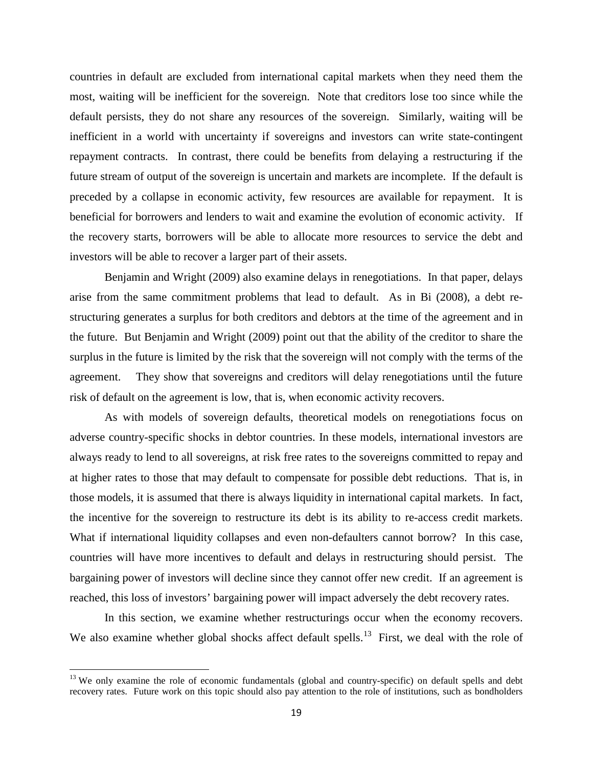countries in default are excluded from international capital markets when they need them the most, waiting will be inefficient for the sovereign. Note that creditors lose too since while the default persists, they do not share any resources of the sovereign. Similarly, waiting will be inefficient in a world with uncertainty if sovereigns and investors can write state-contingent repayment contracts. In contrast, there could be benefits from delaying a restructuring if the future stream of output of the sovereign is uncertain and markets are incomplete. If the default is preceded by a collapse in economic activity, few resources are available for repayment. It is beneficial for borrowers and lenders to wait and examine the evolution of economic activity. If the recovery starts, borrowers will be able to allocate more resources to service the debt and investors will be able to recover a larger part of their assets.

Benjamin and Wright (2009) also examine delays in renegotiations. In that paper, delays arise from the same commitment problems that lead to default. As in Bi (2008), a debt restructuring generates a surplus for both creditors and debtors at the time of the agreement and in the future. But Benjamin and Wright (2009) point out that the ability of the creditor to share the surplus in the future is limited by the risk that the sovereign will not comply with the terms of the agreement. They show that sovereigns and creditors will delay renegotiations until the future risk of default on the agreement is low, that is, when economic activity recovers.

As with models of sovereign defaults, theoretical models on renegotiations focus on adverse country-specific shocks in debtor countries. In these models, international investors are always ready to lend to all sovereigns, at risk free rates to the sovereigns committed to repay and at higher rates to those that may default to compensate for possible debt reductions. That is, in those models, it is assumed that there is always liquidity in international capital markets. In fact, the incentive for the sovereign to restructure its debt is its ability to re-access credit markets. What if international liquidity collapses and even non-defaulters cannot borrow? In this case, countries will have more incentives to default and delays in restructuring should persist. The bargaining power of investors will decline since they cannot offer new credit. If an agreement is reached, this loss of investors' bargaining power will impact adversely the debt recovery rates.

In this section, we examine whether restructurings occur when the economy recovers. We also examine whether global shocks affect default spells.<sup>13</sup> First, we deal with the role of

<span id="page-19-0"></span><sup>&</sup>lt;sup>13</sup> We only examine the role of economic fundamentals (global and country-specific) on default spells and debt recovery rates. Future work on this topic should also pay attention to the role of institutions, such as bondholders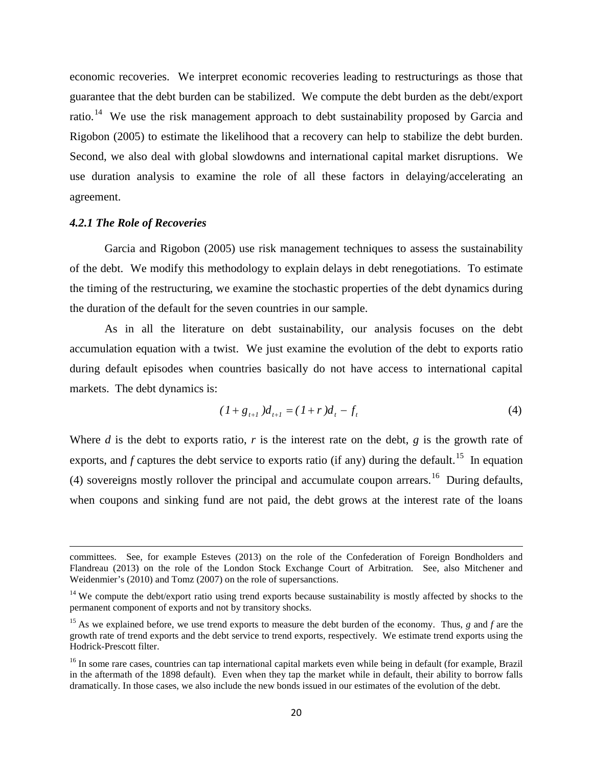economic recoveries. We interpret economic recoveries leading to restructurings as those that guarantee that the debt burden can be stabilized. We compute the debt burden as the debt/export ratio.<sup>14</sup> We use the risk management approach to debt sustainability proposed by Garcia and Rigobon (2005) to estimate the likelihood that a recovery can help to stabilize the debt burden. Second, we also deal with global slowdowns and international capital market disruptions. We use duration analysis to examine the role of all these factors in delaying/accelerating an agreement.

#### *4.2.1 The Role of Recoveries*

 $\overline{\phantom{a}}$ 

Garcia and Rigobon (2005) use risk management techniques to assess the sustainability of the debt. We modify this methodology to explain delays in debt renegotiations. To estimate the timing of the restructuring, we examine the stochastic properties of the debt dynamics during the duration of the default for the seven countries in our sample.

As in all the literature on debt sustainability, our analysis focuses on the debt accumulation equation with a twist. We just examine the evolution of the debt to exports ratio during default episodes when countries basically do not have access to international capital markets. The debt dynamics is:

$$
(1 + g_{t+1})d_{t+1} = (1 + r)d_t - f_t
$$
\n(4)

Where *d* is the debt to exports ratio, *r* is the interest rate on the debt, *g* is the growth rate of exports, and  $f$  captures the debt service to exports ratio (if any) during the default.<sup>[15](#page-20-1)</sup> In equation  $(4)$  sovereigns mostly rollover the principal and accumulate coupon arrears.<sup>16</sup> During defaults, when coupons and sinking fund are not paid, the debt grows at the interest rate of the loans

committees. See, for example Esteves (2013) on the role of the Confederation of Foreign Bondholders and Flandreau (2013) on the role of the London Stock Exchange Court of Arbitration. See, also Mitchener and Weidenmier's (2010) and Tomz (2007) on the role of supersanctions.

<span id="page-20-0"></span> $14$  We compute the debt/export ratio using trend exports because sustainability is mostly affected by shocks to the permanent component of exports and not by transitory shocks.

<span id="page-20-1"></span><sup>15</sup> As we explained before, we use trend exports to measure the debt burden of the economy. Thus, *g* and *f* are the growth rate of trend exports and the debt service to trend exports, respectively. We estimate trend exports using the Hodrick-Prescott filter.

<span id="page-20-2"></span><sup>&</sup>lt;sup>16</sup> In some rare cases, countries can tap international capital markets even while being in default (for example, Brazil) in the aftermath of the 1898 default). Even when they tap the market while in default, their ability to borrow falls dramatically. In those cases, we also include the new bonds issued in our estimates of the evolution of the debt.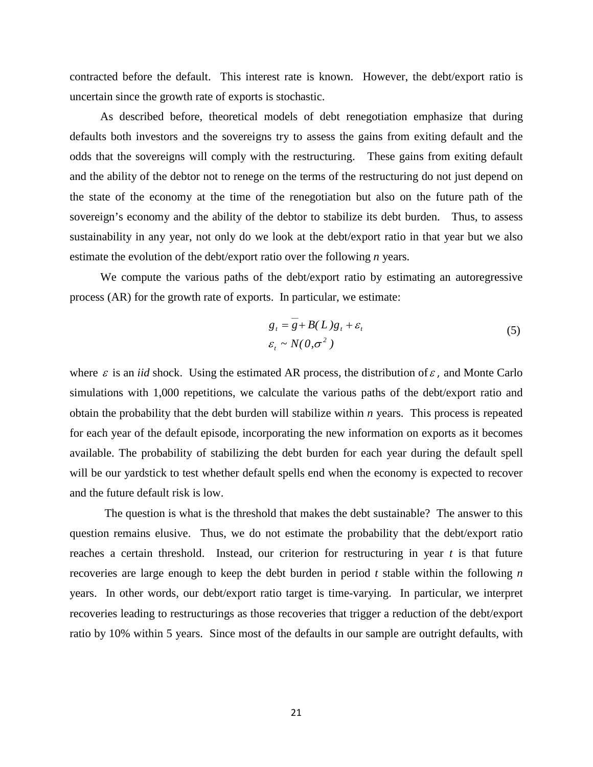contracted before the default. This interest rate is known. However, the debt/export ratio is uncertain since the growth rate of exports is stochastic.

As described before, theoretical models of debt renegotiation emphasize that during defaults both investors and the sovereigns try to assess the gains from exiting default and the odds that the sovereigns will comply with the restructuring. These gains from exiting default and the ability of the debtor not to renege on the terms of the restructuring do not just depend on the state of the economy at the time of the renegotiation but also on the future path of the sovereign's economy and the ability of the debtor to stabilize its debt burden. Thus, to assess sustainability in any year, not only do we look at the debt/export ratio in that year but we also estimate the evolution of the debt/export ratio over the following *n* years.

We compute the various paths of the debt/export ratio by estimating an autoregressive process (AR) for the growth rate of exports. In particular, we estimate:

$$
g_{t} = \overline{g} + B(L)g_{t} + \varepsilon_{t}
$$
  
\n
$$
\varepsilon_{t} \sim N(0, \sigma^{2})
$$
\n(5)

where  $\varepsilon$  is an *iid* shock. Using the estimated AR process, the distribution of  $\varepsilon$ , and Monte Carlo simulations with 1,000 repetitions, we calculate the various paths of the debt/export ratio and obtain the probability that the debt burden will stabilize within *n* years. This process is repeated for each year of the default episode, incorporating the new information on exports as it becomes available. The probability of stabilizing the debt burden for each year during the default spell will be our yardstick to test whether default spells end when the economy is expected to recover and the future default risk is low.

The question is what is the threshold that makes the debt sustainable? The answer to this question remains elusive. Thus, we do not estimate the probability that the debt/export ratio reaches a certain threshold. Instead, our criterion for restructuring in year *t* is that future recoveries are large enough to keep the debt burden in period *t* stable within the following *n* years. In other words, our debt/export ratio target is time-varying. In particular, we interpret recoveries leading to restructurings as those recoveries that trigger a reduction of the debt/export ratio by 10% within 5 years. Since most of the defaults in our sample are outright defaults, with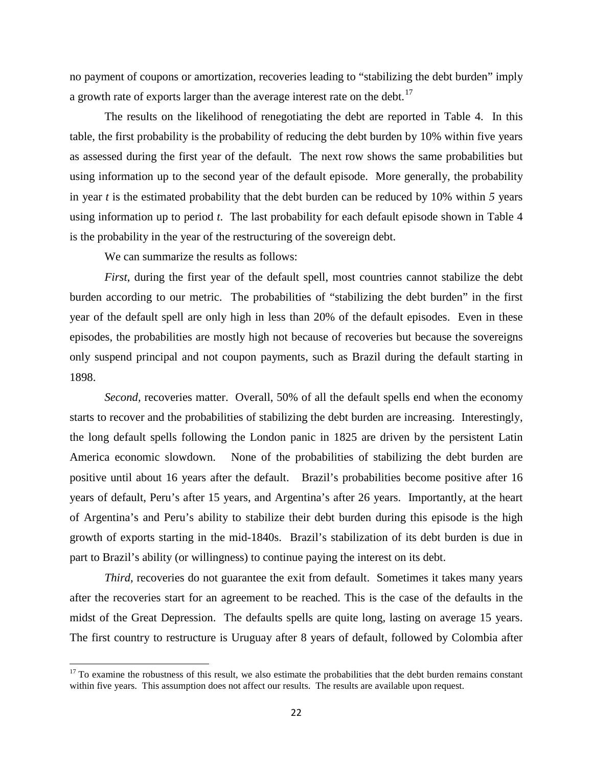no payment of coupons or amortization, recoveries leading to "stabilizing the debt burden" imply a growth rate of exports larger than the average interest rate on the debt.<sup>[17](#page-22-0)</sup>

The results on the likelihood of renegotiating the debt are reported in Table 4. In this table, the first probability is the probability of reducing the debt burden by 10% within five years as assessed during the first year of the default. The next row shows the same probabilities but using information up to the second year of the default episode. More generally, the probability in year *t* is the estimated probability that the debt burden can be reduced by 10% within *5* years using information up to period *t*. The last probability for each default episode shown in Table 4 is the probability in the year of the restructuring of the sovereign debt.

We can summarize the results as follows:

*First*, during the first year of the default spell, most countries cannot stabilize the debt burden according to our metric. The probabilities of "stabilizing the debt burden" in the first year of the default spell are only high in less than 20% of the default episodes. Even in these episodes, the probabilities are mostly high not because of recoveries but because the sovereigns only suspend principal and not coupon payments, such as Brazil during the default starting in 1898.

*Second,* recoveries matter. Overall, 50% of all the default spells end when the economy starts to recover and the probabilities of stabilizing the debt burden are increasing. Interestingly, the long default spells following the London panic in 1825 are driven by the persistent Latin America economic slowdown. None of the probabilities of stabilizing the debt burden are positive until about 16 years after the default. Brazil's probabilities become positive after 16 years of default, Peru's after 15 years, and Argentina's after 26 years. Importantly, at the heart of Argentina's and Peru's ability to stabilize their debt burden during this episode is the high growth of exports starting in the mid-1840s. Brazil's stabilization of its debt burden is due in part to Brazil's ability (or willingness) to continue paying the interest on its debt.

*Third*, recoveries do not guarantee the exit from default. Sometimes it takes many years after the recoveries start for an agreement to be reached. This is the case of the defaults in the midst of the Great Depression. The defaults spells are quite long, lasting on average 15 years. The first country to restructure is Uruguay after 8 years of default, followed by Colombia after

<span id="page-22-0"></span> $17$  To examine the robustness of this result, we also estimate the probabilities that the debt burden remains constant within five years. This assumption does not affect our results. The results are available upon request.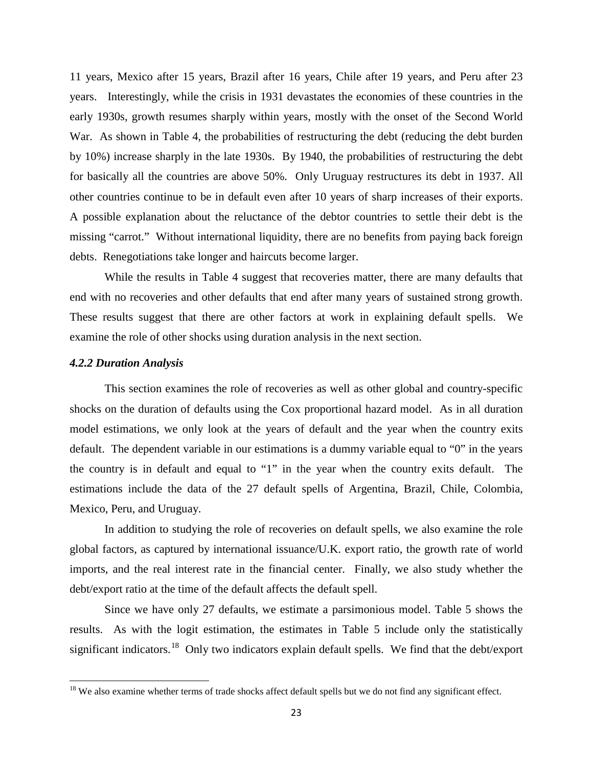11 years, Mexico after 15 years, Brazil after 16 years, Chile after 19 years, and Peru after 23 years. Interestingly, while the crisis in 1931 devastates the economies of these countries in the early 1930s, growth resumes sharply within years, mostly with the onset of the Second World War. As shown in Table 4, the probabilities of restructuring the debt (reducing the debt burden by 10%) increase sharply in the late 1930s. By 1940, the probabilities of restructuring the debt for basically all the countries are above 50%. Only Uruguay restructures its debt in 1937. All other countries continue to be in default even after 10 years of sharp increases of their exports. A possible explanation about the reluctance of the debtor countries to settle their debt is the missing "carrot." Without international liquidity, there are no benefits from paying back foreign debts. Renegotiations take longer and haircuts become larger.

While the results in Table 4 suggest that recoveries matter, there are many defaults that end with no recoveries and other defaults that end after many years of sustained strong growth. These results suggest that there are other factors at work in explaining default spells. We examine the role of other shocks using duration analysis in the next section.

#### *4.2.2 Duration Analysis*

This section examines the role of recoveries as well as other global and country-specific shocks on the duration of defaults using the Cox proportional hazard model. As in all duration model estimations, we only look at the years of default and the year when the country exits default. The dependent variable in our estimations is a dummy variable equal to "0" in the years the country is in default and equal to "1" in the year when the country exits default. The estimations include the data of the 27 default spells of Argentina, Brazil, Chile, Colombia, Mexico, Peru, and Uruguay.

In addition to studying the role of recoveries on default spells, we also examine the role global factors, as captured by international issuance/U.K. export ratio, the growth rate of world imports, and the real interest rate in the financial center. Finally, we also study whether the debt/export ratio at the time of the default affects the default spell.

Since we have only 27 defaults, we estimate a parsimonious model. Table 5 shows the results. As with the logit estimation, the estimates in Table 5 include only the statistically significant indicators.<sup>[18](#page-23-0)</sup> Only two indicators explain default spells. We find that the debt/export

<span id="page-23-0"></span><sup>&</sup>lt;sup>18</sup> We also examine whether terms of trade shocks affect default spells but we do not find any significant effect.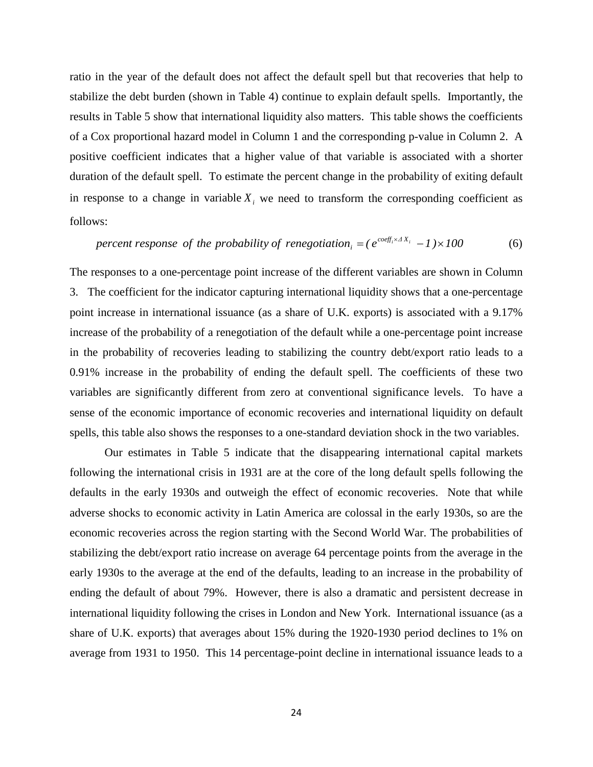ratio in the year of the default does not affect the default spell but that recoveries that help to stabilize the debt burden (shown in Table 4) continue to explain default spells. Importantly, the results in Table 5 show that international liquidity also matters. This table shows the coefficients of a Cox proportional hazard model in Column 1 and the corresponding p-value in Column 2. A positive coefficient indicates that a higher value of that variable is associated with a shorter duration of the default spell. To estimate the percent change in the probability of exiting default in response to a change in variable  $X_i$ , we need to transform the corresponding coefficient as follows:

*percent response of the probability of renegotiation*<sub>*i*</sub> = 
$$
(e^{coeff_{i} \times \Delta X_{i}} - 1) \times 100
$$
 (6)

The responses to a one-percentage point increase of the different variables are shown in Column 3. The coefficient for the indicator capturing international liquidity shows that a one-percentage point increase in international issuance (as a share of U.K. exports) is associated with a 9.17% increase of the probability of a renegotiation of the default while a one-percentage point increase in the probability of recoveries leading to stabilizing the country debt/export ratio leads to a 0.91% increase in the probability of ending the default spell. The coefficients of these two variables are significantly different from zero at conventional significance levels. To have a sense of the economic importance of economic recoveries and international liquidity on default spells, this table also shows the responses to a one-standard deviation shock in the two variables.

Our estimates in Table 5 indicate that the disappearing international capital markets following the international crisis in 1931 are at the core of the long default spells following the defaults in the early 1930s and outweigh the effect of economic recoveries. Note that while adverse shocks to economic activity in Latin America are colossal in the early 1930s, so are the economic recoveries across the region starting with the Second World War. The probabilities of stabilizing the debt/export ratio increase on average 64 percentage points from the average in the early 1930s to the average at the end of the defaults, leading to an increase in the probability of ending the default of about 79%. However, there is also a dramatic and persistent decrease in international liquidity following the crises in London and New York. International issuance (as a share of U.K. exports) that averages about 15% during the 1920-1930 period declines to 1% on average from 1931 to 1950. This 14 percentage-point decline in international issuance leads to a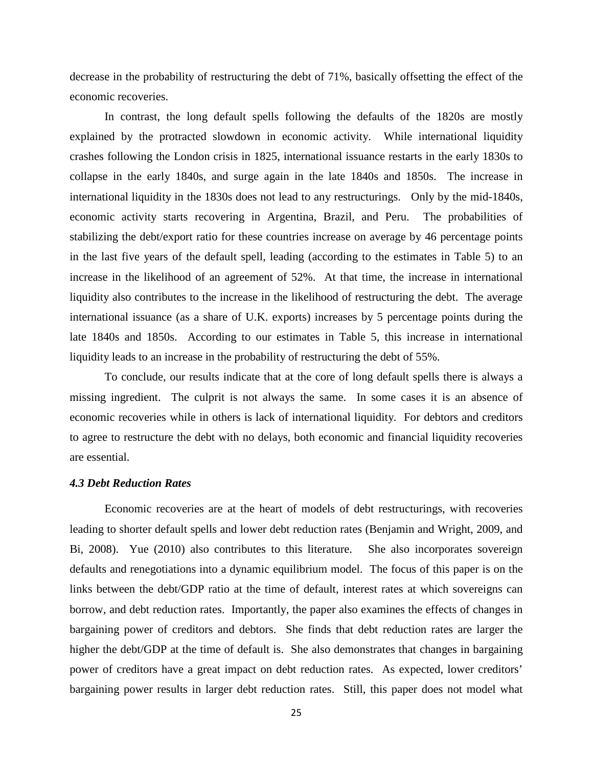decrease in the probability of restructuring the debt of 71%, basically offsetting the effect of the economic recoveries.

In contrast, the long default spells following the defaults of the 1820s are mostly explained by the protracted slowdown in economic activity. While international liquidity crashes following the London crisis in 1825, international issuance restarts in the early 1830s to collapse in the early 1840s, and surge again in the late 1840s and 1850s. The increase in international liquidity in the 1830s does not lead to any restructurings. Only by the mid-1840s, economic activity starts recovering in Argentina, Brazil, and Peru. The probabilities of stabilizing the debt/export ratio for these countries increase on average by 46 percentage points in the last five years of the default spell, leading (according to the estimates in Table 5) to an increase in the likelihood of an agreement of 52%. At that time, the increase in international liquidity also contributes to the increase in the likelihood of restructuring the debt. The average international issuance (as a share of U.K. exports) increases by 5 percentage points during the late 1840s and 1850s. According to our estimates in Table 5, this increase in international liquidity leads to an increase in the probability of restructuring the debt of 55%.

To conclude, our results indicate that at the core of long default spells there is always a missing ingredient. The culprit is not always the same. In some cases it is an absence of economic recoveries while in others is lack of international liquidity. For debtors and creditors to agree to restructure the debt with no delays, both economic and financial liquidity recoveries are essential.

#### *4.3 Debt Reduction Rates*

Economic recoveries are at the heart of models of debt restructurings, with recoveries leading to shorter default spells and lower debt reduction rates (Benjamin and Wright, 2009, and Bi, 2008). Yue (2010) also contributes to this literature. She also incorporates sovereign defaults and renegotiations into a dynamic equilibrium model. The focus of this paper is on the links between the debt/GDP ratio at the time of default, interest rates at which sovereigns can borrow, and debt reduction rates. Importantly, the paper also examines the effects of changes in bargaining power of creditors and debtors. She finds that debt reduction rates are larger the higher the debt/GDP at the time of default is. She also demonstrates that changes in bargaining power of creditors have a great impact on debt reduction rates. As expected, lower creditors' bargaining power results in larger debt reduction rates. Still, this paper does not model what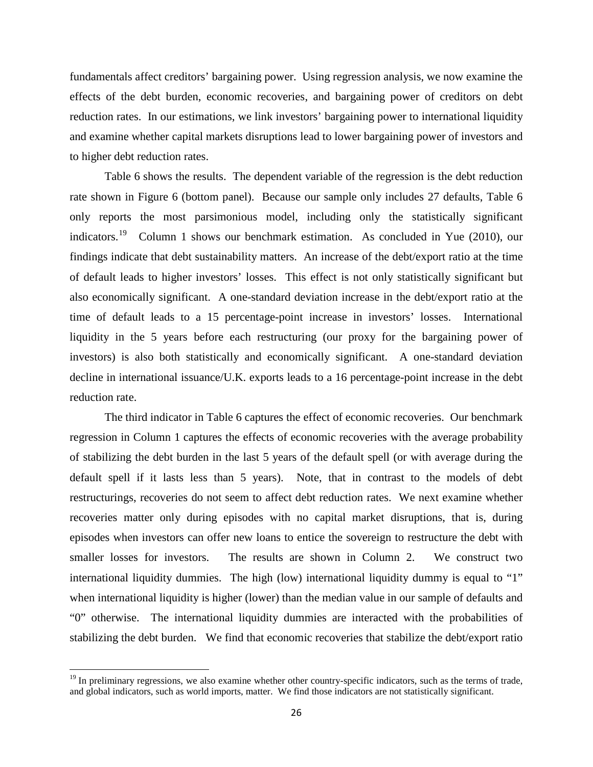fundamentals affect creditors' bargaining power. Using regression analysis, we now examine the effects of the debt burden, economic recoveries, and bargaining power of creditors on debt reduction rates. In our estimations, we link investors' bargaining power to international liquidity and examine whether capital markets disruptions lead to lower bargaining power of investors and to higher debt reduction rates.

Table 6 shows the results. The dependent variable of the regression is the debt reduction rate shown in Figure 6 (bottom panel). Because our sample only includes 27 defaults, Table 6 only reports the most parsimonious model, including only the statistically significant indicators.<sup>[19](#page-26-0)</sup> Column 1 shows our benchmark estimation. As concluded in Yue (2010), our findings indicate that debt sustainability matters. An increase of the debt/export ratio at the time of default leads to higher investors' losses. This effect is not only statistically significant but also economically significant. A one-standard deviation increase in the debt/export ratio at the time of default leads to a 15 percentage-point increase in investors' losses. International liquidity in the 5 years before each restructuring (our proxy for the bargaining power of investors) is also both statistically and economically significant. A one-standard deviation decline in international issuance/U.K. exports leads to a 16 percentage-point increase in the debt reduction rate.

The third indicator in Table 6 captures the effect of economic recoveries. Our benchmark regression in Column 1 captures the effects of economic recoveries with the average probability of stabilizing the debt burden in the last 5 years of the default spell (or with average during the default spell if it lasts less than 5 years). Note, that in contrast to the models of debt restructurings, recoveries do not seem to affect debt reduction rates. We next examine whether recoveries matter only during episodes with no capital market disruptions, that is, during episodes when investors can offer new loans to entice the sovereign to restructure the debt with smaller losses for investors. The results are shown in Column 2. We construct two international liquidity dummies. The high (low) international liquidity dummy is equal to "1" when international liquidity is higher (lower) than the median value in our sample of defaults and "0" otherwise. The international liquidity dummies are interacted with the probabilities of stabilizing the debt burden. We find that economic recoveries that stabilize the debt/export ratio

<span id="page-26-0"></span> $19$  In preliminary regressions, we also examine whether other country-specific indicators, such as the terms of trade, and global indicators, such as world imports, matter. We find those indicators are not statistically significant.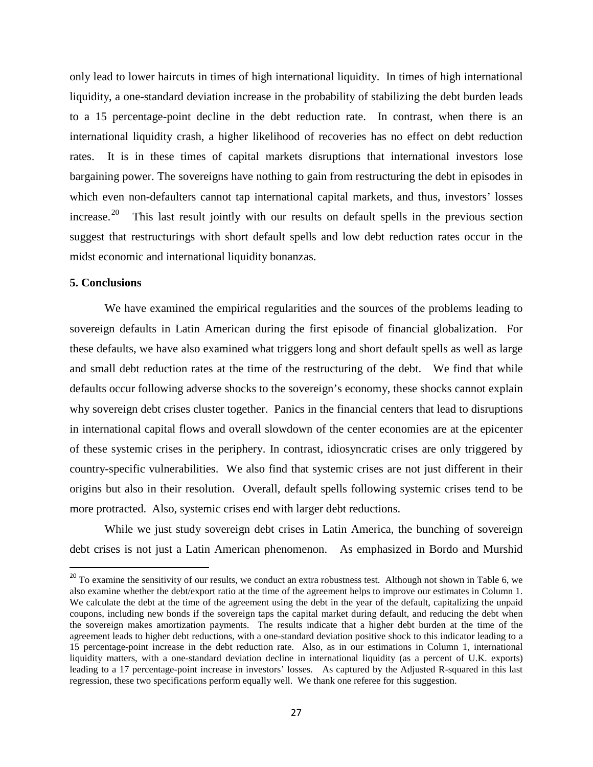only lead to lower haircuts in times of high international liquidity. In times of high international liquidity, a one-standard deviation increase in the probability of stabilizing the debt burden leads to a 15 percentage-point decline in the debt reduction rate. In contrast, when there is an international liquidity crash, a higher likelihood of recoveries has no effect on debt reduction rates. It is in these times of capital markets disruptions that international investors lose bargaining power. The sovereigns have nothing to gain from restructuring the debt in episodes in which even non-defaulters cannot tap international capital markets, and thus, investors' losses increase.<sup>[20](#page-27-0)</sup> This last result jointly with our results on default spells in the previous section suggest that restructurings with short default spells and low debt reduction rates occur in the midst economic and international liquidity bonanzas.

## **5. Conclusions**

We have examined the empirical regularities and the sources of the problems leading to sovereign defaults in Latin American during the first episode of financial globalization. For these defaults, we have also examined what triggers long and short default spells as well as large and small debt reduction rates at the time of the restructuring of the debt. We find that while defaults occur following adverse shocks to the sovereign's economy, these shocks cannot explain why sovereign debt crises cluster together. Panics in the financial centers that lead to disruptions in international capital flows and overall slowdown of the center economies are at the epicenter of these systemic crises in the periphery. In contrast, idiosyncratic crises are only triggered by country-specific vulnerabilities. We also find that systemic crises are not just different in their origins but also in their resolution. Overall, default spells following systemic crises tend to be more protracted. Also, systemic crises end with larger debt reductions.

While we just study sovereign debt crises in Latin America, the bunching of sovereign debt crises is not just a Latin American phenomenon. As emphasized in Bordo and Murshid

<span id="page-27-0"></span><sup>&</sup>lt;sup>20</sup> To examine the sensitivity of our results, we conduct an extra robustness test. Although not shown in Table 6, we also examine whether the debt/export ratio at the time of the agreement helps to improve our estimates in Column 1. We calculate the debt at the time of the agreement using the debt in the year of the default, capitalizing the unpaid coupons, including new bonds if the sovereign taps the capital market during default, and reducing the debt when the sovereign makes amortization payments. The results indicate that a higher debt burden at the time of the agreement leads to higher debt reductions, with a one-standard deviation positive shock to this indicator leading to a 15 percentage-point increase in the debt reduction rate. Also, as in our estimations in Column 1, international liquidity matters, with a one-standard deviation decline in international liquidity (as a percent of U.K. exports) leading to a 17 percentage-point increase in investors' losses. As captured by the Adjusted R-squared in this last regression, these two specifications perform equally well. We thank one referee for this suggestion.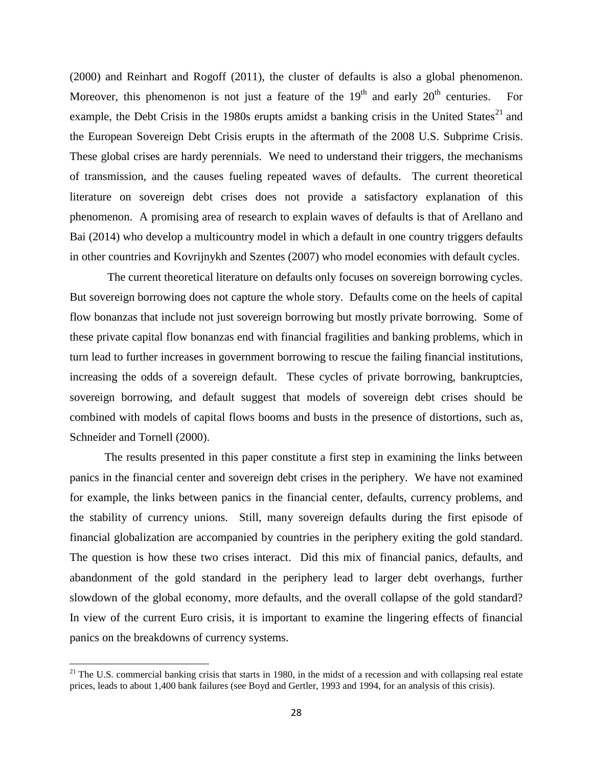(2000) and Reinhart and Rogoff (2011), the cluster of defaults is also a global phenomenon. Moreover, this phenomenon is not just a feature of the  $19<sup>th</sup>$  and early  $20<sup>th</sup>$  centuries. For example, the Debt Crisis in the 1980s erupts amidst a banking crisis in the United States<sup>[21](#page-28-0)</sup> and the European Sovereign Debt Crisis erupts in the aftermath of the 2008 U.S. Subprime Crisis. These global crises are hardy perennials. We need to understand their triggers, the mechanisms of transmission, and the causes fueling repeated waves of defaults. The current theoretical literature on sovereign debt crises does not provide a satisfactory explanation of this phenomenon. A promising area of research to explain waves of defaults is that of Arellano and Bai (2014) who develop a multicountry model in which a default in one country triggers defaults in other countries and Kovrijnykh and Szentes (2007) who model economies with default cycles.

The current theoretical literature on defaults only focuses on sovereign borrowing cycles. But sovereign borrowing does not capture the whole story. Defaults come on the heels of capital flow bonanzas that include not just sovereign borrowing but mostly private borrowing. Some of these private capital flow bonanzas end with financial fragilities and banking problems, which in turn lead to further increases in government borrowing to rescue the failing financial institutions, increasing the odds of a sovereign default. These cycles of private borrowing, bankruptcies, sovereign borrowing, and default suggest that models of sovereign debt crises should be combined with models of capital flows booms and busts in the presence of distortions, such as, Schneider and Tornell (2000).

The results presented in this paper constitute a first step in examining the links between panics in the financial center and sovereign debt crises in the periphery. We have not examined for example, the links between panics in the financial center, defaults, currency problems, and the stability of currency unions. Still, many sovereign defaults during the first episode of financial globalization are accompanied by countries in the periphery exiting the gold standard. The question is how these two crises interact. Did this mix of financial panics, defaults, and abandonment of the gold standard in the periphery lead to larger debt overhangs, further slowdown of the global economy, more defaults, and the overall collapse of the gold standard? In view of the current Euro crisis, it is important to examine the lingering effects of financial panics on the breakdowns of currency systems.

<span id="page-28-0"></span><sup>&</sup>lt;sup>21</sup> The U.S. commercial banking crisis that starts in 1980, in the midst of a recession and with collapsing real estate prices, leads to about 1,400 bank failures (see Boyd and Gertler, 1993 and 1994, for an analysis of this crisis).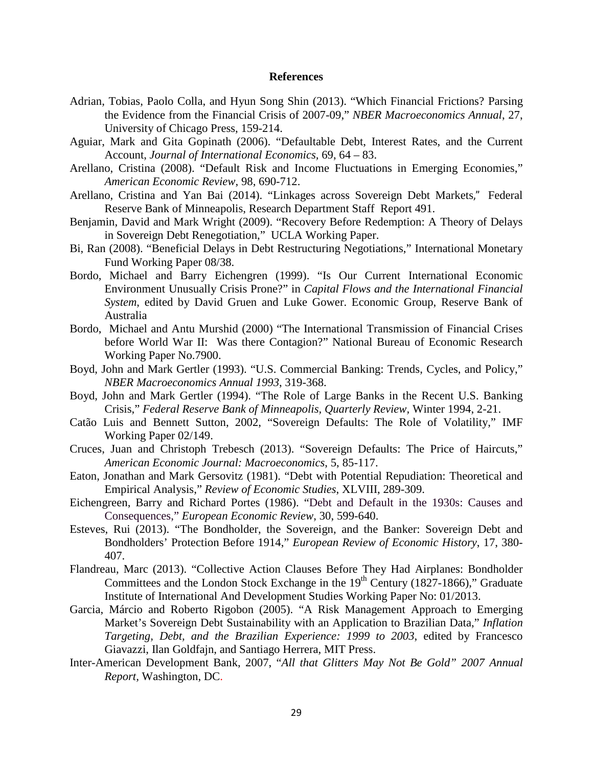#### **References**

- Adrian, Tobias, Paolo Colla, and Hyun Song Shin (2013). "Which Financial Frictions? Parsing the Evidence from the Financial Crisis of 2007-09," *[NBER Macroeconomics Annual](https://ideas.repec.org/s/ucp/macann.html)*, 27, University of Chicago Press, 159-214.
- Aguiar, Mark and Gita Gopinath (2006). "Defaultable Debt, Interest Rates, and the Current Account, *Journal of International Economics,* 69, 64 – 83.
- Arellano, Cristina (2008). "Default Risk and Income Fluctuations in Emerging Economies," *American Economic Review*, 98, 690-712.
- Arellano, Cristina and Yan Bai (2014). "Linkages across Sovereign Debt Markets," Federal Reserve Bank of Minneapolis, Research Department Staff Report 491.
- Benjamin, David and Mark Wright (2009). "Recovery Before Redemption: A Theory of Delays in Sovereign Debt Renegotiation," UCLA Working Paper.
- Bi, Ran (2008). "Beneficial Delays in Debt Restructuring Negotiations," International Monetary Fund Working Paper 08/38.
- Bordo, Michael and Barry Eichengren (1999). "Is Our Current International Economic Environment Unusually Crisis Prone?" in *Capital Flows and the International Financial System*, edited by David Gruen and Luke Gower. Economic Group, Reserve Bank of Australia
- Bordo, Michael and Antu Murshid (2000) "The International Transmission of Financial Crises before World War II: Was there Contagion?" National Bureau of Economic Research Working Paper No.7900.
- Boyd, John and Mark Gertler (1993). "U.S. Commercial Banking: Trends, Cycles, and Policy," *NBER Macroeconomics Annual 1993*, 319-368.
- Boyd, John and Mark Gertler (1994). "The Role of Large Banks in the Recent U.S. Banking Crisis," *Federal Reserve Bank of Minneapolis, Quarterly Review,* Winter 1994, 2-21.
- Catão Luis and Bennett Sutton, 2002, "Sovereign Defaults: The Role of Volatility," IMF Working Paper 02/149.
- Cruces, Juan and Christoph Trebesch (2013). "Sovereign Defaults: The Price of Haircuts," *American Economic Journal: Macroeconomics*, 5, 85-117.
- Eaton, Jonathan and Mark Gersovitz (1981). "Debt with Potential Repudiation: Theoretical and Empirical Analysis," *Review of Economic Studies*, XLVIII, 289-309.
- Eichengreen, Barry and Richard Portes (1986). "Debt and Default in the 1930s: Causes and Consequences," *European Economic Review*, 30, 599-640.
- Esteves, Rui (2013). "The Bondholder, the Sovereign, and the Banker: Sovereign Debt and Bondholders' Protection Before 1914," *European Review of Economic History*, 17, 380- 407.
- Flandreau, Marc (2013). "Collective Action Clauses Before They Had Airplanes: Bondholder Committees and the London Stock Exchange in the  $19<sup>th</sup>$  Century (1827-1866)," Graduate Institute of International And Development Studies Working Paper No: 01/2013.
- Garcia, Márcio and Roberto Rigobon (2005). "A Risk Management Approach to Emerging Market's Sovereign Debt Sustainability with an Application to Brazilian Data," *Inflation Targeting, Debt, and the Brazilian Experience: 1999 to 2003*, edited by Francesco Giavazzi, Ilan Goldfajn, and Santiago Herrera, MIT Press.
- Inter-American Development Bank, 2007, "*All that Glitters May Not Be Gold" 2007 Annual Report,* Washington, DC.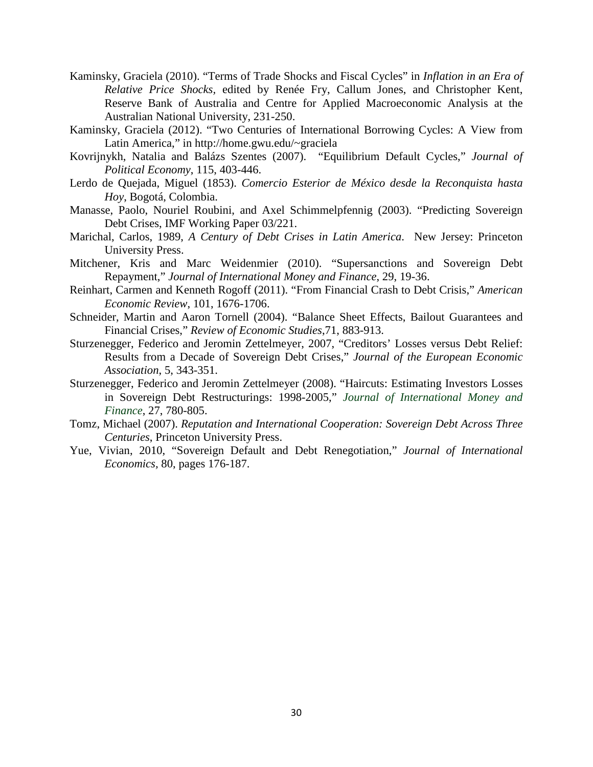- Kaminsky, Graciela (2010). "Terms of Trade Shocks and Fiscal Cycles" in *Inflation in an Era of Relative Price Shocks,* edited by Renée Fry, Callum Jones, and Christopher Kent, Reserve Bank of Australia and Centre for Applied Macroeconomic Analysis at the Australian National University, 231-250.
- Kaminsky, Graciela (2012). "Two Centuries of International Borrowing Cycles: A View from Latin America," in<http://home.gwu.edu/~graciela>
- Kovrijnykh, Natalia and Balázs Szentes (2007). "Equilibrium Default Cycles," *Journal of Political Economy*, 115, 403-446.
- Lerdo de Quejada, Miguel (1853). *Comercio Esterior de México desde la Reconquista hasta Hoy*, Bogotá, Colombia.
- Manasse, Paolo, Nouriel Roubini, and Axel Schimmelpfennig (2003). "Predicting Sovereign Debt Crises, IMF Working Paper 03/221.
- Marichal, Carlos, 1989, *A Century of Debt Crises in Latin America*. New Jersey: Princeton University Press.
- Mitchener, Kris and Marc Weidenmier (2010). "Supersanctions and Sovereign Debt Repayment," *Journal of International Money and Finance*, 29, 19-36.
- Reinhart, Carmen and Kenneth Rogoff (2011). "From Financial Crash to Debt Crisis," *American Economic Review*, 101, 1676-1706.
- Schneider, Martin and Aaron Tornell (2004). "Balance Sheet Effects, Bailout Guarantees and Financial Crises," *Review of Economic Studies*,71, 883-913.
- Sturzenegger, Federico and Jeromin Zettelmeyer, 2007, "Creditors' Losses versus Debt Relief: Results from a Decade of Sovereign Debt Crises," *Journal of the European Economic Association*, 5, 343-351.
- Sturzenegger, Federico and Jeromin Zettelmeyer (2008). "Haircuts: Estimating Investors Losses in Sovereign Debt Restructurings: 1998-2005," *[Journal of International Money and](http://econpapers.repec.org/article/eeejimfin/)  [Finance](http://econpapers.repec.org/article/eeejimfin/)*, 27, 780-805.
- Tomz, Michael (2007). *Reputation and International Cooperation: Sovereign Debt Across Three Centuries*, Princeton University Press.
- Yue, Vivian, 2010, "Sovereign Default and Debt Renegotiation," *Journal of International Economics,* 80, pages 176-187.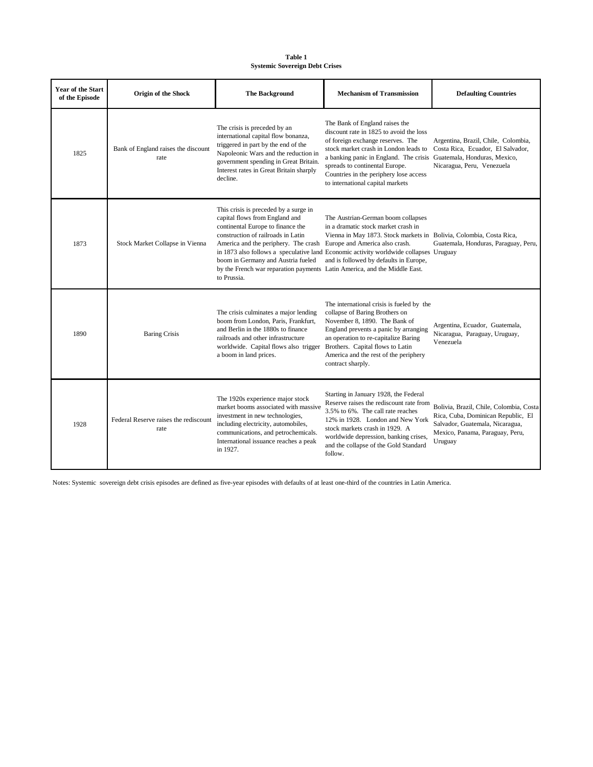#### **Table 1 Systemic Sovereign Debt Crises**

| Year of the Start<br>of the Episode | Origin of the Shock                           | <b>The Background</b>                                                                                                                                                                                                                                                                                                        | <b>Mechanism of Transmission</b>                                                                                                                                                                                                                                                                                                               | <b>Defaulting Countries</b>                                                                                                                                    |
|-------------------------------------|-----------------------------------------------|------------------------------------------------------------------------------------------------------------------------------------------------------------------------------------------------------------------------------------------------------------------------------------------------------------------------------|------------------------------------------------------------------------------------------------------------------------------------------------------------------------------------------------------------------------------------------------------------------------------------------------------------------------------------------------|----------------------------------------------------------------------------------------------------------------------------------------------------------------|
| 1825                                | Bank of England raises the discount<br>rate   | The crisis is preceded by an<br>international capital flow bonanza,<br>triggered in part by the end of the<br>Napoleonic Wars and the reduction in<br>government spending in Great Britain.<br>Interest rates in Great Britain sharply<br>decline.                                                                           | The Bank of England raises the<br>discount rate in 1825 to avoid the loss<br>of foreign exchange reserves. The<br>stock market crash in London leads to<br>a banking panic in England. The crisis Guatemala, Honduras, Mexico,<br>spreads to continental Europe.<br>Countries in the periphery lose access<br>to international capital markets | Argentina, Brazil, Chile, Colombia,<br>Costa Rica, Ecuador, El Salvador,<br>Nicaragua, Peru, Venezuela                                                         |
| 1873                                | Stock Market Collapse in Vienna               | This crisis is preceded by a surge in<br>capital flows from England and<br>continental Europe to finance the<br>construction of railroads in Latin<br>America and the periphery. The crash<br>boom in Germany and Austria fueled<br>by the French war reparation payments Latin America, and the Middle East.<br>to Prussia. | The Austrian-German boom collapses<br>in a dramatic stock market crash in<br>Vienna in May 1873. Stock markets in Bolivia, Colombia, Costa Rica,<br>Europe and America also crash.<br>in 1873 also follows a speculative land Economic activity worldwide collapses Uruguay<br>and is followed by defaults in Europe,                          | Guatemala, Honduras, Paraguay, Peru,                                                                                                                           |
| 1890                                | <b>Baring Crisis</b>                          | The crisis culminates a major lending<br>boom from London, Paris, Frankfurt,<br>and Berlin in the 1880s to finance<br>railroads and other infrastructure<br>worldwide. Capital flows also trigger<br>a boom in land prices.                                                                                                  | The international crisis is fueled by the<br>collapse of Baring Brothers on<br>November 8, 1890. The Bank of<br>England prevents a panic by arranging<br>an operation to re-capitalize Baring<br>Brothers. Capital flows to Latin<br>America and the rest of the periphery<br>contract sharply.                                                | Argentina, Ecuador, Guatemala,<br>Nicaragua, Paraguay, Uruguay,<br>Venezuela                                                                                   |
| 1928                                | Federal Reserve raises the rediscount<br>rate | The 1920s experience major stock<br>market booms associated with massive<br>investment in new technologies,<br>including electricity, automobiles,<br>communications, and petrochemicals.<br>International issuance reaches a peak<br>in 1927.                                                                               | Starting in January 1928, the Federal<br>Reserve raises the rediscount rate from<br>3.5% to 6%. The call rate reaches<br>12% in 1928. London and New York<br>stock markets crash in 1929. A<br>worldwide depression, banking crises,<br>and the collapse of the Gold Standard<br>follow.                                                       | Bolivia, Brazil, Chile, Colombia, Costa<br>Rica, Cuba, Dominican Republic, El<br>Salvador, Guatemala, Nicaragua,<br>Mexico, Panama, Paraguay, Peru,<br>Uruguay |

Notes: Systemic sovereign debt crisis episodes are defined as five-year episodes with defaults of at least one-third of the countries in Latin America.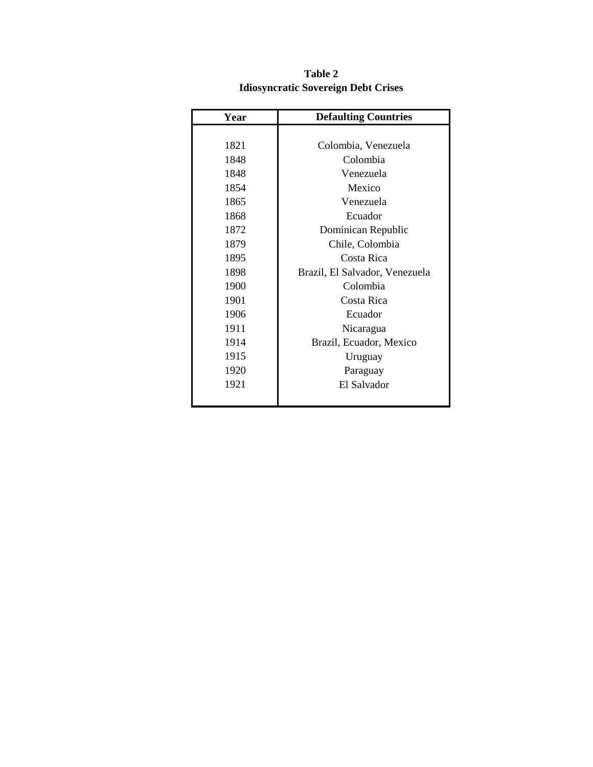| Year | <b>Defaulting Countries</b>    |
|------|--------------------------------|
|      |                                |
| 1821 | Colombia, Venezuela            |
| 1848 | Colombia                       |
| 1848 | Venezuela                      |
| 1854 | Mexico                         |
| 1865 | Venezuela                      |
| 1868 | Ecuador                        |
| 1872 | Dominican Republic             |
| 1879 | Chile, Colombia                |
| 1895 | Costa Rica                     |
| 1898 | Brazil, El Salvador, Venezuela |
| 1900 | Colombia                       |
| 1901 | Costa Rica                     |
| 1906 | Ecuador                        |
| 1911 | Nicaragua                      |
| 1914 | Brazil, Ecuador, Mexico        |
| 1915 | Uruguay                        |
| 1920 | Paraguay                       |
| 1921 | El Salvador                    |
|      |                                |

**Table 2 Idiosyncratic Sovereign Debt Crises**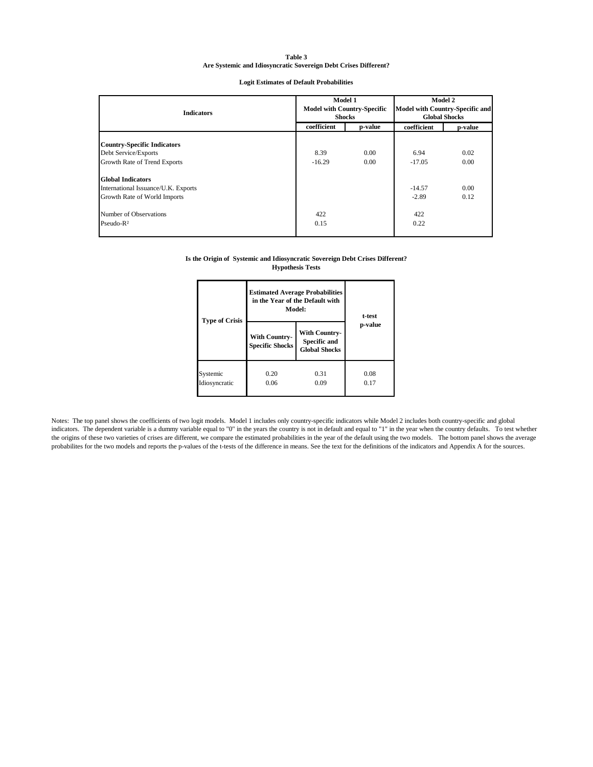#### **Table 3 Are Systemic and Idiosyncratic Sovereign Debt Crises Different?**

#### **Logit Estimates of Default Probabilities**

| <b>Indicators</b>                                                                               | Model 1<br><b>Model with Country-Specific</b><br><b>Shocks</b> |              | <b>Model 2</b><br><b>Model with Country-Specific and</b><br><b>Global Shocks</b> |              |  |  |
|-------------------------------------------------------------------------------------------------|----------------------------------------------------------------|--------------|----------------------------------------------------------------------------------|--------------|--|--|
|                                                                                                 | coefficient                                                    | p-value      | coefficient                                                                      | p-value      |  |  |
| <b>Country-Specific Indicators</b><br>Debt Service/Exports<br>Growth Rate of Trend Exports      | 8.39<br>$-16.29$                                               | 0.00<br>0.00 | 6.94<br>$-17.05$                                                                 | 0.02<br>0.00 |  |  |
| <b>Global Indicators</b><br>International Issuance/U.K. Exports<br>Growth Rate of World Imports |                                                                |              | $-14.57$<br>$-2.89$                                                              | 0.00<br>0.12 |  |  |
| Number of Observations<br>$Pseudo-R2$                                                           | 422<br>0.15                                                    |              | 422<br>0.22                                                                      |              |  |  |

#### **Hypothesis Tests Is the Origin of Systemic and Idiosyncratic Sovereign Debt Crises Different?**

| <b>Type of Crisis</b>     | <b>Estimated Average Probabilities</b><br>in the Year of the Default with<br>Model: | t-test                                                              |              |
|---------------------------|-------------------------------------------------------------------------------------|---------------------------------------------------------------------|--------------|
|                           | <b>With Country-</b><br><b>Specific Shocks</b>                                      | <b>With Country-</b><br><b>Specific and</b><br><b>Global Shocks</b> | p-value      |
| Systemic<br>Idiosyncratic | 0.20<br>0.06                                                                        | 0.31<br>0.09                                                        | 0.08<br>0.17 |

Notes: The top panel shows the coefficients of two logit models. Model 1 includes only country-specific indicators while Model 2 includes both country-specific and global indicators. The dependent variable is a dummy variable equal to "0" in the years the country is not in default and equal to "1" in the year when the country defaults. To test whether the origins of these two varieties of crises are different, we compare the estimated probabilities in the year of the default using the two models. The bottom panel shows the average probabilites for the two models and reports the p-values of the t-tests of the difference in means. See the text for the definitions of the indicators and Appendix A for the sources.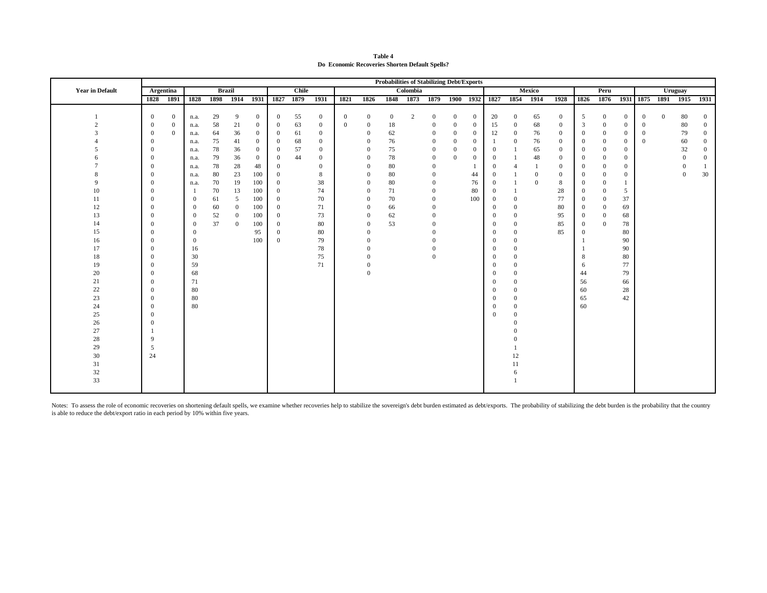| Table 4                                        |
|------------------------------------------------|
| Do Economic Recoveries Shorten Default Spells? |

|                        |                |              |                |    |                |                |                |              |                                              |                |                  | <b>Probabilities of Stabilizing Debt/Exports</b> |          |                  |                |                |                |                |              |                  |                |                |                |              |                |                |                |
|------------------------|----------------|--------------|----------------|----|----------------|----------------|----------------|--------------|----------------------------------------------|----------------|------------------|--------------------------------------------------|----------|------------------|----------------|----------------|----------------|----------------|--------------|------------------|----------------|----------------|----------------|--------------|----------------|----------------|----------------|
| <b>Year in Default</b> | Argentina      |              |                |    | <b>Brazil</b>  |                |                | <b>Chile</b> |                                              |                |                  |                                                  | Colombia |                  |                |                |                |                | Mexico       |                  |                | Peru           |                |              |                | Uruguay        |                |
|                        | 1828           | 1891         | 1828           |    | 1898 1914      | 1931           | 1827           | 1879         | 1931                                         | 1821           | 1826             | 1848                                             | 1873     | 1879             | 1900           | 1932           | 1827           | 1854 1914      |              | 1928             | 1826           | 1876           |                |              | 1931 1875 1891 | 1915           | 1931           |
|                        |                |              |                |    |                |                |                |              |                                              |                |                  |                                                  |          |                  |                |                |                |                |              |                  |                |                |                |              |                |                |                |
|                        | $\overline{0}$ | $\mathbf{0}$ | n.a.           | 29 | 9              | $\mathbf{0}$   | $\mathbf{0}$   | 55           | $\overline{0}$                               | $\overline{0}$ | $\overline{0}$   | $\mathbf{0}$                                     | 2        | $\boldsymbol{0}$ | $\overline{0}$ | $\overline{0}$ | 20             | $\overline{0}$ | 65           | $\overline{0}$   | 5              | $\mathbf{0}$   | $\mathbf{0}$   | $\mathbf{0}$ | $\overline{0}$ | 80             | $\overline{0}$ |
| $\overline{c}$         | $\mathbf{0}$   | $\mathbf{0}$ | n.a.           | 58 | 21             | $\mathbf{0}$   | $\mathbf{0}$   | 63           | $\overline{0}$                               | $\mathbf{0}$   | $\mathbf{0}$     | 18                                               |          | $\mathbf{0}$     | $\overline{0}$ | $\mathbf{0}$   | 15             | $\overline{0}$ | 68           | $\boldsymbol{0}$ | 3              | $\mathbf{0}$   | $\mathbf{0}$   | $\mathbf{0}$ |                | $80\,$         | $\mathbf{0}$   |
| 3                      | $\mathbf{0}$   | $\mathbf{0}$ | n.a.           | 64 | 36             | $\overline{0}$ | $\mathbf{0}$   | 61           | $\overline{0}$                               |                | $\mathbf{0}$     | 62                                               |          | $\mathbf{0}$     | $\overline{0}$ | $\overline{0}$ | 12             | $\overline{0}$ | 76           | $\boldsymbol{0}$ | $\mathbf{0}$   | $\mathbf{0}$   | $\mathbf{0}$   | $\mathbf{0}$ |                | 79             | $\overline{0}$ |
|                        | $\mathbf{0}$   |              | n.a.           | 75 | 41             | $\overline{0}$ | $\mathbf{0}$   | 68           | $\overline{0}$                               |                | $\mathbf{0}$     | 76                                               |          | $\mathbf{0}$     | $\overline{0}$ | $\overline{0}$ | $\mathbf{1}$   | $\overline{0}$ | 76           | $\boldsymbol{0}$ | $\mathbf{0}$   | $\mathbf{0}$   | $\mathbf{0}$   | $\mathbf{0}$ |                | 60             | $\overline{0}$ |
|                        | $\overline{0}$ |              | n.a.           | 78 | 36             | $\overline{0}$ | $\mathbf{0}$   | 57           | $\overline{0}$                               |                | $\mathbf{0}$     | 75                                               |          | $\mathbf{0}$     | $\mathbf{0}$   | $\overline{0}$ | $\mathbf{0}$   | -1             | 65           | $\mathbf{0}$     | $\mathbf{0}$   | $\mathbf{0}$   | $\mathbf{0}$   |              |                | 32             | $\overline{0}$ |
|                        | $\overline{0}$ |              | n.a.           | 79 | 36             | $\mathbf{0}$   | $\overline{0}$ | 44           | $\overline{0}$                               |                | $\mathbf{0}$     | 78                                               |          | $\mathbf{0}$     | $\mathbf{0}$   | $\mathbf{0}$   | $\overline{0}$ |                | 48           | $\mathbf{0}$     | $\mathbf{0}$   | $\mathbf{0}$   | $\overline{0}$ |              |                | $\overline{0}$ | $\overline{0}$ |
|                        | $\Omega$       |              | n.a.           | 78 | 28             | 48             | $\mathbf{0}$   |              | $\mathbf{0}$                                 |                | $\mathbf{0}$     | 80                                               |          | $\mathbf{0}$     |                |                | $\mathbf{0}$   | $\overline{4}$ |              | $\boldsymbol{0}$ | $\mathbf{0}$   | $\mathbf{0}$   | $\mathbf{0}$   |              |                | $\mathbf{0}$   |                |
| 8                      | $\theta$       |              | n.a.           | 80 | 23             | 100            | $\mathbf{0}$   |              | 8                                            |                | $\mathbf{0}$     | 80                                               |          | $\mathbf{0}$     |                | 44             | $\mathbf{0}$   |                | $\mathbf{0}$ | $\mathbf{0}$     | $\mathbf{0}$   | $\mathbf{0}$   | $\mathbf{0}$   |              |                | $\overline{0}$ | 30             |
| $\mathbf{Q}$           | $\theta$       |              | n.a.           | 70 | 19             | 100            | $\mathbf{0}$   |              | 38                                           |                | $\mathbf{0}$     | 80                                               |          | $\mathbf{0}$     |                | 76             | $\mathbf{0}$   | $\mathbf{1}$   | $\mathbf{0}$ | 8                | $\mathbf{0}$   | $\mathbf{0}$   |                |              |                |                |                |
| 10                     | $\theta$       |              | $\mathbf{1}$   | 70 | 13             | 100            | $\mathbf{0}$   |              | 74                                           |                | $\mathbf{0}$     | 71                                               |          | $\mathbf{0}$     |                | 80             | $\Omega$       | 1              |              | 28               | $\mathbf{0}$   | $\mathbf{0}$   | 5              |              |                |                |                |
| 11                     | $\mathbf{0}$   |              | $\overline{0}$ | 61 | 5              | 100            | $\overline{0}$ |              | 70                                           |                | $\mathbf{0}$     | 70                                               |          | $\mathbf{0}$     |                | 100            | $\mathbf{0}$   | $\overline{0}$ |              | 77               | $\overline{0}$ | $\mathbf{0}$   | 37             |              |                |                |                |
| 12                     | $\overline{0}$ |              | $\overline{0}$ | 60 | $\mathbf{0}$   | 100            | $\mathbf{0}$   |              | 71                                           |                | $\overline{0}$   | 66                                               |          | $\overline{0}$   |                |                | $\overline{0}$ | $\mathbf{0}$   |              | 80               | $\mathbf{0}$   | $\mathbf{0}$   | 69             |              |                |                |                |
| 13                     | $\mathbf{0}$   |              | $\bf{0}$       | 52 | $\mathbf{0}$   | 100            | $\mathbf{0}$   |              | 73                                           |                | $\mathbf{0}$     | 62                                               |          | $\mathbf{0}$     |                |                | $\overline{0}$ | $\overline{0}$ |              | 95               | $\mathbf{0}$   | $\overline{0}$ | 68             |              |                |                |                |
| 14                     | $\mathbf{0}$   |              | $\overline{0}$ | 37 | $\overline{0}$ | 100            | $\overline{0}$ |              | 80                                           |                | $\mathbf{0}$     | 53                                               |          | $\mathbf{0}$     |                |                | $\overline{0}$ | $\overline{0}$ |              | 85               | $\mathbf{0}$   | $\overline{0}$ | 78             |              |                |                |                |
| 15                     | $\mathbf{0}$   |              | $\overline{0}$ |    |                | 95             | $\mathbf{0}$   |              | 80                                           |                | $\boldsymbol{0}$ |                                                  |          | $\overline{0}$   |                |                | $\mathbf{0}$   | $\mathbf{0}$   |              | 85               | $\overline{0}$ |                | 80             |              |                |                |                |
| 16                     | $\mathbf{0}$   |              | $\overline{0}$ |    |                | 100            | $\overline{0}$ |              | 79                                           |                | $\boldsymbol{0}$ |                                                  |          | $\Omega$         |                |                | $\mathbf{0}$   | $\mathbf{0}$   |              |                  |                |                | 90             |              |                |                |                |
| 17                     | $\overline{0}$ |              | 16             |    |                |                |                |              | 78                                           |                | $\overline{0}$   |                                                  |          | $\Omega$         |                |                | $\mathbf{0}$   | $\overline{0}$ |              |                  |                |                | 90             |              |                |                |                |
| 18                     | $\mathbf{0}$   |              | 30             |    |                |                |                |              | 75                                           |                | $\overline{0}$   |                                                  |          | $\Omega$         |                |                | $\mathbf{0}$   | $\overline{0}$ |              |                  | 8              |                | 80             |              |                |                |                |
| 19                     | $\Omega$       |              | 59             |    |                |                |                |              | 71                                           |                | $\overline{0}$   |                                                  |          |                  |                |                | $\overline{0}$ | $\overline{0}$ |              |                  | 6              |                | 77             |              |                |                |                |
| 20                     | $\Omega$       |              | 68             |    |                |                |                |              |                                              |                | $\overline{0}$   |                                                  |          |                  |                |                | $\mathbf{0}$   | $\overline{0}$ |              |                  | 44             |                | 79             |              |                |                |                |
| 21                     | $\Omega$       |              | 71             |    |                |                |                |              |                                              |                |                  |                                                  |          |                  |                |                | $\mathbf{0}$   | $\mathbf{0}$   |              |                  | 56             |                | 66             |              |                |                |                |
| 22                     | $\Omega$       |              | 80             |    |                |                |                |              |                                              |                |                  |                                                  |          |                  |                |                | $\Omega$       | $\overline{0}$ |              |                  | 60             |                | 28             |              |                |                |                |
| 23                     | $\Omega$       |              | 80             |    |                |                |                |              | 65<br>42<br>$\overline{0}$<br>$\overline{0}$ |                |                  |                                                  |          |                  |                |                |                |                |              |                  |                |                |                |              |                |                |                |
| 24                     | $\overline{0}$ |              | 80             |    |                |                |                |              |                                              |                |                  |                                                  |          |                  |                |                | $\Omega$       | $\overline{0}$ |              |                  | 60             |                |                |              |                |                |                |
| 25                     | $\mathbf{0}$   |              |                |    |                |                |                |              |                                              |                |                  |                                                  |          |                  |                |                | $\overline{0}$ | $\mathbf{0}$   |              |                  |                |                |                |              |                |                |                |
| 26                     | $\mathbf{0}$   |              |                |    |                |                |                |              |                                              |                |                  |                                                  |          |                  |                |                |                |                |              |                  |                |                |                |              |                |                |                |
| $27\,$                 | -1             |              |                |    |                |                |                |              |                                              |                |                  |                                                  |          |                  |                |                |                |                |              |                  |                |                |                |              |                |                |                |
| $28\,$                 | 9              |              |                |    |                |                |                |              |                                              |                |                  |                                                  |          |                  |                |                |                |                |              |                  |                |                |                |              |                |                |                |
| 29                     | 5              |              |                |    |                |                |                |              |                                              |                |                  |                                                  |          |                  |                |                |                |                |              |                  |                |                |                |              |                |                |                |
| 30<br>31               | 24             |              |                |    |                |                |                |              |                                              |                |                  |                                                  |          |                  |                |                |                | 12             |              |                  |                |                |                |              |                |                |                |
| 32                     |                |              |                |    |                |                |                |              |                                              |                |                  |                                                  |          |                  |                |                |                | 11             |              |                  |                |                |                |              |                |                |                |
|                        |                |              |                |    |                |                |                |              |                                              |                |                  |                                                  |          |                  |                |                |                | 6              |              |                  |                |                |                |              |                |                |                |
| 33                     |                |              |                |    |                |                |                |              |                                              |                |                  |                                                  |          |                  |                |                |                |                |              |                  |                |                |                |              |                |                |                |
|                        |                |              |                |    |                |                |                |              |                                              |                |                  |                                                  |          |                  |                |                |                |                |              |                  |                |                |                |              |                |                |                |

Notes: To assess the role of economic recoveries on shortening default spells, we examine whether recoveries help to stabilize the sovereign's debt burden estimated as debt/exports. The probability of stabilizing the debt is able to reduce the debt/export ratio in each period by 10% within five years.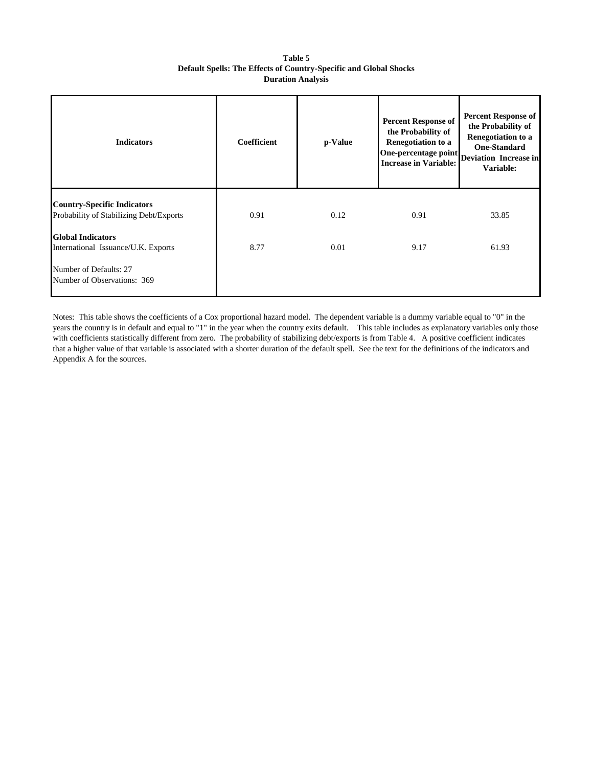#### **Table 5 Default Spells: The Effects of Country-Specific and Global Shocks Duration Analysis**

| <b>Indicators</b>                                                             | <b>Coefficient</b> | p-Value | <b>Percent Response of</b><br>the Probability of<br>Renegotiation to a<br>One-percentage point<br><b>Increase in Variable:</b> | <b>Percent Response of</b><br>the Probability of<br>Renegotiation to a<br><b>One-Standard</b><br><b>Deviation Increase in</b><br>Variable: |  |  |
|-------------------------------------------------------------------------------|--------------------|---------|--------------------------------------------------------------------------------------------------------------------------------|--------------------------------------------------------------------------------------------------------------------------------------------|--|--|
| <b>Country-Specific Indicators</b><br>Probability of Stabilizing Debt/Exports | 0.91               | 0.12    | 0.91                                                                                                                           | 33.85                                                                                                                                      |  |  |
| <b>Global Indicators</b><br>International Issuance/U.K. Exports               | 8.77               | 0.01    | 9.17                                                                                                                           | 61.93                                                                                                                                      |  |  |
| Number of Defaults: 27<br>Number of Observations: 369                         |                    |         |                                                                                                                                |                                                                                                                                            |  |  |

Notes: This table shows the coefficients of a Cox proportional hazard model. The dependent variable is a dummy variable equal to "0" in the years the country is in default and equal to "1" in the year when the country exits default. This table includes as explanatory variables only those with coefficients statistically different from zero. The probability of stabilizing debt/exports is from Table 4. A positive coefficient indicates that a higher value of that variable is associated with a shorter duration of the default spell. See the text for the definitions of the indicators and Appendix A for the sources.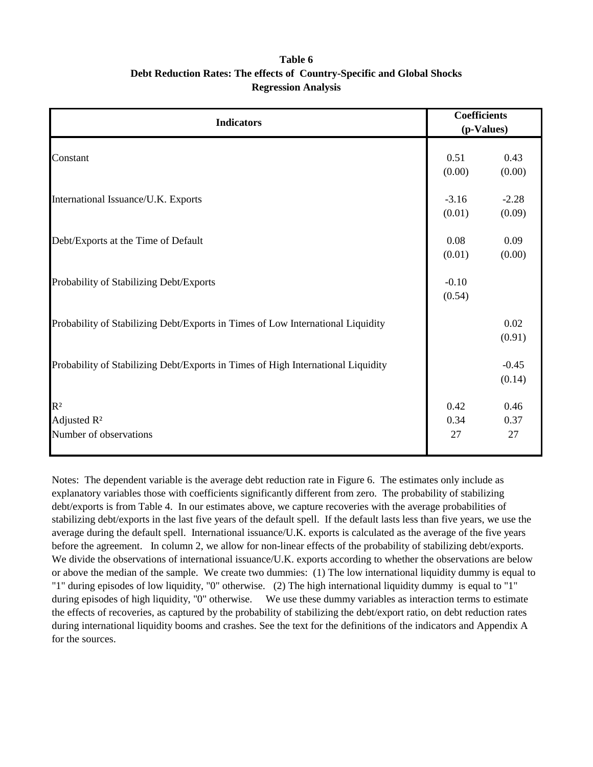# **Table 6 Debt Reduction Rates: The effects of Country-Specific and Global Shocks Regression Analysis**

| <b>Indicators</b>                                                                | <b>Coefficients</b><br>(p-Values) |                        |  |  |  |
|----------------------------------------------------------------------------------|-----------------------------------|------------------------|--|--|--|
| Constant                                                                         | 0.51<br>(0.00)                    | 0.43<br>(0.00)         |  |  |  |
| International Issuance/U.K. Exports                                              | $-3.16$<br>(0.01)                 | $-2.28$<br>(0.09)      |  |  |  |
| Debt/Exports at the Time of Default                                              | 0.08<br>(0.01)                    | 0.09<br>(0.00)         |  |  |  |
| Probability of Stabilizing Debt/Exports                                          | $-0.10$<br>(0.54)                 |                        |  |  |  |
| Probability of Stabilizing Debt/Exports in Times of Low International Liquidity  |                                   | 0.02<br>(0.91)         |  |  |  |
| Probability of Stabilizing Debt/Exports in Times of High International Liquidity |                                   | $-0.45$<br>(0.14)      |  |  |  |
| R <sup>2</sup><br>Adjusted R <sup>2</sup><br>Number of observations              | 0.42<br>0.34<br>27                | 0.46<br>0.37<br>$27\,$ |  |  |  |

Notes: The dependent variable is the average debt reduction rate in Figure 6. The estimates only include as explanatory variables those with coefficients significantly different from zero. The probability of stabilizing debt/exports is from Table 4. In our estimates above, we capture recoveries with the average probabilities of stabilizing debt/exports in the last five years of the default spell. If the default lasts less than five years, we use the average during the default spell. International issuance/U.K. exports is calculated as the average of the five years before the agreement. In column 2, we allow for non-linear effects of the probability of stabilizing debt/exports. We divide the observations of international issuance/U.K. exports according to whether the observations are below or above the median of the sample. We create two dummies: (1) The low international liquidity dummy is equal to "1" during episodes of low liquidity, "0" otherwise. (2) The high international liquidity dummy is equal to "1" during episodes of high liquidity, "0" otherwise. We use these dummy variables as interaction terms to estimate the effects of recoveries, as captured by the probability of stabilizing the debt/export ratio, on debt reduction rates during international liquidity booms and crashes. See the text for the definitions of the indicators and Appendix A for the sources.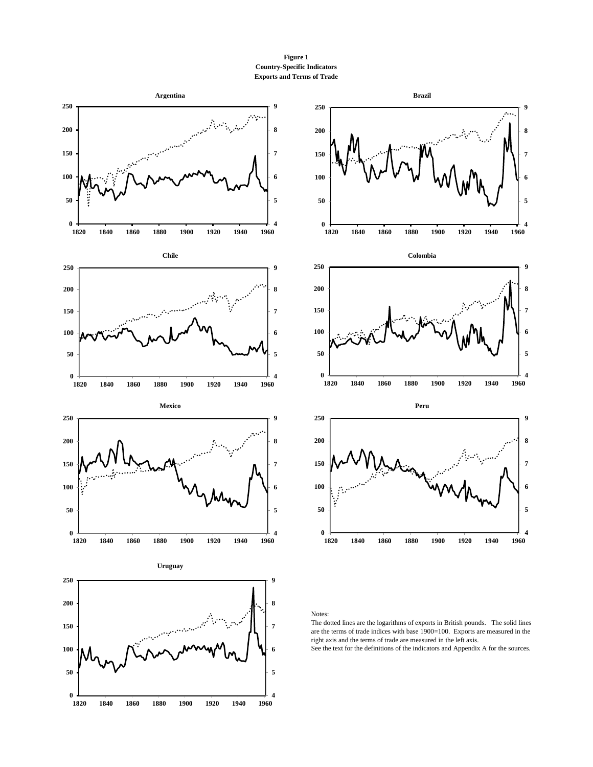**Exports and Terms of Trade Country-Specific Indicators Figure 1**



**1840 1860 1880 1900 1920 1940 1960**



Notes:

The dotted lines are the logarithms of exports in British pounds. The solid lines are the terms of trade indices with base 1900=100. Exports are measured in the right axis and the terms of trade are measured in the left axis.

See the text for the definitions of the indicators and Appendix A for the sources.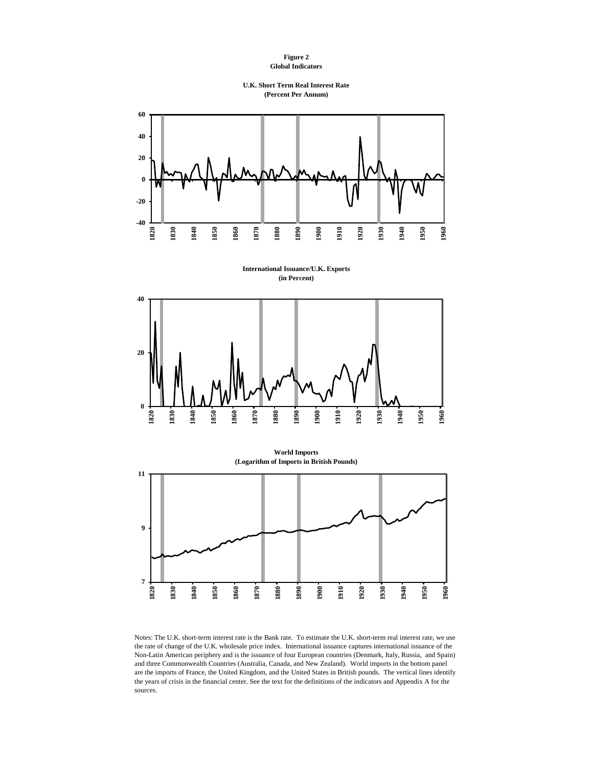#### **Figure 2 Global Indicators**

**U.K. Short Term Real Interest Rate (Percent Per Annum)**







Notes: The U.K. short-term interest rate is the Bank rate. To estimate the U.K. short-term real interest rate, we use the rate of change of the U.K. wholesale price index. International issuance captures international issuance of the Non-Latin American periphery and is the issuance of four European countries (Denmark, Italy, Russia, and Spain) and three Commonwealth Countries (Australia, Canada, and New Zealand). World imports in the bottom panel are the imports of France, the United Kingdom, and the United States in British pounds. The vertical lines identify the years of crisis in the financial center. See the text for the definitions of the indicators and Appendix A for the sources.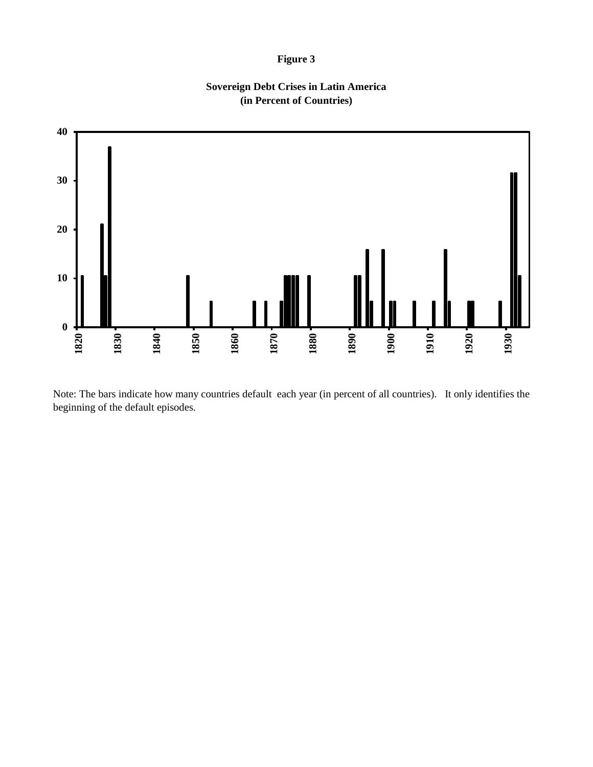# **Figure 3**



# **Sovereign Debt Crises in Latin America (in Percent of Countries)**

Note: The bars indicate how many countries default each year (in percent of all countries). It only identifies the beginning of the default episodes.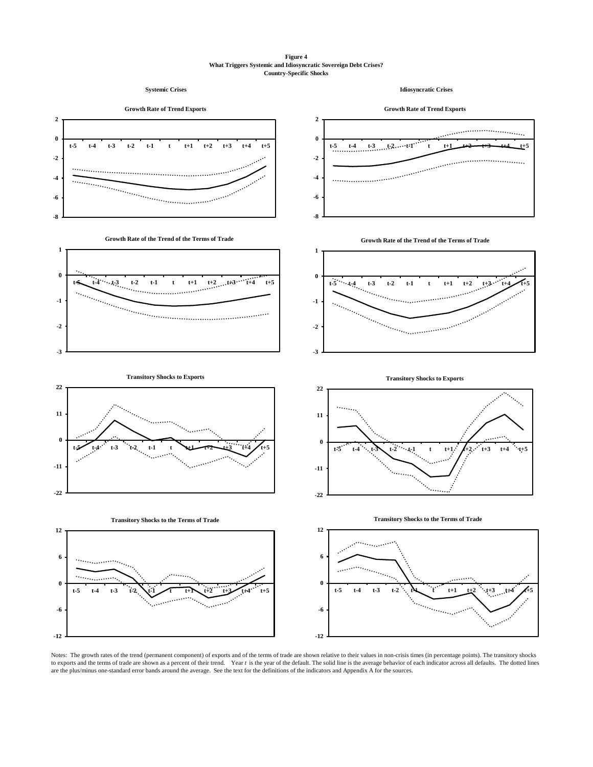#### **Figure 4 What Triggers Systemic and Idiosyncratic Sovereign Debt Crises? Country-Specific Shocks**



Notes: The growth rates of the trend (permanent component) of exports and of the terms of trade are shown relative to their values in non-crisis times (in percentage points). The transitory shocks to exports and the terms of trade are shown as a percent of their trend. Year *t* is the year of the default. The solid line is the average behavior of each indicator across all defaults. The dotted lines are the plus/minus one-standard error bands around the average. See the text for the definitions of the indicators and Appendix A for the sources.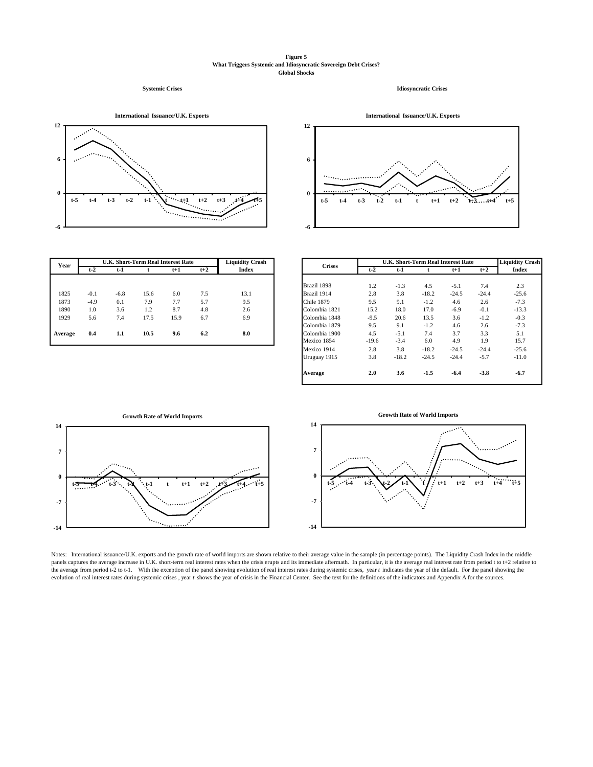#### **Global Shocks Figure 5 What Triggers Systemic and Idiosyncratic Sovereign Debt Crises?**

12 $\tau$ 

#### **Systemic Crises Idiosyncratic Crises**



|            | <b>Liquidity Crash</b> |       | <b>U.K. Short-Term Real Interest Rate</b> |      |        |        |         |  |  |
|------------|------------------------|-------|-------------------------------------------|------|--------|--------|---------|--|--|
|            | <b>Index</b>           | $t+2$ | $t+1$                                     |      | t-1    | $t-2$  | Year    |  |  |
| Brazil 189 |                        |       |                                           |      |        |        |         |  |  |
| Brazil 191 | 13.1                   | 7.5   | 6.0                                       | 15.6 | $-6.8$ | $-0.1$ | 1825    |  |  |
| Chile 1879 | 9.5                    | 5.7   | 7.7                                       | 7.9  | 0.1    | $-4.9$ | 1873    |  |  |
| Colombia   | 2.6                    | 4.8   | 8.7                                       | 1.2  | 3.6    | 1.0    | 1890    |  |  |
| Colombia   | 6.9                    | 6.7   | 15.9                                      | 17.5 | 7.4    | 5.6    | 1929    |  |  |
| Colombia   |                        |       |                                           |      |        |        |         |  |  |
| Colombia   | 8.0                    | 6.2   | 9.6                                       | 10.5 | 1.1    | 0.4    | Average |  |  |
| Mexico 18  |                        |       |                                           |      |        |        |         |  |  |

| 6         |       |       |       |              |       |   |       |       |         |       |
|-----------|-------|-------|-------|--------------|-------|---|-------|-------|---------|-------|
| $\pmb{0}$ | $t-5$ | $t-4$ | $t-3$ | ۰.,<br>$t-2$ | $t-1$ | t | $t+1$ | $t+2$ | $1 + 3$ | $t+5$ |
| -6        |       |       |       |              |       |   |       |       |         |       |

**International Issuance/U.K. Exports**

| Year           |        |        | <b>U.K. Short-Term Real Interest Rate</b> |       |       | <b>Liquidity Crash</b> | <b>Crises</b>     |         | <b>U.K. Short-Term Real Interest Rate</b> |         |         |         | <b>Liquidity Crash</b> |
|----------------|--------|--------|-------------------------------------------|-------|-------|------------------------|-------------------|---------|-------------------------------------------|---------|---------|---------|------------------------|
|                | $t-2$  | t-1    |                                           | $t+1$ | $t+2$ | Index                  |                   | $t-2$   | $t-1$                                     |         | $t+1$   | $t+2$   | Index                  |
|                |        |        |                                           |       |       |                        |                   |         |                                           |         |         |         |                        |
|                |        |        |                                           |       |       |                        | Brazil 1898       | 1.2     | $-1.3$                                    | 4.5     | $-5.1$  | 7.4     | 2.3                    |
| 1825           | $-0.1$ | $-6.8$ | 15.6                                      | 6.0   | 7.5   | 13.1                   | Brazil 1914       | 2.8     | 3.8                                       | $-18.2$ | $-24.5$ | $-24.4$ | $-25.6$                |
| 1873           | $-4.9$ | 0.1    | 7.9                                       | 7.7   | 5.7   | 9.5                    | <b>Chile 1879</b> | 9.5     | 9.1                                       | $-1.2$  | 4.6     | 2.6     | $-7.3$                 |
| 1890           | 1.0    | 3.6    | 1.2                                       | 8.7   | 4.8   | 2.6                    | Colombia 1821     | 15.2    | 18.0                                      | 17.0    | $-6.9$  | $-0.1$  | $-13.3$                |
| 1929           | 5.6    | 7.4    | 17.5                                      | 15.9  | 6.7   | 6.9                    | Colombia 1848     | $-9.5$  | 20.6                                      | 13.5    | 3.6     | $-1.2$  | $-0.3$                 |
|                |        |        |                                           |       |       |                        | Colombia 1879     | 9.5     | 9.1                                       | $-1.2$  | 4.6     | 2.6     | $-7.3$                 |
| <b>Average</b> | 0.4    | 1.1    | 10.5                                      | 9.6   | 6.2   | 8.0                    | Colombia 1900     | 4.5     | $-5.1$                                    | 7.4     | 3.7     | 3.3     | 5.1                    |
|                |        |        |                                           |       |       |                        | Mexico 1854       | $-19.6$ | $-3.4$                                    | 6.0     | 4.9     | 1.9     | 15.7                   |
|                |        |        |                                           |       |       |                        | Mexico 1914       | 2.8     | 3.8                                       | $-18.2$ | $-24.5$ | $-24.4$ | $-25.6$                |
|                |        |        |                                           |       |       |                        | Uruguay 1915      | 3.8     | $-18.2$                                   | $-24.5$ | $-24.4$ | $-5.7$  | $-11.0$                |
|                |        |        |                                           |       |       |                        | Average           | 2.0     | 3.6                                       | $-1.5$  | $-6.4$  | $-3.8$  | $-6.7$                 |
|                |        |        |                                           |       |       |                        |                   |         |                                           |         |         |         |                        |







Notes: International issuance/U.K. exports and the growth rate of world imports are shown relative to their average value in the sample (in percentage points). The Liquidity Crash Index in the middle panels captures the average increase in U.K. short-term real interest rates when the crisis erupts and its immediate aftermath. In particular, it is the average real interest rate from period t to t+2 relative to the average from period t-2 to t-1. With the exception of the panel showing evolution of real interest rates during systemic crises, year *t* indicates the year of the default. For the panel showing the evolution of real interest rates during systemic crises , year *t* shows the year of crisis in the Financial Center. See the text for the definitions of the indicators and Appendix A for the sources.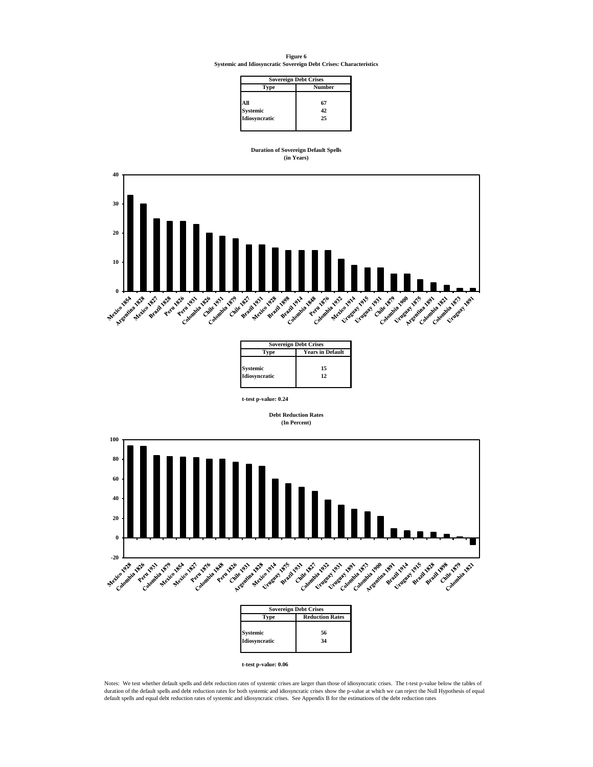**Figure 6 Systemic and Idiosyncratic Sovereign Debt Crises: Characteristics**

| <b>Type</b>          | <b>Number</b> |
|----------------------|---------------|
| All                  | 67            |
| <b>Systemic</b>      | 42            |
| <b>Idiosyncratic</b> | 25            |

**Duration of Sovereign Default Spells (in Years)**



| <b>Sovereign Debt Crises</b>     |                         |  |  |  |
|----------------------------------|-------------------------|--|--|--|
| <b>Type</b>                      | <b>Years in Default</b> |  |  |  |
| <b>Systemic</b><br>Idiosyncratic | 15<br>12                |  |  |  |

**t-test p-value: 0.24**

**Debt Reduction Rates (In Percent)**



| <b>Sovereign Debt Crises</b> |                        |  |  |  |
|------------------------------|------------------------|--|--|--|
| <b>Type</b>                  | <b>Reduction Rates</b> |  |  |  |
| Systemic<br>Idiosyncratic    | 56<br>34               |  |  |  |

**t-test p-value: 0.06**

Notes: We test whether default spells and debt reduction rates of systemic crises are larger than those of idiosyncratic crises. The t-test p-value below the tables of duration of the default spells and debt reduction rates for both systemic and idiosyncratic crises show the p-value at which we can reject the Null Hypothesis of equal default spells and equal debt reduction rates of systemic and idiosyncratic crises. See Appendix B for the estimations of the debt reduction rates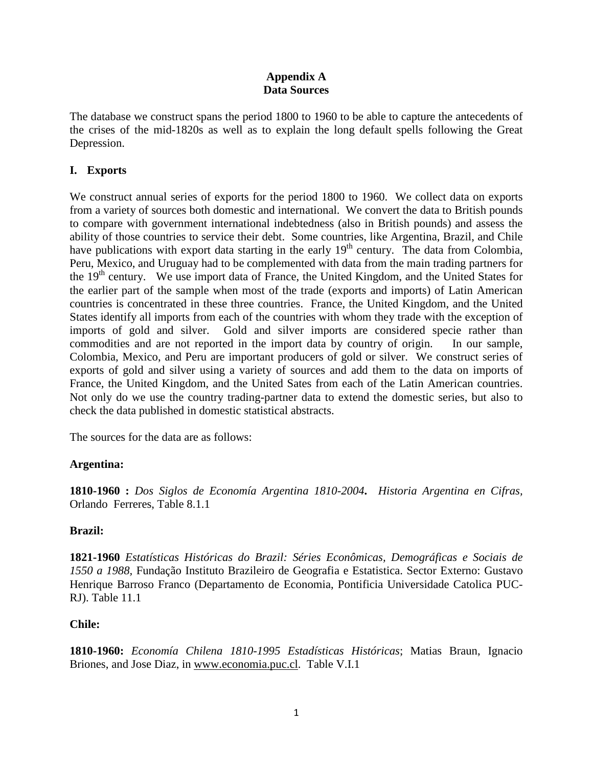# **Appendix A Data Sources**

The database we construct spans the period 1800 to 1960 to be able to capture the antecedents of the crises of the mid-1820s as well as to explain the long default spells following the Great Depression.

# **I. Exports**

We construct annual series of exports for the period 1800 to 1960. We collect data on exports from a variety of sources both domestic and international. We convert the data to British pounds to compare with government international indebtedness (also in British pounds) and assess the ability of those countries to service their debt. Some countries, like Argentina, Brazil, and Chile have publications with export data starting in the early  $19<sup>th</sup>$  century. The data from Colombia, Peru, Mexico, and Uruguay had to be complemented with data from the main trading partners for the  $19<sup>th</sup>$  century. We use import data of France, the United Kingdom, and the United States for the earlier part of the sample when most of the trade (exports and imports) of Latin American countries is concentrated in these three countries. France, the United Kingdom, and the United States identify all imports from each of the countries with whom they trade with the exception of imports of gold and silver. Gold and silver imports are considered specie rather than commodities and are not reported in the import data by country of origin. In our sample, Colombia, Mexico, and Peru are important producers of gold or silver. We construct series of exports of gold and silver using a variety of sources and add them to the data on imports of France, the United Kingdom, and the United Sates from each of the Latin American countries. Not only do we use the country trading-partner data to extend the domestic series, but also to check the data published in domestic statistical abstracts.

The sources for the data are as follows:

# **Argentina:**

**1810-1960 :** *Dos Siglos de Economía Argentina 1810-2004***.** *Historia Argentina en Cifras,* Orlando Ferreres, Table 8.1.1

# **Brazil:**

**1821-1960** *Estatísticas Históricas do Brazil: Séries Econômicas, Demográficas e Sociais de 1550 a 1988,* Fundação Instituto Brazileiro de Geografia e Estatistica. Sector Externo: Gustavo Henrique Barroso Franco (Departamento de Economia, Pontificia Universidade Catolica PUC-RJ). Table 11.1

# **Chile:**

**1810-1960:** *Economía Chilena 1810-1995 Estadísticas Históricas*; Matias Braun, Ignacio Briones, and Jose Diaz, in [www.economia.puc.cl.](http://www.economia.puc.cl/) Table V.I.1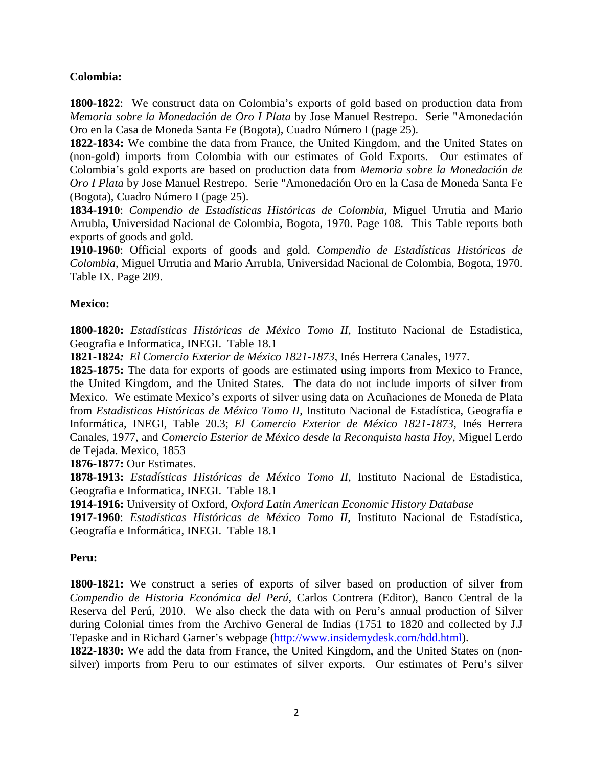# **Colombia:**

**1800-1822**: We construct data on Colombia's exports of gold based on production data from *Memoria sobre la Monedación de Oro I Plata* by Jose Manuel Restrepo. Serie "Amonedación Oro en la Casa de Moneda Santa Fe (Bogota), Cuadro Número I (page 25).

**1822-1834:** We combine the data from France, the United Kingdom, and the United States on (non-gold) imports from Colombia with our estimates of Gold Exports. Our estimates of Colombia's gold exports are based on production data from *Memoria sobre la Monedación de Oro I Plata* by Jose Manuel Restrepo. Serie "Amonedación Oro en la Casa de Moneda Santa Fe (Bogota), Cuadro Número I (page 25).

**1834-1910**: *Compendio de Estadísticas Históricas de Colombia*, Miguel Urrutia and Mario Arrubla, Universidad Nacional de Colombia, Bogota, 1970. Page 108. This Table reports both exports of goods and gold.

**1910-1960**: Official exports of goods and gold. *Compendio de Estadísticas Históricas de Colombia*, Miguel Urrutia and Mario Arrubla, Universidad Nacional de Colombia, Bogota, 1970. Table IX. Page 209.

# **Mexico:**

**1800-1820:** *Estadísticas Históricas de México Tomo II*, Instituto Nacional de Estadistica, Geografia e Informatica, INEGI. Table 18.1

**1821-1824***: El Comercio Exterior de México 1821-1873*, Inés Herrera Canales, 1977.

**1825-1875:** The data for exports of goods are estimated using imports from Mexico to France, the United Kingdom, and the United States. The data do not include imports of silver from Mexico. We estimate Mexico's exports of silver using data on Acuñaciones de Moneda de Plata from *Estadisticas Históricas de México Tomo II*, Instituto Nacional de Estadística, Geografía e Informática, INEGI, Table 20.3; *El Comercio Exterior de México 1821-1873*, Inés Herrera Canales, 1977, and *Comercio Esterior de México desde la Reconquista hasta Hoy*, Miguel Lerdo de Tejada. Mexico, 1853

**1876-1877:** Our Estimates.

**1878-1913:** *Estadísticas Históricas de México Tomo II*, Instituto Nacional de Estadistica, Geografia e Informatica, INEGI. Table 18.1

**1914-1916:** University of Oxford, *Oxford Latin American Economic History Database*

**1917-1960**: *Estadísticas Históricas de México Tomo II*, Instituto Nacional de Estadística, Geografía e Informática, INEGI. Table 18.1

# **Peru:**

**1800-1821:** We construct a series of exports of silver based on production of silver from *Compendio de Historia Económica del Perú,* Carlos Contrera (Editor), Banco Central de la Reserva del Perú, 2010. We also check the data with on Peru's annual production of Silver during Colonial times from the Archivo General de Indias (1751 to 1820 and collected by J.J Tepaske and in Richard Garner's webpage [\(http://www.insidemydesk.com/hdd.html\)](http://www.insidemydesk.com/hdd.html).

**1822-1830:** We add the data from France, the United Kingdom, and the United States on (nonsilver) imports from Peru to our estimates of silver exports. Our estimates of Peru's silver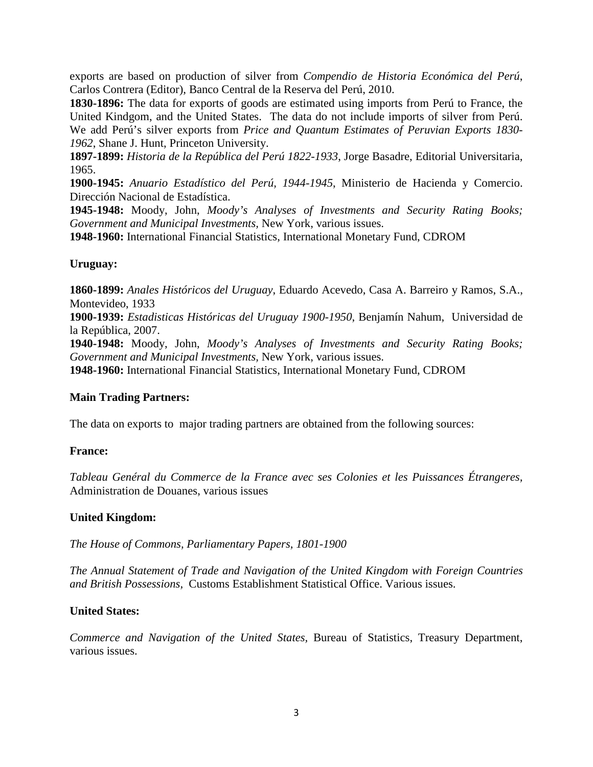exports are based on production of silver from *Compendio de Historia Económica del Perú*, Carlos Contrera (Editor), Banco Central de la Reserva del Perú, 2010.

**1830-1896:** The data for exports of goods are estimated using imports from Perú to France, the United Kindgom, and the United States. The data do not include imports of silver from Perú. We add Perú's silver exports from *Price and Quantum Estimates of Peruvian Exports 1830- 1962*, Shane J. Hunt, Princeton University.

**1897-1899:** *Historia de la República del Perú 1822-1933*, Jorge Basadre, Editorial Universitaria, 1965.

**1900-1945:** *Anuario Estadístico del Perú, 1944-1945*, Ministerio de Hacienda y Comercio. Dirección Nacional de Estadística.

**1945-1948:** Moody, John, *Moody's Analyses of Investments and Security Rating Books; Government and Municipal Investments,* New York, various issues.

**1948-1960:** International Financial Statistics, International Monetary Fund, CDROM

# **Uruguay:**

**1860-1899:** *Anales Históricos del Uruguay*, Eduardo Acevedo, Casa A. Barreiro y Ramos, S.A., Montevideo, 1933

**1900-1939:** *Estadisticas Históricas del Uruguay 1900-1950*, Benjamín Nahum, Universidad de la República, 2007.

**1940-1948:** Moody, John, *Moody's Analyses of Investments and Security Rating Books; Government and Municipal Investments,* New York, various issues.

**1948-1960:** International Financial Statistics, International Monetary Fund, CDROM

# **Main Trading Partners:**

The data on exports to major trading partners are obtained from the following sources:

## **France:**

*Tableau Genéral du Commerce de la France avec ses Colonies et les Puissances Étrangeres,*  Administration de Douanes, various issues

## **United Kingdom:**

*The House of Commons, Parliamentary Papers, 1801-1900*

*The Annual Statement of Trade and Navigation of the United Kingdom with Foreign Countries and British Possessions,* Customs Establishment Statistical Office. Various issues.

# **United States:**

*Commerce and Navigation of the United States,* Bureau of Statistics, Treasury Department, various issues.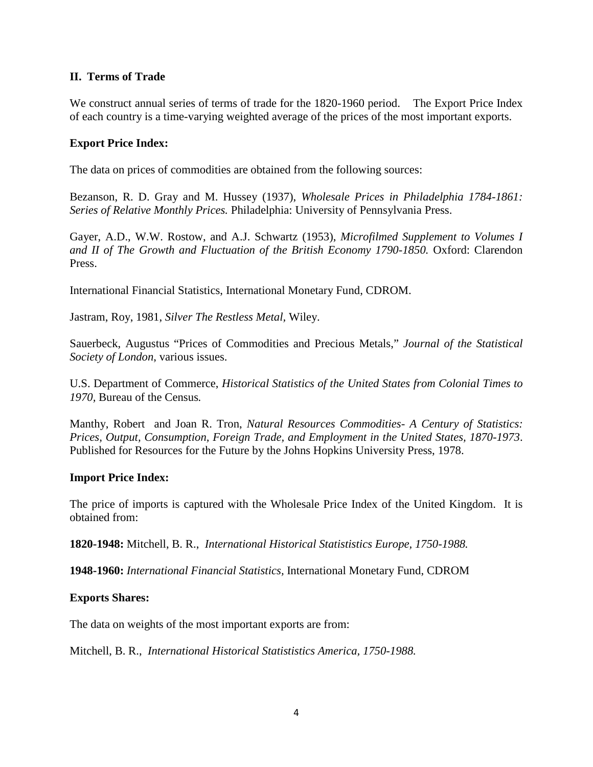# **II. Terms of Trade**

We construct annual series of terms of trade for the 1820-1960 period. The Export Price Index of each country is a time-varying weighted average of the prices of the most important exports.

# **Export Price Index:**

The data on prices of commodities are obtained from the following sources:

Bezanson, R. D. Gray and M. Hussey (1937), *Wholesale Prices in Philadelphia 1784-1861: Series of Relative Monthly Prices.* Philadelphia: University of Pennsylvania Press.

Gayer, A.D., W.W. Rostow, and A.J. Schwartz (1953), *Microfilmed Supplement to Volumes I and II of The Growth and Fluctuation of the British Economy 1790-1850.* Oxford: Clarendon Press.

International Financial Statistics, International Monetary Fund, CDROM.

Jastram, Roy, 1981, *Silver The Restless Metal,* Wiley.

Sauerbeck, Augustus "Prices of Commodities and Precious Metals," *Journal of the Statistical Society of London*, various issues.

U.S. Department of Commerce, *Historical Statistics of the United States from Colonial Times to 1970,* Bureau of the Census*.*

Manthy, Robert and Joan R. Tron, *Natural Resources Commodities- A Century of Statistics: Prices, Output, Consumption, Foreign Trade, and Employment in the United States, 1870-1973*. Published for Resources for the Future by the Johns Hopkins University Press, 1978.

# **Import Price Index:**

The price of imports is captured with the Wholesale Price Index of the United Kingdom. It is obtained from:

**1820-1948:** Mitchell, B. R., *International Historical Statististics Europe, 1750-1988.*

**1948-1960:** *International Financial Statistics,* International Monetary Fund, CDROM

# **Exports Shares:**

The data on weights of the most important exports are from:

Mitchell, B. R., *International Historical Statististics America, 1750-1988.*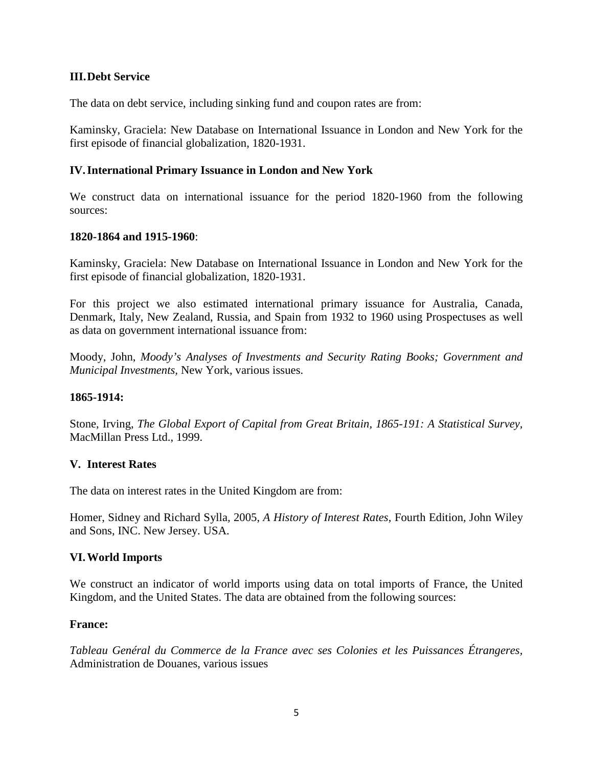# **III.Debt Service**

The data on debt service, including sinking fund and coupon rates are from:

Kaminsky, Graciela: New Database on International Issuance in London and New York for the first episode of financial globalization, 1820-1931.

# **IV.International Primary Issuance in London and New York**

We construct data on international issuance for the period 1820-1960 from the following sources:

# **1820-1864 and 1915-1960**:

Kaminsky, Graciela: New Database on International Issuance in London and New York for the first episode of financial globalization, 1820-1931.

For this project we also estimated international primary issuance for Australia, Canada, Denmark, Italy, New Zealand, Russia, and Spain from 1932 to 1960 using Prospectuses as well as data on government international issuance from:

Moody, John, *Moody's Analyses of Investments and Security Rating Books; Government and Municipal Investments,* New York, various issues.

# **1865-1914:**

Stone, Irving, *The Global Export of Capital from Great Britain, 1865-191: A Statistical Survey,*  MacMillan Press Ltd., 1999.

# **V. Interest Rates**

The data on interest rates in the United Kingdom are from:

Homer, Sidney and Richard Sylla*,* 2005, *A History of Interest Rates,* Fourth Edition*,* John Wiley and Sons, INC. New Jersey. USA.

# **VI.World Imports**

We construct an indicator of world imports using data on total imports of France, the United Kingdom, and the United States. The data are obtained from the following sources:

## **France:**

*Tableau Genéral du Commerce de la France avec ses Colonies et les Puissances Étrangeres,*  Administration de Douanes, various issues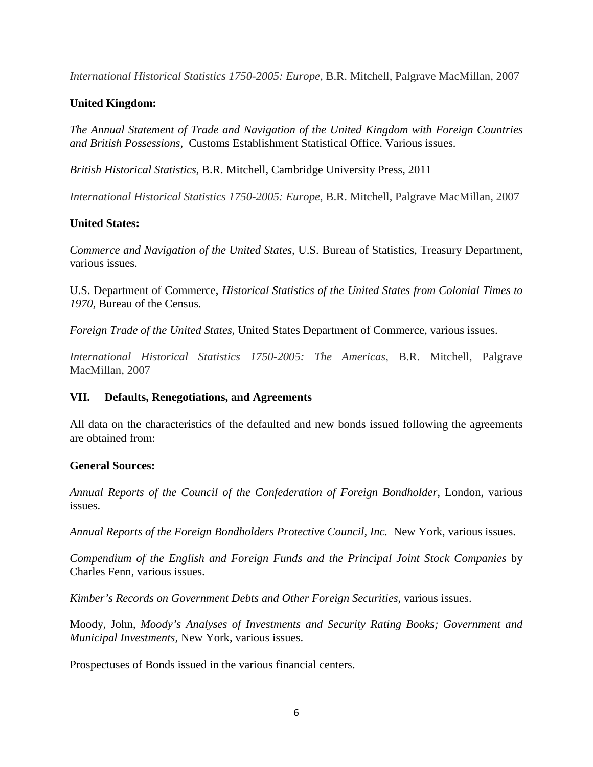*International Historical Statistics 1750-2005: Europe*, B.R. Mitchell, Palgrave MacMillan, 2007

# **United Kingdom:**

*The Annual Statement of Trade and Navigation of the United Kingdom with Foreign Countries and British Possessions,* Customs Establishment Statistical Office. Various issues.

*British Historical Statistics,* B.R. Mitchell, Cambridge University Press, 2011

*International Historical Statistics 1750-2005: Europe*, B.R. Mitchell, Palgrave MacMillan, 2007

# **United States:**

*Commerce and Navigation of the United States,* U.S. Bureau of Statistics, Treasury Department, various issues.

U.S. Department of Commerce, *Historical Statistics of the United States from Colonial Times to 1970,* Bureau of the Census*.*

*Foreign Trade of the United States,* United States Department of Commerce, various issues.

*International Historical Statistics 1750-2005: The Americas*, B.R. Mitchell, Palgrave MacMillan, 2007

# **VII. Defaults, Renegotiations, and Agreements**

All data on the characteristics of the defaulted and new bonds issued following the agreements are obtained from:

# **General Sources:**

*Annual Reports of the Council of the Confederation of Foreign Bondholder,* London, various issues.

*Annual Reports of the Foreign Bondholders Protective Council, Inc.* New York, various issues.

*Compendium of the English and Foreign Funds and the Principal Joint Stock Companies* by Charles Fenn, various issues.

*Kimber's Records on Government Debts and Other Foreign Securities*, various issues.

Moody, John, *Moody's Analyses of Investments and Security Rating Books; Government and Municipal Investments,* New York, various issues.

Prospectuses of Bonds issued in the various financial centers.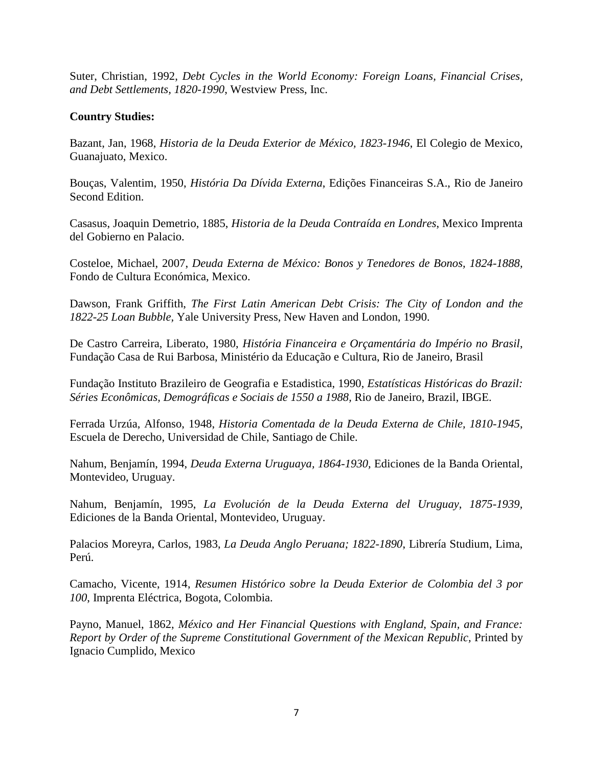Suter, Christian, 1992, *Debt Cycles in the World Economy: Foreign Loans, Financial Crises, and Debt Settlements, 1820-1990*, Westview Press, Inc.

# **Country Studies:**

Bazant, Jan, 1968, *Historia de la Deuda Exterior de México, 1823-1946*, El Colegio de Mexico, Guanajuato, Mexico.

Bouças, Valentim, 1950, *História Da Dívida Externa*, Edições Financeiras S.A., Rio de Janeiro Second Edition.

Casasus, Joaquin Demetrio, 1885, *Historia de la Deuda Contraída en Londres*, Mexico Imprenta del Gobierno en Palacio.

Costeloe, Michael, 2007, *Deuda Externa de México: Bonos y Tenedores de Bonos, 1824-1888,* Fondo de Cultura Económica, Mexico.

Dawson, Frank Griffith, *The First Latin American Debt Crisis: The City of London and the 1822-25 Loan Bubble,* Yale University Press, New Haven and London, 1990.

De Castro Carreira, Liberato, 1980, *História Financeira e Orçamentária do Império no Brasil*, Fundação Casa de Rui Barbosa, Ministério da Educação e Cultura, Rio de Janeiro, Brasil

Fundação Instituto Brazileiro de Geografia e Estadistica, 1990, *Estatísticas Históricas do Brazil: Séries Econômicas, Demográficas e Sociais de 1550 a 1988,* Rio de Janeiro, Brazil, IBGE.

Ferrada Urzúa, Alfonso, 1948, *Historia Comentada de la Deuda Externa de Chile, 1810-1945*, Escuela de Derecho, Universidad de Chile, Santiago de Chile.

Nahum, Benjamín, 1994, *Deuda Externa Uruguaya, 1864-1930,* Ediciones de la Banda Oriental, Montevideo, Uruguay.

Nahum, Benjamín, 1995, *La Evolución de la Deuda Externa del Uruguay, 1875-1939,*  Ediciones de la Banda Oriental, Montevideo, Uruguay.

Palacios Moreyra, Carlos, 1983, *La Deuda Anglo Peruana; 1822-1890*, Librería Studium, Lima, Perú.

Camacho, Vicente, 1914, *Resumen Histórico sobre la Deuda Exterior de Colombia del 3 por 100*, Imprenta Eléctrica, Bogota, Colombia.

Payno, Manuel, 1862, *México and Her Financial Questions with England, Spain, and France: Report by Order of the Supreme Constitutional Government of the Mexican Republic,* Printed by Ignacio Cumplido, Mexico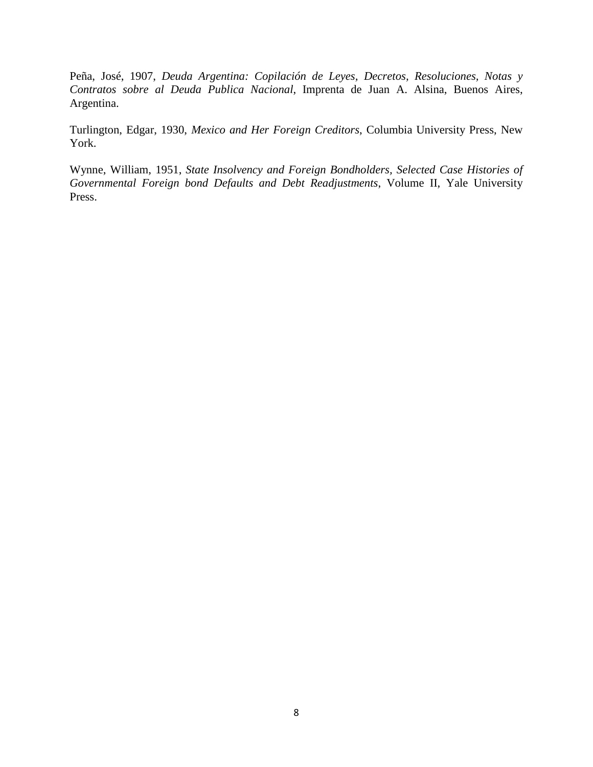Peña, José, 1907, *Deuda Argentina: Copilación de Leyes, Decretos, Resoluciones, Notas y Contratos sobre al Deuda Publica Nacional*, Imprenta de Juan A. Alsina, Buenos Aires, Argentina.

Turlington, Edgar, 1930, *Mexico and Her Foreign Creditors*, Columbia University Press, New York.

Wynne, William, 1951, *State Insolvency and Foreign Bondholders, Selected Case Histories of Governmental Foreign bond Defaults and Debt Readjustments*, Volume II, Yale University Press.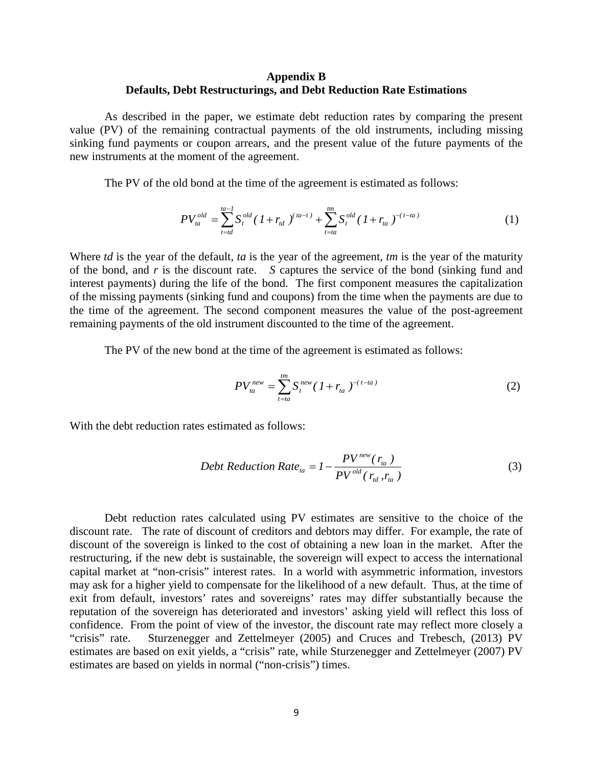## **Appendix B Defaults, Debt Restructurings, and Debt Reduction Rate Estimations**

As described in the paper, we estimate debt reduction rates by comparing the present value (PV) of the remaining contractual payments of the old instruments, including missing sinking fund payments or coupon arrears, and the present value of the future payments of the new instruments at the moment of the agreement.

The PV of the old bond at the time of the agreement is estimated as follows:

$$
PV_{ta}^{old} = \sum_{t=td}^{ta-l} S_t^{old} (1 + r_{td})^{(ta-t)} + \sum_{t=ta}^{tm} S_t^{old} (1 + r_{ta})^{-(t-ta)}
$$
(1)

Where *td* is the year of the default, *ta* is the year of the agreement, *tm* is the year of the maturity of the bond, and *r* is the discount rate. *S* captures the service of the bond (sinking fund and interest payments) during the life of the bond. The first component measures the capitalization of the missing payments (sinking fund and coupons) from the time when the payments are due to the time of the agreement. The second component measures the value of the post-agreement remaining payments of the old instrument discounted to the time of the agreement.

The PV of the new bond at the time of the agreement is estimated as follows:

$$
PV_{ta}^{new} = \sum_{t=ta}^{tm} S_t^{new} (1 + r_{ta})^{-(t-ta)}
$$
 (2)

With the debt reduction rates estimated as follows:

$$
Debt Reduction Rate_{ta} = 1 - \frac{PV^{new}(r_{ta})}{PV^{old}(r_{td}, r_{ta})}
$$
\n(3)

Debt reduction rates calculated using PV estimates are sensitive to the choice of the discount rate. The rate of discount of creditors and debtors may differ. For example, the rate of discount of the sovereign is linked to the cost of obtaining a new loan in the market. After the restructuring, if the new debt is sustainable, the sovereign will expect to access the international capital market at "non-crisis" interest rates. In a world with asymmetric information, investors may ask for a higher yield to compensate for the likelihood of a new default. Thus, at the time of exit from default, investors' rates and sovereigns' rates may differ substantially because the reputation of the sovereign has deteriorated and investors' asking yield will reflect this loss of confidence. From the point of view of the investor, the discount rate may reflect more closely a "crisis" rate. Sturzenegger and Zettelmeyer (2005) and Cruces and Trebesch, (2013) PV estimates are based on exit yields, a "crisis" rate, while Sturzenegger and Zettelmeyer (2007) PV estimates are based on yields in normal ("non-crisis") times.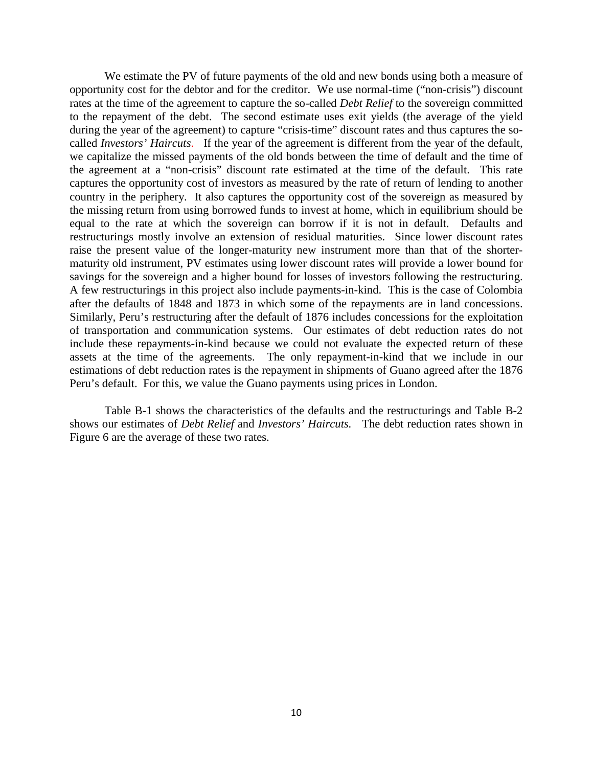We estimate the PV of future payments of the old and new bonds using both a measure of opportunity cost for the debtor and for the creditor. We use normal-time ("non-crisis") discount rates at the time of the agreement to capture the so-called *Debt Relief* to the sovereign committed to the repayment of the debt. The second estimate uses exit yields (the average of the yield during the year of the agreement) to capture "crisis-time" discount rates and thus captures the socalled *Investors' Haircuts*. If the year of the agreement is different from the year of the default, we capitalize the missed payments of the old bonds between the time of default and the time of the agreement at a "non-crisis" discount rate estimated at the time of the default. This rate captures the opportunity cost of investors as measured by the rate of return of lending to another country in the periphery. It also captures the opportunity cost of the sovereign as measured by the missing return from using borrowed funds to invest at home, which in equilibrium should be equal to the rate at which the sovereign can borrow if it is not in default. Defaults and restructurings mostly involve an extension of residual maturities. Since lower discount rates raise the present value of the longer-maturity new instrument more than that of the shortermaturity old instrument, PV estimates using lower discount rates will provide a lower bound for savings for the sovereign and a higher bound for losses of investors following the restructuring. A few restructurings in this project also include payments-in-kind. This is the case of Colombia after the defaults of 1848 and 1873 in which some of the repayments are in land concessions. Similarly, Peru's restructuring after the default of 1876 includes concessions for the exploitation of transportation and communication systems. Our estimates of debt reduction rates do not include these repayments-in-kind because we could not evaluate the expected return of these assets at the time of the agreements. The only repayment-in-kind that we include in our estimations of debt reduction rates is the repayment in shipments of Guano agreed after the 1876 Peru's default. For this, we value the Guano payments using prices in London.

Table B-1 shows the characteristics of the defaults and the restructurings and Table B-2 shows our estimates of *Debt Relief* and *Investors' Haircuts.* The debt reduction rates shown in Figure 6 are the average of these two rates.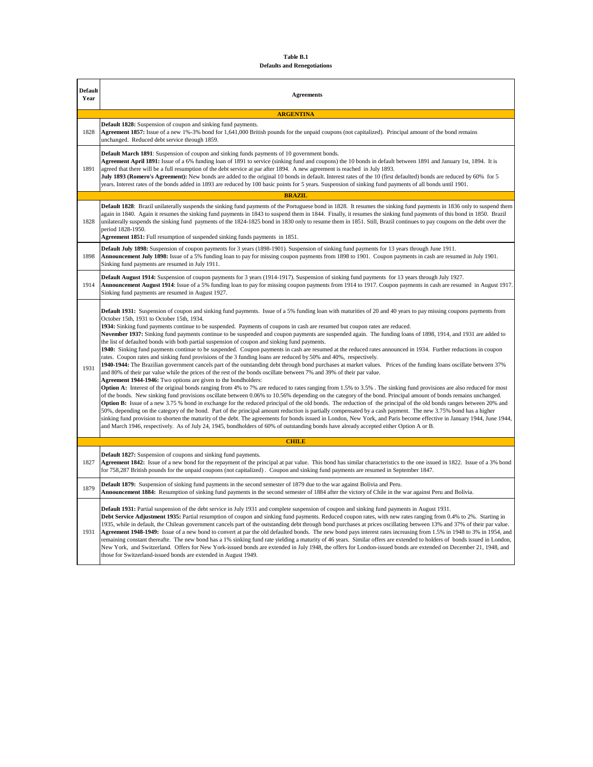#### **Table B.1 Defaults and Renegotiations**

| Default<br>Year | <b>Agreements</b>                                                                                                                                                                                                                                                                                                                                                                                                                                                                                                                                                                                                                                                                                                                                                                                                                                                                                                                                                                                                                                                                                                                                                                                                                                                                                                                                                                                                                                                                                                                                                                                                                                                                                                                                                                                                                                                                                                                                                                                                                                                                                                                                                                                                                                                                             |  |  |  |  |  |
|-----------------|-----------------------------------------------------------------------------------------------------------------------------------------------------------------------------------------------------------------------------------------------------------------------------------------------------------------------------------------------------------------------------------------------------------------------------------------------------------------------------------------------------------------------------------------------------------------------------------------------------------------------------------------------------------------------------------------------------------------------------------------------------------------------------------------------------------------------------------------------------------------------------------------------------------------------------------------------------------------------------------------------------------------------------------------------------------------------------------------------------------------------------------------------------------------------------------------------------------------------------------------------------------------------------------------------------------------------------------------------------------------------------------------------------------------------------------------------------------------------------------------------------------------------------------------------------------------------------------------------------------------------------------------------------------------------------------------------------------------------------------------------------------------------------------------------------------------------------------------------------------------------------------------------------------------------------------------------------------------------------------------------------------------------------------------------------------------------------------------------------------------------------------------------------------------------------------------------------------------------------------------------------------------------------------------------|--|--|--|--|--|
|                 | <b>ARGENTINA</b>                                                                                                                                                                                                                                                                                                                                                                                                                                                                                                                                                                                                                                                                                                                                                                                                                                                                                                                                                                                                                                                                                                                                                                                                                                                                                                                                                                                                                                                                                                                                                                                                                                                                                                                                                                                                                                                                                                                                                                                                                                                                                                                                                                                                                                                                              |  |  |  |  |  |
| 1828            | <b>Default 1828:</b> Suspension of coupon and sinking fund payments.<br>Agreement 1857: Issue of a new 1%-3% bond for 1,641,000 British pounds for the unpaid coupons (not capitalized). Principal amount of the bond remains<br>unchanged. Reduced debt service through 1859.                                                                                                                                                                                                                                                                                                                                                                                                                                                                                                                                                                                                                                                                                                                                                                                                                                                                                                                                                                                                                                                                                                                                                                                                                                                                                                                                                                                                                                                                                                                                                                                                                                                                                                                                                                                                                                                                                                                                                                                                                |  |  |  |  |  |
| 1891            | <b>Default March 1891:</b> Suspension of coupon and sinking funds payments of 10 government bonds.<br>Agreement April 1891: Issue of a 6% funding loan of 1891 to service (sinking fund and coupons) the 10 bonds in default between 1891 and January 1st, 1894. It is<br>agreed that there will be a full resumption of the debt service at par after 1894. A new agreement is reached in July 1893.<br>July 1893 (Romero's Agreement): New bonds are added to the original 10 bonds in default. Interest rates of the 10 (first defaulted) bonds are reduced by 60% for 5<br>years. Interest rates of the bonds added in 1893 are reduced by 100 basic points for 5 years. Suspension of sinking fund payments of all bonds until 1901.                                                                                                                                                                                                                                                                                                                                                                                                                                                                                                                                                                                                                                                                                                                                                                                                                                                                                                                                                                                                                                                                                                                                                                                                                                                                                                                                                                                                                                                                                                                                                     |  |  |  |  |  |
|                 | <b>BRAZIL</b>                                                                                                                                                                                                                                                                                                                                                                                                                                                                                                                                                                                                                                                                                                                                                                                                                                                                                                                                                                                                                                                                                                                                                                                                                                                                                                                                                                                                                                                                                                                                                                                                                                                                                                                                                                                                                                                                                                                                                                                                                                                                                                                                                                                                                                                                                 |  |  |  |  |  |
| 1828            | Default 1828: Brazil unilaterally suspends the sinking fund payments of the Portuguese bond in 1828. It resumes the sinking fund payments in 1836 only to suspend them<br>again in 1840. Again it resumes the sinking fund payments in 1843 to suspend them in 1844. Finally, it resumes the sinking fund payments of this bond in 1850. Brazil<br>unilaterally suspends the sinking fund payments of the 1824-1825 bond in 1830 only to resume them in 1851. Still, Brazil continues to pay coupons on the debt over the<br>period 1828-1950.<br>Agreement 1851: Full resumption of suspended sinking funds payments in 1851.                                                                                                                                                                                                                                                                                                                                                                                                                                                                                                                                                                                                                                                                                                                                                                                                                                                                                                                                                                                                                                                                                                                                                                                                                                                                                                                                                                                                                                                                                                                                                                                                                                                                |  |  |  |  |  |
| 1898            | Default July 1898: Suspension of coupon payments for 3 years (1898-1901). Suspension of sinking fund payments for 13 years through June 1911.<br>Announcement July 1898: Issue of a 5% funding loan to pay for missing coupon payments from 1898 to 1901. Coupon payments in cash are resumed in July 1901.<br>Sinking fund payments are resumed in July 1911.                                                                                                                                                                                                                                                                                                                                                                                                                                                                                                                                                                                                                                                                                                                                                                                                                                                                                                                                                                                                                                                                                                                                                                                                                                                                                                                                                                                                                                                                                                                                                                                                                                                                                                                                                                                                                                                                                                                                |  |  |  |  |  |
| 1914            | Default August 1914: Suspension of coupon payments for 3 years (1914-1917). Suspension of sinking fund payments for 13 years through July 1927.<br>Announcement August 1914: Issue of a 5% funding loan to pay for missing coupon payments from 1914 to 1917. Coupon payments in cash are resumed in August 1917.<br>Sinking fund payments are resumed in August 1927.                                                                                                                                                                                                                                                                                                                                                                                                                                                                                                                                                                                                                                                                                                                                                                                                                                                                                                                                                                                                                                                                                                                                                                                                                                                                                                                                                                                                                                                                                                                                                                                                                                                                                                                                                                                                                                                                                                                        |  |  |  |  |  |
| 1931            | <b>Default 1931:</b> Suspension of coupon and sinking fund payments. Issue of a 5% funding loan with maturities of 20 and 40 years to pay missing coupons payments from<br>October 15th, 1931 to October 15th, 1934.<br>1934: Sinking fund payments continue to be suspended. Payments of coupons in cash are resumed but coupon rates are reduced.<br>November 1937: Sinking fund payments continue to be suspended and coupon payments are suspended again. The funding loans of 1898, 1914, and 1931 are added to<br>the list of defaulted bonds with both partial suspension of coupon and sinking fund payments.<br>1940: Sinking fund payments continue to be suspended. Coupon payments in cash are resumed at the reduced rates announced in 1934. Further reductions in coupon<br>rates. Coupon rates and sinking fund provisions of the 3 funding loans are reduced by 50% and 40%, respectively.<br>1940-1944: The Brazilian government cancels part of the outstanding debt through bond purchases at market values. Prices of the funding loans oscillate between 37%<br>and 80% of their par value while the prices of the rest of the bonds oscillate between 7% and 39% of their par value.<br>Agreement 1944-1946: Two options are given to the bondholders:<br><b>Option A:</b> Interest of the original bonds ranging from 4% to 7% are reduced to rates ranging from 1.5% to 3.5%. The sinking fund provisions are also reduced for most<br>of the bonds. New sinking fund provisions oscillate between 0.06% to 10.56% depending on the category of the bond. Principal amount of bonds remains unchanged.<br>Option B: Issue of a new 3.75 % bond in exchange for the reduced principal of the old bonds. The reduction of the principal of the old bonds ranges between 20% and<br>50%, depending on the category of the bond. Part of the principal amount reduction is partially compensated by a cash payment. The new 3.75% bond has a higher<br>sinking fund provision to shorten the maturity of the debt. The agreements for bonds issued in London, New York, and Paris become effective in January 1944, June 1944,<br>and March 1946, respectively. As of July 24, 1945, bondholders of 60% of outstanding bonds have already accepted either Option A or B. |  |  |  |  |  |
|                 | <b>CHILE</b>                                                                                                                                                                                                                                                                                                                                                                                                                                                                                                                                                                                                                                                                                                                                                                                                                                                                                                                                                                                                                                                                                                                                                                                                                                                                                                                                                                                                                                                                                                                                                                                                                                                                                                                                                                                                                                                                                                                                                                                                                                                                                                                                                                                                                                                                                  |  |  |  |  |  |
| 1827            | <b>Default 1827:</b> Suspension of coupons and sinking fund payments.<br>Agreement 1842: Issue of a new bond for the repayment of the principal at par value. This bond has similar characteristics to the one issued in 1822. Issue of a 3% bond<br>for 758,287 British pounds for the unpaid coupons (not capitalized). Coupon and sinking fund payments are resumed in September 1847.                                                                                                                                                                                                                                                                                                                                                                                                                                                                                                                                                                                                                                                                                                                                                                                                                                                                                                                                                                                                                                                                                                                                                                                                                                                                                                                                                                                                                                                                                                                                                                                                                                                                                                                                                                                                                                                                                                     |  |  |  |  |  |
| 1879            | <b>Default 1879:</b> Suspension of sinking fund payments in the second semester of 1879 due to the war against Bolivia and Peru.<br>Announcement 1884: Resumption of sinking fund payments in the second semester of 1884 after the victory of Chile in the war against Peru and Bolivia.                                                                                                                                                                                                                                                                                                                                                                                                                                                                                                                                                                                                                                                                                                                                                                                                                                                                                                                                                                                                                                                                                                                                                                                                                                                                                                                                                                                                                                                                                                                                                                                                                                                                                                                                                                                                                                                                                                                                                                                                     |  |  |  |  |  |
| 1931            | Default 1931: Partial suspension of the debt service in July 1931 and complete suspension of coupon and sinking fund payments in August 1931.<br>Debt Service Adjustment 1935: Partial resumption of coupon and sinking fund payments. Reduced coupon rates, with new rates ranging from 0.4% to 2%. Starting in<br>1935, while in default, the Chilean government cancels part of the outstanding debt through bond purchases at prices oscillating between 13% and 37% of their par value.<br>Agreement 1948-1949: Issue of a new bond to convert at par the old defaulted bonds. The new bond pays interest rates increasing from 1.5% in 1948 to 3% in 1954, and<br>remaining constant thereafte. The new bond has a 1% sinking fund rate yielding a maturity of 46 years. Similar offers are extended to holders of bonds issued in London,<br>New York, and Switzerland. Offers for New York-issued bonds are extended in July 1948, the offers for London-issued bonds are extended on December 21, 1948, and<br>those for Switzerland-issued bonds are extended in August 1949.                                                                                                                                                                                                                                                                                                                                                                                                                                                                                                                                                                                                                                                                                                                                                                                                                                                                                                                                                                                                                                                                                                                                                                                                       |  |  |  |  |  |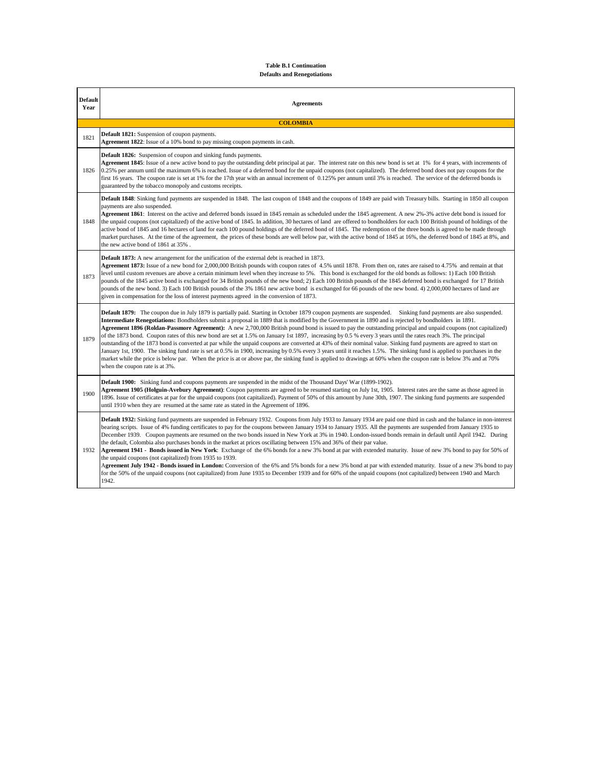#### **Table B.1 Continuation Defaults and Renegotiations**

| <b>Default</b><br>Year | <b>Agreements</b>                                                                                                                                                                                                                                                                                                                                                                                                                                                                                                                                                                                                                                                                                                                                                                                                                                                                                                                                                                                                                                                                                                                                                                                                                    |  |  |  |  |
|------------------------|--------------------------------------------------------------------------------------------------------------------------------------------------------------------------------------------------------------------------------------------------------------------------------------------------------------------------------------------------------------------------------------------------------------------------------------------------------------------------------------------------------------------------------------------------------------------------------------------------------------------------------------------------------------------------------------------------------------------------------------------------------------------------------------------------------------------------------------------------------------------------------------------------------------------------------------------------------------------------------------------------------------------------------------------------------------------------------------------------------------------------------------------------------------------------------------------------------------------------------------|--|--|--|--|
|                        | <b>COLOMBIA</b>                                                                                                                                                                                                                                                                                                                                                                                                                                                                                                                                                                                                                                                                                                                                                                                                                                                                                                                                                                                                                                                                                                                                                                                                                      |  |  |  |  |
| 1821                   | Default 1821: Suspension of coupon payments.<br>Agreement 1822: Issue of a 10% bond to pay missing coupon payments in cash.                                                                                                                                                                                                                                                                                                                                                                                                                                                                                                                                                                                                                                                                                                                                                                                                                                                                                                                                                                                                                                                                                                          |  |  |  |  |
| 1826                   | <b>Default 1826:</b> Suspension of coupon and sinking funds payments.<br>Agreement 1845: Issue of a new active bond to pay the outstanding debt principal at par. The interest rate on this new bond is set at 1% for 4 years, with increments of<br>0.25% per annum until the maximum 6% is reached. Issue of a deferred bond for the unpaid coupons (not capitalized). The deferred bond does not pay coupons for the<br>first 16 years. The coupon rate is set at 1% for the 17th year with an annual increment of 0.125% per annum until 3% is reached. The service of the deferred bonds is<br>guaranteed by the tobacco monopoly and customs receipts.                                                                                                                                                                                                                                                                                                                                                                                                                                                                                                                                                                         |  |  |  |  |
| 1848                   | <b>Default 1848</b> : Sinking fund payments are suspended in 1848. The last coupon of 1848 and the coupons of 1849 are paid with Treasury bills. Starting in 1850 all coupon<br>payments are also suspended.<br>Agreement 1861: Interest on the active and deferred bonds issued in 1845 remain as scheduled under the 1845 agreement. A new 2%-3% active debt bond is issued for<br>the unpaid coupons (not capitalized) of the active bond of 1845. In addition, 30 hectares of land are offered to bondholders for each 100 British pound of holdings of the<br>active bond of 1845 and 16 hectares of land for each 100 pound holdings of the deferred bond of 1845. The redemption of the three bonds is agreed to be made through<br>market purchases. At the time of the agreement, the prices of these bonds are well below par, with the active bond of 1845 at 16%, the deferred bond of 1845 at 8%, and<br>the new active bond of 1861 at 35%.                                                                                                                                                                                                                                                                            |  |  |  |  |
| 1873                   | <b>Default 1873:</b> A new arrangement for the unification of the external debt is reached in 1873.<br>Agreement 1873: Issue of a new bond for 2,000,000 British pounds with coupon rates of 4.5% until 1878. From then on, rates are raised to 4.75% and remain at that<br>level until custom revenues are above a certain minimum level when they increase to 5%. This bond is exchanged for the old bonds as follows: 1) Each 100 British<br>pounds of the 1845 active bond is exchanged for 34 British pounds of the new bond; 2) Each 100 British pounds of the 1845 deferred bond is exchanged for 17 British<br>pounds of the new bond. 3) Each 100 British pounds of the 3% 1861 new active bond is exchanged for 66 pounds of the new bond. 4) 2,000,000 hectares of land are<br>given in compensation for the loss of interest payments agreed in the conversion of 1873.                                                                                                                                                                                                                                                                                                                                                  |  |  |  |  |
| 1879                   | <b>Default 1879:</b> The coupon due in July 1879 is partially paid. Starting in October 1879 coupon payments are suspended. Sinking fund payments are also suspended.<br><b>Intermediate Renegotiations:</b> Bondholders submit a proposal in 1889 that is modified by the Government in 1890 and is rejected by bondholders in 1891.<br>Agreement 1896 (Roldan-Passmore Agreement): A new 2,700,000 British pound bond is issued to pay the outstanding principal and unpaid coupons (not capitalized)<br>of the 1873 bond. Coupon rates of this new bond are set at 1.5% on January 1st 1897, increasing by 0.5 % every 3 years until the rates reach 3%. The principal<br>outstanding of the 1873 bond is converted at par while the unpaid coupons are converted at 43% of their nominal value. Sinking fund payments are agreed to start on<br>January 1st, 1900. The sinking fund rate is set at 0.5% in 1900, increasing by 0.5% every 3 years until it reaches 1.5%. The sinking fund is applied to purchases in the<br>market while the price is below par. When the price is at or above par, the sinking fund is applied to drawings at 60% when the coupon rate is below 3% and at 70%<br>when the coupon rate is at 3%. |  |  |  |  |
| 1900                   | <b>Default 1900:</b> Sinking fund and coupons payments are suspended in the midst of the Thousand Days' War (1899-1902).<br>Agreement 1905 (Holguin-Avebury Agreement): Coupon payments are agreed to be resumed starting on July 1st, 1905. Interest rates are the same as those agreed in<br>1896. Issue of certificates at par for the unpaid coupons (not capitalized). Payment of 50% of this amount by June 30th, 1907. The sinking fund payments are suspended<br>until 1910 when they are resumed at the same rate as stated in the Agreement of 1896.                                                                                                                                                                                                                                                                                                                                                                                                                                                                                                                                                                                                                                                                       |  |  |  |  |
| 1932                   | Default 1932: Sinking fund payments are suspended in February 1932. Coupons from July 1933 to January 1934 are paid one third in cash and the balance in non-interest<br>bearing scripts. Issue of 4% funding certificates to pay for the coupons between January 1934 to January 1935. All the payments are suspended from January 1935 to<br>December 1939. Coupon payments are resumed on the two bonds issued in New York at 3% in 1940. London-issued bonds remain in default until April 1942. During<br>the default, Colombia also purchases bonds in the market at prices oscillating between 15% and 36% of their par value.<br>Agreement 1941 - Bonds issued in New York: Exchange of the 6% bonds for a new 3% bond at par with extended maturity. Issue of new 3% bond to pay for 50% of<br>the unpaid coupons (not capitalized) from 1935 to 1939.<br>Agreement July 1942 - Bonds issued in London: Conversion of the 6% and 5% bonds for a new 3% bond at par with extended maturity. Issue of a new 3% bond to pay<br>for the 50% of the unpaid coupons (not capitalized) from June 1935 to December 1939 and for 60% of the unpaid coupons (not capitalized) between 1940 and March<br>1942.                         |  |  |  |  |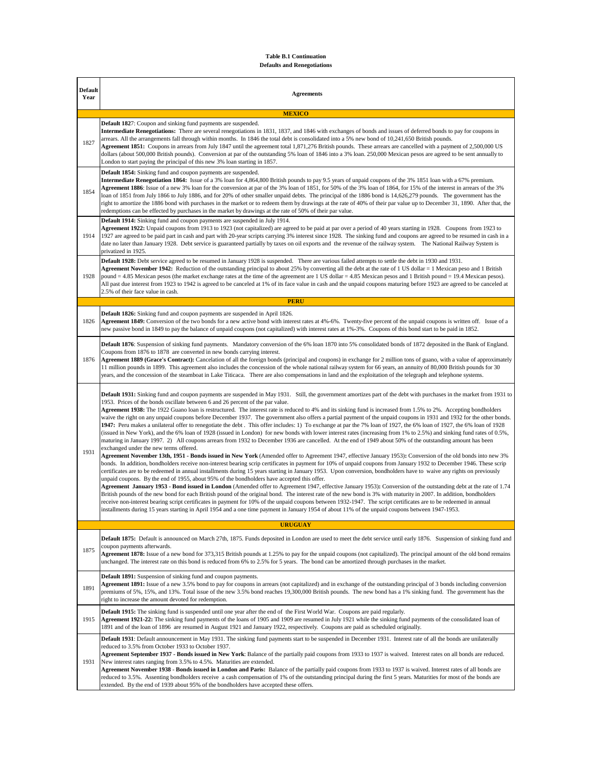#### **Table B.1 Continuation Defaults and Renegotiations**

| <b>Default</b><br>Year | <b>Agreements</b>                                                                                                                                                                                                                                                                                                                                                                                                                                                                                                                                                                                                                                                                                                                                                                                                                                                                                                                                                                                                                                                                                                                                                                                                                                                                                                                                                                                                                                                                                                                                                                                                                                                                                                                                                                                                                                                                                                                                                                                                                                                                                                                                                                                                                                                                                                                                                                                                                                    |  |  |  |  |  |  |
|------------------------|------------------------------------------------------------------------------------------------------------------------------------------------------------------------------------------------------------------------------------------------------------------------------------------------------------------------------------------------------------------------------------------------------------------------------------------------------------------------------------------------------------------------------------------------------------------------------------------------------------------------------------------------------------------------------------------------------------------------------------------------------------------------------------------------------------------------------------------------------------------------------------------------------------------------------------------------------------------------------------------------------------------------------------------------------------------------------------------------------------------------------------------------------------------------------------------------------------------------------------------------------------------------------------------------------------------------------------------------------------------------------------------------------------------------------------------------------------------------------------------------------------------------------------------------------------------------------------------------------------------------------------------------------------------------------------------------------------------------------------------------------------------------------------------------------------------------------------------------------------------------------------------------------------------------------------------------------------------------------------------------------------------------------------------------------------------------------------------------------------------------------------------------------------------------------------------------------------------------------------------------------------------------------------------------------------------------------------------------------------------------------------------------------------------------------------------------------|--|--|--|--|--|--|
|                        | <b>MEXICO</b>                                                                                                                                                                                                                                                                                                                                                                                                                                                                                                                                                                                                                                                                                                                                                                                                                                                                                                                                                                                                                                                                                                                                                                                                                                                                                                                                                                                                                                                                                                                                                                                                                                                                                                                                                                                                                                                                                                                                                                                                                                                                                                                                                                                                                                                                                                                                                                                                                                        |  |  |  |  |  |  |
| 1827                   | <b>Default 1827:</b> Coupon and sinking fund payments are suspended.<br>Intermediate Renegotiations: There are several renegotiations in 1831, 1837, and 1846 with exchanges of bonds and issues of deferred bonds to pay for coupons in<br>arrears. All the arrangements fall through within months. In 1846 the total debt is consolidated into a 5% new bond of 10,241,650 British pounds.<br>Agreement 1851: Coupons in arrears from July 1847 until the agreement total 1,871,276 British pounds. These arrears are cancelled with a payment of 2,500,000 US<br>dollars (about 500,000 British pounds). Conversion at par of the outstanding 5% loan of 1846 into a 3% loan. 250,000 Mexican pesos are agreed to be sent annually to<br>London to start paying the principal of this new 3% loan starting in 1857.                                                                                                                                                                                                                                                                                                                                                                                                                                                                                                                                                                                                                                                                                                                                                                                                                                                                                                                                                                                                                                                                                                                                                                                                                                                                                                                                                                                                                                                                                                                                                                                                                              |  |  |  |  |  |  |
| 1854                   | <b>Default 1854:</b> Sinking fund and coupon payments are suspended.<br>Intermediate Renegotiation 1864: Issue of a 3% loan for 4,864,800 British pounds to pay 9.5 years of unpaid coupons of the 3% 1851 loan with a 67% premium.<br>Agreement 1886: Issue of a new 3% loan for the conversion at par of the 3% loan of 1851, for 50% of the 3% loan of 1864, for 15% of the interest in arrears of the 3%<br>loan of 1851 from July 1866 to July 1886, and for 20% of other smaller unpaid debts. The principal of the 1886 bond is 14,626,279 pounds. The government has the<br>right to amortize the 1886 bond with purchases in the market or to redeem them by drawings at the rate of 40% of their par value up to December 31, 1890. After that, the<br>redemptions can be effected by purchases in the market by drawings at the rate of 50% of their par value.                                                                                                                                                                                                                                                                                                                                                                                                                                                                                                                                                                                                                                                                                                                                                                                                                                                                                                                                                                                                                                                                                                                                                                                                                                                                                                                                                                                                                                                                                                                                                                           |  |  |  |  |  |  |
| 1914                   | Default 1914: Sinking fund and coupon payments are suspended in July 1914.<br>Agreement 1922: Unpaid coupons from 1913 to 1923 (not capitalized) are agreed to be paid at par over a period of 40 years starting in 1928. Coupons from 1923 to<br>1927 are agreed to be paid part in cash and part with 20-year scripts carrying 3% interest since 1928. The sinking fund and coupons are agreed to be resumed in cash in a<br>date no later than January 1928. Debt service is guaranteed partially by taxes on oil exports and the revenue of the railway system. The National Railway System is<br>privatized in 1925.                                                                                                                                                                                                                                                                                                                                                                                                                                                                                                                                                                                                                                                                                                                                                                                                                                                                                                                                                                                                                                                                                                                                                                                                                                                                                                                                                                                                                                                                                                                                                                                                                                                                                                                                                                                                                            |  |  |  |  |  |  |
| 1928                   | <b>Default 1928:</b> Debt service agreed to be resumed in January 1928 is suspended. There are various failed attempts to settle the debt in 1930 and 1931.<br>Agreement November 1942: Reduction of the outstanding principal to about 25% by converting all the debt at the rate of 1 US dollar = 1 Mexican peso and 1 British<br>pound = 4.85 Mexican pesos (the market exchange rates at the time of the agreement are 1 US dollar = 4.85 Mexican pesos and 1 British pound = 19.4 Mexican pesos).<br>All past due interest from 1923 to 1942 is agreed to be canceled at 1% of its face value in cash and the unpaid coupons maturing before 1923 are agreed to be canceled at<br>2.5% of their face value in cash.                                                                                                                                                                                                                                                                                                                                                                                                                                                                                                                                                                                                                                                                                                                                                                                                                                                                                                                                                                                                                                                                                                                                                                                                                                                                                                                                                                                                                                                                                                                                                                                                                                                                                                                             |  |  |  |  |  |  |
|                        | <b>PERU</b>                                                                                                                                                                                                                                                                                                                                                                                                                                                                                                                                                                                                                                                                                                                                                                                                                                                                                                                                                                                                                                                                                                                                                                                                                                                                                                                                                                                                                                                                                                                                                                                                                                                                                                                                                                                                                                                                                                                                                                                                                                                                                                                                                                                                                                                                                                                                                                                                                                          |  |  |  |  |  |  |
| 1826                   | <b>Default 1826:</b> Sinking fund and coupon payments are suspended in April 1826.<br>Agreement 1849: Conversion of the two bonds for a new active bond with interest rates at 4%-6%. Twenty-five percent of the unpaid coupons is written off. Issue of a<br>new passive bond in 1849 to pay the balance of unpaid coupons (not capitalized) with interest rates at 1%-3%. Coupons of this bond start to be paid in 1852.                                                                                                                                                                                                                                                                                                                                                                                                                                                                                                                                                                                                                                                                                                                                                                                                                                                                                                                                                                                                                                                                                                                                                                                                                                                                                                                                                                                                                                                                                                                                                                                                                                                                                                                                                                                                                                                                                                                                                                                                                           |  |  |  |  |  |  |
| 1876                   | <b>Default 1876</b> : Suspension of sinking fund payments. Mandatory conversion of the 6% loan 1870 into 5% consolidated bonds of 1872 deposited in the Bank of England.<br>Coupons from 1876 to 1878 are converted in new bonds carrying interest.<br>Agreement 1889 (Grace's Contract): Cancelation of all the foreign bonds (principal and coupons) in exchange for 2 million tons of guano, with a value of approximately<br>11 million pounds in 1899. This agreement also includes the concession of the whole national railway system for 66 years, an annuity of 80,000 British pounds for 30<br>years, and the concession of the steamboat in Lake Titicaca. There are also compensations in land and the exploitation of the telegraph and telephone systems.                                                                                                                                                                                                                                                                                                                                                                                                                                                                                                                                                                                                                                                                                                                                                                                                                                                                                                                                                                                                                                                                                                                                                                                                                                                                                                                                                                                                                                                                                                                                                                                                                                                                              |  |  |  |  |  |  |
| 1931                   | <b>Default 1931:</b> Sinking fund and coupon payments are suspended in May 1931. Still, the government amortizes part of the debt with purchases in the market from 1931 to<br>1953. Prices of the bonds oscillate between 6 and 26 percent of the par value.<br>Agreement 1938: The 1922 Guano loan is restructured. The interest rate is reduced to 4% and its sinking fund is increased from 1.5% to 2%. Accepting bondholders<br>waive the right on any unpaid coupons before December 1937. The government also offers a partial payment of the unpaid coupons in 1931 and 1932 for the other bonds.<br>1947: Peru makes a unilateral offer to renegotiate the debt. This offer includes: 1) To exchange at par the 7% loan of 1927, the 6% loan of 1927, the 6% loan of 1928<br>(issued in New York), and the 6% loan of 1928 (issued in London) for new bonds with lower interest rates (increasing from 1% to 2.5%) and sinking fund rates of 0.5%,<br>maturing in January 1997. 2) All coupons arrears from 1932 to December 1936 are cancelled. At the end of 1949 about 50% of the outstanding amount has been<br>exchanged under the new terms offered.<br>Agreement November 13th, 1951 - Bonds issued in New York (Amended offer to Agreement 1947, effective January 1953): Conversion of the old bonds into new 3%<br>bonds. In addition, bondholders receive non-interest bearing scrip certificates in payment for 10% of unpaid coupons from January 1932 to December 1946. These scrip<br>certificates are to be redeemed in annual installments during 15 years starting in January 1953. Upon conversion, bondholders have to waive any rights on previously<br>unpaid coupons. By the end of 1955, about 95% of the bondholders have accepted this offer.<br>Agreement January 1953 - Bond issued in London (Amended offer to Agreement 1947, effective January 1953): Conversion of the outstanding debt at the rate of 1.74<br>British pounds of the new bond for each British pound of the original bond. The interest rate of the new bond is 3% with maturity in 2007. In addition, bondholders<br>receive non-interest bearing script certificates in payment for 10% of the unpaid coupons between 1932-1947. The script certificates are to be redeemed in annual<br>installments during 15 years starting in April 1954 and a one time payment in January 1954 of about 11% of the unpaid coupons between 1947-1953. |  |  |  |  |  |  |
|                        | <b>URUGUAY</b>                                                                                                                                                                                                                                                                                                                                                                                                                                                                                                                                                                                                                                                                                                                                                                                                                                                                                                                                                                                                                                                                                                                                                                                                                                                                                                                                                                                                                                                                                                                                                                                                                                                                                                                                                                                                                                                                                                                                                                                                                                                                                                                                                                                                                                                                                                                                                                                                                                       |  |  |  |  |  |  |
| 1875                   | Default 1875: Default is announced on March 27th, 1875. Funds deposited in London are used to meet the debt service until early 1876. Suspension of sinking fund and<br>coupon payments afterwards.<br>Agreement 1878: Issue of a new bond for 373,315 British pounds at 1.25% to pay for the unpaid coupons (not capitalized). The principal amount of the old bond remains<br>unchanged. The interest rate on this bond is reduced from 6% to 2.5% for 5 years. The bond can be amortized through purchases in the market.                                                                                                                                                                                                                                                                                                                                                                                                                                                                                                                                                                                                                                                                                                                                                                                                                                                                                                                                                                                                                                                                                                                                                                                                                                                                                                                                                                                                                                                                                                                                                                                                                                                                                                                                                                                                                                                                                                                         |  |  |  |  |  |  |
| 1891                   | <b>Default 1891:</b> Suspension of sinking fund and coupon payments.<br>Agreement 1891: Issue of a new 3.5% bond to pay for coupons in arrears (not capitalized) and in exchange of the outstanding principal of 3 bonds including conversion<br>premiums of 5%, 15%, and 13%. Total issue of the new 3.5% bond reaches 19,300,000 British pounds. The new bond has a 1% sinking fund. The government has the<br>right to increase the amount devoted for redemption.                                                                                                                                                                                                                                                                                                                                                                                                                                                                                                                                                                                                                                                                                                                                                                                                                                                                                                                                                                                                                                                                                                                                                                                                                                                                                                                                                                                                                                                                                                                                                                                                                                                                                                                                                                                                                                                                                                                                                                                |  |  |  |  |  |  |
| 1915                   | Default 1915: The sinking fund is suspended until one year after the end of the First World War. Coupons are paid regularly.<br><b>Agreement 1921-22:</b> The sinking fund payments of the loans of 1905 and 1909 are resumed in July 1921 while the sinking fund payments of the consolidated loan of<br>1891 and of the loan of 1896 are resumed in August 1921 and January 1922, respectively. Coupons are paid as scheduled originally.                                                                                                                                                                                                                                                                                                                                                                                                                                                                                                                                                                                                                                                                                                                                                                                                                                                                                                                                                                                                                                                                                                                                                                                                                                                                                                                                                                                                                                                                                                                                                                                                                                                                                                                                                                                                                                                                                                                                                                                                          |  |  |  |  |  |  |
| 1931                   | <b>Default 1931</b> : Default announcement in May 1931. The sinking fund payments start to be suspended in December 1931. Interest rate of all the bonds are unilaterally<br>reduced to 3.5% from October 1933 to October 1937.<br>Agreement September 1937 - Bonds issued in New York: Balance of the partially paid coupons from 1933 to 1937 is waived. Interest rates on all bonds are reduced.<br>New interest rates ranging from 3.5% to 4.5%. Maturities are extended.<br>Agreement November 1938 - Bonds issued in London and Paris: Balance of the partially paid coupons from 1933 to 1937 is waived. Interest rates of all bonds are<br>reduced to 3.5%. Assenting bondholders receive a cash compensation of 1% of the outstanding principal during the first 5 years. Maturities for most of the bonds are<br>extended. By the end of 1939 about 95% of the bondholders have accepted these offers.                                                                                                                                                                                                                                                                                                                                                                                                                                                                                                                                                                                                                                                                                                                                                                                                                                                                                                                                                                                                                                                                                                                                                                                                                                                                                                                                                                                                                                                                                                                                     |  |  |  |  |  |  |